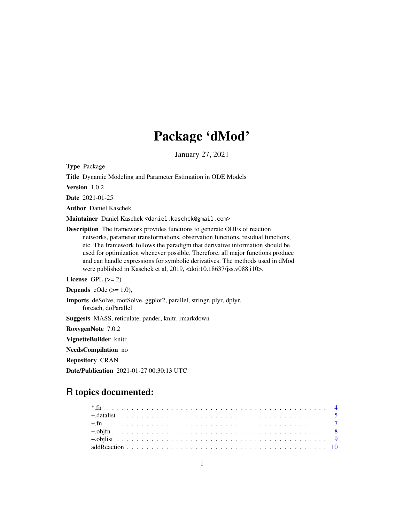# Package 'dMod'

January 27, 2021

Type Package

Title Dynamic Modeling and Parameter Estimation in ODE Models

Version 1.0.2

Date 2021-01-25

Author Daniel Kaschek

Maintainer Daniel Kaschek <daniel.kaschek@gmail.com>

Description The framework provides functions to generate ODEs of reaction networks, parameter transformations, observation functions, residual functions, etc. The framework follows the paradigm that derivative information should be used for optimization whenever possible. Therefore, all major functions produce and can handle expressions for symbolic derivatives. The methods used in dMod were published in Kaschek et al, 2019, <doi:10.18637/jss.v088.i10>.

License GPL  $(>= 2)$ 

**Depends** cOde  $(>= 1.0)$ ,

Imports deSolve, rootSolve, ggplot2, parallel, stringr, plyr, dplyr, foreach, doParallel

Suggests MASS, reticulate, pander, knitr, rmarkdown

RoxygenNote 7.0.2

VignetteBuilder knitr

NeedsCompilation no

Repository CRAN

Date/Publication 2021-01-27 00:30:13 UTC

# R topics documented: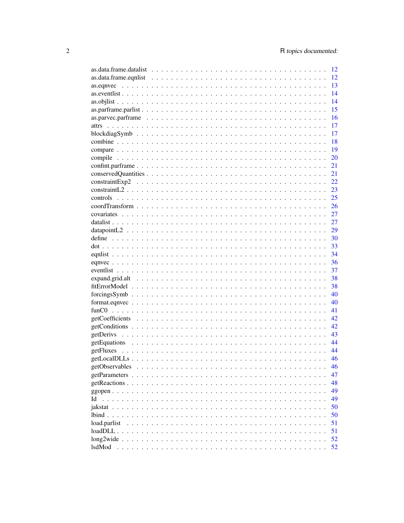|                                                                                                                        |  |  |  |  |  |  |  |  |  |  |  | 12 |
|------------------------------------------------------------------------------------------------------------------------|--|--|--|--|--|--|--|--|--|--|--|----|
| $as.data.frame.equals \dots \dots \dots \dots \dots \dots \dots \dots \dots \dots \dots \dots \dots \dots \dots \dots$ |  |  |  |  |  |  |  |  |  |  |  | 12 |
|                                                                                                                        |  |  |  |  |  |  |  |  |  |  |  | 13 |
|                                                                                                                        |  |  |  |  |  |  |  |  |  |  |  | 14 |
|                                                                                                                        |  |  |  |  |  |  |  |  |  |  |  | 14 |
|                                                                                                                        |  |  |  |  |  |  |  |  |  |  |  | 15 |
|                                                                                                                        |  |  |  |  |  |  |  |  |  |  |  | 16 |
|                                                                                                                        |  |  |  |  |  |  |  |  |  |  |  | 17 |
|                                                                                                                        |  |  |  |  |  |  |  |  |  |  |  | 17 |
|                                                                                                                        |  |  |  |  |  |  |  |  |  |  |  | 18 |
|                                                                                                                        |  |  |  |  |  |  |  |  |  |  |  | 19 |
|                                                                                                                        |  |  |  |  |  |  |  |  |  |  |  | 20 |
|                                                                                                                        |  |  |  |  |  |  |  |  |  |  |  | 21 |
|                                                                                                                        |  |  |  |  |  |  |  |  |  |  |  | 21 |
|                                                                                                                        |  |  |  |  |  |  |  |  |  |  |  | 22 |
|                                                                                                                        |  |  |  |  |  |  |  |  |  |  |  | 23 |
|                                                                                                                        |  |  |  |  |  |  |  |  |  |  |  | 25 |
|                                                                                                                        |  |  |  |  |  |  |  |  |  |  |  | 26 |
|                                                                                                                        |  |  |  |  |  |  |  |  |  |  |  | 27 |
|                                                                                                                        |  |  |  |  |  |  |  |  |  |  |  | 27 |
|                                                                                                                        |  |  |  |  |  |  |  |  |  |  |  | 29 |
|                                                                                                                        |  |  |  |  |  |  |  |  |  |  |  | 30 |
|                                                                                                                        |  |  |  |  |  |  |  |  |  |  |  | 33 |
|                                                                                                                        |  |  |  |  |  |  |  |  |  |  |  | 34 |
|                                                                                                                        |  |  |  |  |  |  |  |  |  |  |  | 36 |
|                                                                                                                        |  |  |  |  |  |  |  |  |  |  |  | 37 |
|                                                                                                                        |  |  |  |  |  |  |  |  |  |  |  | 38 |
|                                                                                                                        |  |  |  |  |  |  |  |  |  |  |  | 38 |
| $forcingsSymbol \dots \dots \dots \dots \dots \dots \dots \dots \dots \dots \dots \dots \dots \dots \dots \dots$       |  |  |  |  |  |  |  |  |  |  |  | 40 |
|                                                                                                                        |  |  |  |  |  |  |  |  |  |  |  | 40 |
|                                                                                                                        |  |  |  |  |  |  |  |  |  |  |  | 41 |
|                                                                                                                        |  |  |  |  |  |  |  |  |  |  |  | 42 |
|                                                                                                                        |  |  |  |  |  |  |  |  |  |  |  | 42 |
|                                                                                                                        |  |  |  |  |  |  |  |  |  |  |  | 43 |
|                                                                                                                        |  |  |  |  |  |  |  |  |  |  |  | 44 |
|                                                                                                                        |  |  |  |  |  |  |  |  |  |  |  | 44 |
|                                                                                                                        |  |  |  |  |  |  |  |  |  |  |  | 46 |
| getObservables                                                                                                         |  |  |  |  |  |  |  |  |  |  |  | 46 |
|                                                                                                                        |  |  |  |  |  |  |  |  |  |  |  | 47 |
|                                                                                                                        |  |  |  |  |  |  |  |  |  |  |  | 48 |
|                                                                                                                        |  |  |  |  |  |  |  |  |  |  |  | 49 |
| Id                                                                                                                     |  |  |  |  |  |  |  |  |  |  |  | 49 |
|                                                                                                                        |  |  |  |  |  |  |  |  |  |  |  | 50 |
|                                                                                                                        |  |  |  |  |  |  |  |  |  |  |  | 50 |
| load.parlist                                                                                                           |  |  |  |  |  |  |  |  |  |  |  | 51 |
|                                                                                                                        |  |  |  |  |  |  |  |  |  |  |  | 51 |
|                                                                                                                        |  |  |  |  |  |  |  |  |  |  |  | 52 |
| lsdMod                                                                                                                 |  |  |  |  |  |  |  |  |  |  |  | 52 |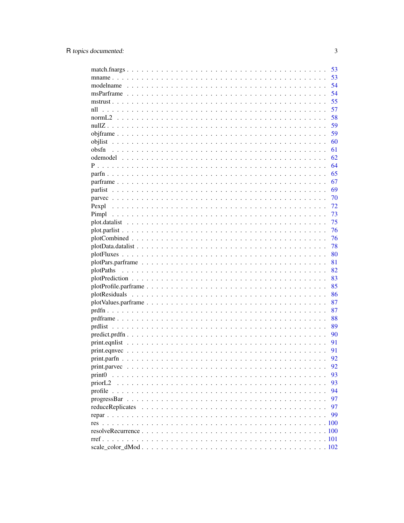|                                                                                                                  | 53 |
|------------------------------------------------------------------------------------------------------------------|----|
|                                                                                                                  | 53 |
|                                                                                                                  | 54 |
|                                                                                                                  | 54 |
|                                                                                                                  | 55 |
| nll                                                                                                              | 57 |
|                                                                                                                  | 58 |
|                                                                                                                  | 59 |
|                                                                                                                  | 59 |
|                                                                                                                  | 60 |
|                                                                                                                  | 61 |
|                                                                                                                  | 62 |
|                                                                                                                  | 64 |
|                                                                                                                  | 65 |
|                                                                                                                  | 67 |
|                                                                                                                  | 69 |
|                                                                                                                  | 70 |
|                                                                                                                  | 72 |
|                                                                                                                  | 73 |
|                                                                                                                  | 75 |
|                                                                                                                  | 76 |
|                                                                                                                  | 76 |
|                                                                                                                  | 78 |
|                                                                                                                  | 80 |
|                                                                                                                  | 81 |
|                                                                                                                  | 82 |
| $plotPrediction \dots \dots \dots \dots \dots \dots \dots \dots \dots \dots \dots \dots \dots \dots \dots \dots$ | 83 |
|                                                                                                                  | 85 |
|                                                                                                                  | 86 |
|                                                                                                                  | 87 |
|                                                                                                                  | 87 |
|                                                                                                                  | 88 |
|                                                                                                                  | 89 |
|                                                                                                                  | 90 |
|                                                                                                                  | 91 |
|                                                                                                                  | 91 |
|                                                                                                                  | 92 |
|                                                                                                                  | 92 |
| print <sub>0</sub><br>$\mathbf{1}$<br>$\ddots$                                                                   | 93 |
| priorL <sub>2</sub>                                                                                              | 93 |
| profile                                                                                                          | 94 |
|                                                                                                                  | 97 |
| reduceReplicates                                                                                                 | 97 |
|                                                                                                                  | 99 |
|                                                                                                                  |    |
|                                                                                                                  |    |
| $rref.$ .                                                                                                        |    |
|                                                                                                                  |    |
|                                                                                                                  |    |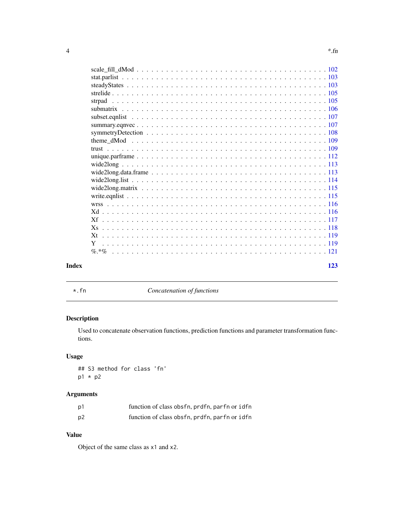<span id="page-3-0"></span>

| <br>-- | $\sim$<br>tn<br> |  |
|--------|------------------|--|
|        |                  |  |

| Index | 123 |
|-------|-----|

\*.fn *Concatenation of functions*

# Description

Used to concatenate observation functions, prediction functions and parameter transformation functions.

# Usage

## S3 method for class 'fn' p1 \* p2

# Arguments

| p1 | function of class obsfn, prdfn, parfn or idfn |  |  |
|----|-----------------------------------------------|--|--|
| p2 | function of class obsfn, prdfn, parfn or idfn |  |  |

# Value

Object of the same class as x1 and x2.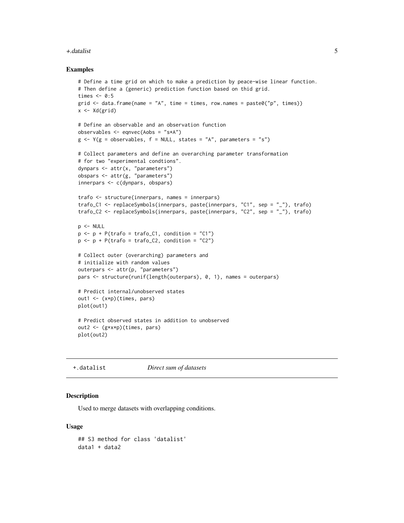#### <span id="page-4-0"></span>+.datalist 5

#### Examples

```
# Define a time grid on which to make a prediction by peace-wise linear function.
# Then define a (generic) prediction function based on thid grid.
times <-0:5grid \leq data.frame(name = "A", time = times, row.names = paste0("p", times))
x <- Xd(grid)
# Define an observable and an observation function
observables <- eqnvec(Aobs = "s*A")
g \leftarrow Y(g = observables, f = NULL, states = "A", parameters = "s")# Collect parameters and define an overarching parameter transformation
# for two "experimental condtions".
dynpars <- attr(x, "parameters")
obspars <- attr(g, "parameters")
innerpars <- c(dynpars, obspars)
trafo <- structure(innerpars, names = innerpars)
trafo_C1 <- replaceSymbols(innerpars, paste(innerpars, "C1", sep = "_"), trafo)
trafo_C2 <- replaceSymbols(innerpars, paste(innerpars, "C2", sep = "_"), trafo)
p <- NULL
p \le -p + P(\text{traf}_0 = \text{traf}_0_0) condition = "C1")
p \leftarrow p + P(\text{trafo} = \text{trafo}_C2, \text{ condition} = "C2")# Collect outer (overarching) parameters and
# initialize with random values
outerpars <- attr(p, "parameters")
pars <- structure(runif(length(outerpars), 0, 1), names = outerpars)
# Predict internal/unobserved states
out1 <- (x*p)(times, pars)
plot(out1)
# Predict observed states in addition to unobserved
out2 <- (g*x*p)(times, pars)
plot(out2)
```
+.datalist *Direct sum of datasets*

# <span id="page-4-1"></span>Description

Used to merge datasets with overlapping conditions.

#### Usage

```
## S3 method for class 'datalist'
data1 + data2
```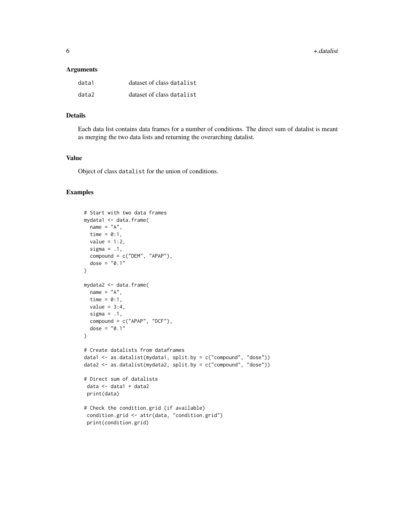6 +.datalist

#### Arguments

| data1 | dataset of class datalist |
|-------|---------------------------|
| data2 | dataset of class datalist |

# Details

Each data list contains data frames for a number of conditions. The direct sum of datalist is meant as merging the two data lists and returning the overarching datalist.

# Value

Object of class datalist for the union of conditions.

```
# Start with two data frames
mydata1 <- data.frame(
 name = "A",
 time = 0:1,
 value = 1:2,
 sigma = .1,
 compound = c("DEM", "APAP"),
  dose = "0.1"\lambdamydata2 <- data.frame(
 name = "A",time = 0:1,
 value = 3:4,
 sigma = .1,
 compound = c("APAP", "DCF"),
 dose = "0.1")
# Create datalists from dataframes
data1 <- as.datalist(mydata1, split.by = c("compound", "dose"))
data2 <- as.datalist(mydata2, split.by = c("compound", "dose"))
# Direct sum of datalists
data <- data1 + data2
 print(data)
# Check the condition.grid (if available)
 condition.grid <- attr(data, "condition.grid")
 print(condition.grid)
```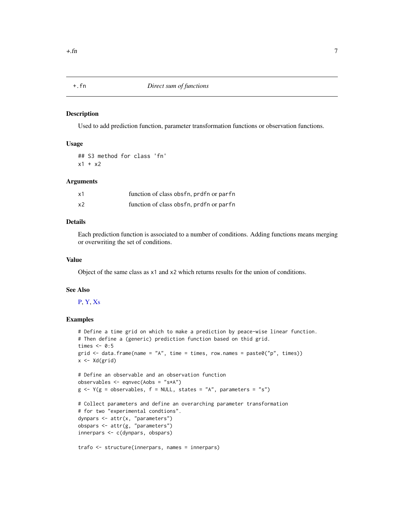#### <span id="page-6-0"></span>Description

Used to add prediction function, parameter transformation functions or observation functions.

#### Usage

## S3 method for class 'fn'  $x1 + x2$ 

# Arguments

| x1 | function of class obsfn, prdfn or parfn |
|----|-----------------------------------------|
| x2 | function of class obsfn, prdfn or parfn |

# Details

Each prediction function is associated to a number of conditions. Adding functions means merging or overwriting the set of conditions.

#### Value

Object of the same class as x1 and x2 which returns results for the union of conditions.

#### See Also

# [P,](#page-63-1) [Y,](#page-118-1) [Xs](#page-117-1)

```
# Define a time grid on which to make a prediction by peace-wise linear function.
# Then define a (generic) prediction function based on thid grid.
times <-0:5grid \le data.frame(name = "A", time = times, row.names = paste0("p", times))
x \leftarrow \text{Xd}(\text{grid})# Define an observable and an observation function
observables <- eqnvec(Aobs = "s*A")
g \leftarrow Y(g = \text{observals} \mid f = \text{NULL}, \text{states} = "A", \text{parameters} = "s")# Collect parameters and define an overarching parameter transformation
# for two "experimental condtions".
dynpars <- attr(x, "parameters")
obspars <- attr(g, "parameters")
innerpars <- c(dynpars, obspars)
trafo <- structure(innerpars, names = innerpars)
```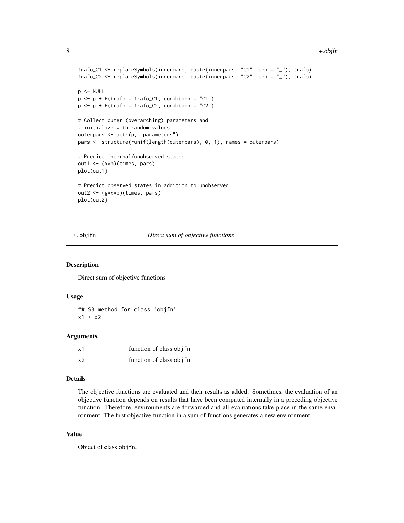#### <span id="page-7-0"></span>8 +.objfn

```
trafo_C1 <- replaceSymbols(innerpars, paste(innerpars, "C1", sep = "_"), trafo)
trafo_C2 <- replaceSymbols(innerpars, paste(innerpars, "C2", sep = "_"), trafo)
p <- NULL
p \leftarrow p + P(\text{traf}_0 = \text{traf}_0_C1, \text{ condition} = "C1")p \leftarrow p + P(\text{traf } o = \text{traf } o_2), condition = "C2")
# Collect outer (overarching) parameters and
# initialize with random values
outerpars <- attr(p, "parameters")
pars <- structure(runif(length(outerpars), 0, 1), names = outerpars)
# Predict internal/unobserved states
out1 <- (x*p)(times, pars)
plot(out1)
# Predict observed states in addition to unobserved
out2 <- (g*x*p)(times, pars)
plot(out2)
```
#### +.objfn *Direct sum of objective functions*

#### Description

Direct sum of objective functions

# Usage

## S3 method for class 'objfn'  $x1 + x2$ 

#### Arguments

| x1 | function of class objet |  |
|----|-------------------------|--|
| x2 | function of class objet |  |

#### Details

The objective functions are evaluated and their results as added. Sometimes, the evaluation of an objective function depends on results that have been computed internally in a preceding objective function. Therefore, environments are forwarded and all evaluations take place in the same environment. The first objective function in a sum of functions generates a new environment.

# Value

Object of class objfn.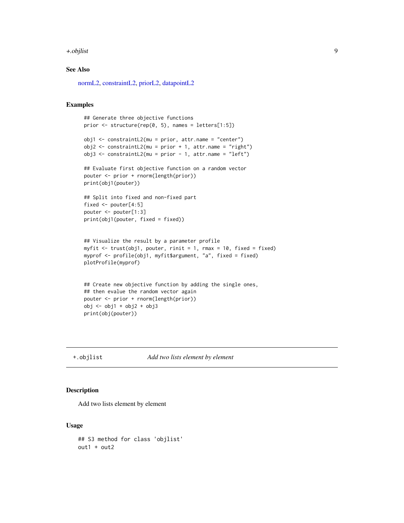#### <span id="page-8-0"></span>+.objlist 9

# See Also

[normL2,](#page-57-1) [constraintL2,](#page-22-1) [priorL2,](#page-92-1) [datapointL2](#page-28-1)

# Examples

```
## Generate three objective functions
prior \le structure(rep(0, 5), names = letters[1:5])
obj1 <- constraintL2(mu = prior, attr.name = "center")
obj2 <- constraintL2(mu = prior + 1, attr.name = "right")
obj3 <- constraintL2(mu = prior - 1, attr.name = "left")
## Evaluate first objective function on a random vector
pouter <- prior + rnorm(length(prior))
print(obj1(pouter))
## Split into fixed and non-fixed part
fixed <- pouter[4:5]
pouter <- pouter[1:3]
print(obj1(pouter, fixed = fixed))
## Visualize the result by a parameter profile
myfit <- trust(obj1, pouter, rinit = 1, rmax = 10, fixed = fixed)
myprof <- profile(obj1, myfit$argument, "a", fixed = fixed)
plotProfile(myprof)
## Create new objective function by adding the single ones,
## then evalue the random vector again
pouter <- prior + rnorm(length(prior))
obj <- obj1 + obj2 + obj3
print(obj(pouter))
```
# +.objlist *Add two lists element by element*

#### Description

Add two lists element by element

#### Usage

## S3 method for class 'objlist' out1 + out2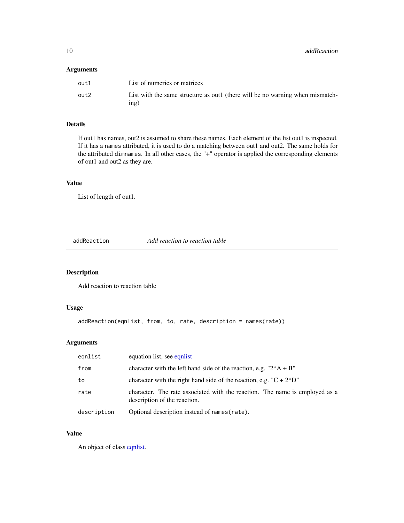<span id="page-9-0"></span>10 addReaction and the control of the control of the control of the control of the control of the control of the control of the control of the control of the control of the control of the control of the control of the cont

# Arguments

| out 1 | List of numerics or matrices                                                           |
|-------|----------------------------------------------------------------------------------------|
| out2  | List with the same structure as out t (there will be no warning when mismatch-<br>ing) |

# Details

If out1 has names, out2 is assumed to share these names. Each element of the list out1 is inspected. If it has a names attributed, it is used to do a matching between out1 and out2. The same holds for the attributed dimnames. In all other cases, the "+" operator is applied the corresponding elements of out1 and out2 as they are.

# Value

List of length of out1.

addReaction *Add reaction to reaction table*

# Description

Add reaction to reaction table

# Usage

```
addReaction(eqnlist, from, to, rate, description = names(rate))
```
# Arguments

| eqnlist     | equation list, see equation                                                                                 |
|-------------|-------------------------------------------------------------------------------------------------------------|
| from        | character with the left hand side of the reaction, e.g. $"2*A + B"$                                         |
| to          | character with the right hand side of the reaction, e.g. $\mathrm{C} + 2\mathrm{D}$ "                       |
| rate        | character. The rate associated with the reaction. The name is employed as a<br>description of the reaction. |
| description | Optional description instead of names (rate).                                                               |

# Value

An object of class [eqnlist.](#page-33-1)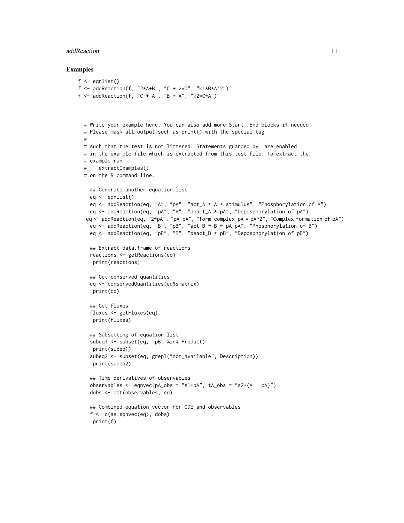#### addReaction 11

```
f \leftarrow \text{equlist}()f <- addReaction(f, "2*A+B", "C + 2*D", "k1*B*A^2")
f \leq addReaction(f, "C + A", "B + A", "k2*C*A")
  # Write your example here. You can also add more Start..End blocks if needed.
  # Please mask all output such as print() with the special tag
  #
  # such that the test is not littered. Statements guarded by are enabled
  # in the example file which is extracted from this test file. To extract the
  # example run
  # extractExamples()
  # on the R command line.
    ## Generate another equation list
    eq <- eqnlist()
    eq <- addReaction(eq, "A", "pA", "act_A * A * stimulus", "Phosphorylation of A")
    eq <- addReaction(eq, "pA", "A", "deact_A * pA", "Deposphorylation of pA")
   eq <- addReaction(eq, "2*pA", "pA_pA", "form_complex_pA * pA^2", "Complex formation of pA")
    eq <- addReaction(eq, "B", "pB", "act_B * B * pA_pA", "Phosphorylation of B")
    eq <- addReaction(eq, "pB", "B", "deact_B * pB", "Deposphorylation of pB")
    ## Extract data.frame of reactions
    reactions <- getReactions(eq)
    print(reactions)
    ## Get conserved quantities
    cq <- conservedQuantities(eq$smatrix)
    print(cq)
    ## Get fluxes
    fluxes <- getFluxes(eq)
    print(fluxes)
    ## Subsetting of equation list
    subeq1 <- subset(eq, "pB" %in% Product)
     print(subeq1)
    subeq2 <- subset(eq, grepl("not_available", Description))
    print(subeq2)
    ## Time derivatives of observables
    observables <- eqnvec(pA_obs = "s1*pA", tA_obs = "s2*(A + pA)")
    dobs <- dot(observables, eq)
    ## Combined equation vector for ODE and observables
    f \leftarrow c(as.eqnvec(eq), dobs)print(f)
```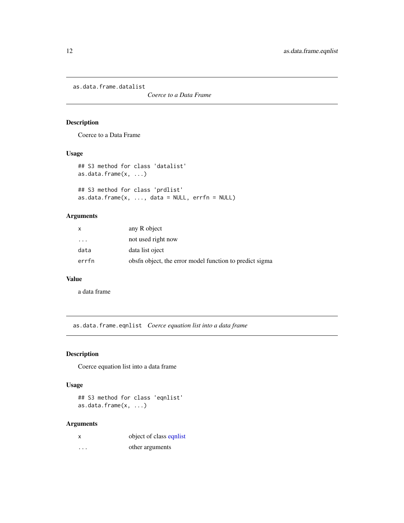<span id="page-11-0"></span>as.data.frame.datalist

*Coerce to a Data Frame*

# Description

Coerce to a Data Frame

# Usage

```
## S3 method for class 'datalist'
as.data.frame(x, ...)
## S3 method for class 'prdlist'
as.data.frame(x, ..., data = NULL, errfn = NULL)
```
# Arguments

| x                       | any R object                                               |
|-------------------------|------------------------------------------------------------|
| $\cdot$ $\cdot$ $\cdot$ | not used right now                                         |
| data                    | data list oject                                            |
| errfn                   | obsthese object, the error model function to predict sigma |

# Value

a data frame

as.data.frame.eqnlist *Coerce equation list into a data frame*

# Description

Coerce equation list into a data frame

# Usage

## S3 method for class 'eqnlist' as.data.frame(x, ...)

# Arguments

| x | object of class equist |
|---|------------------------|
| . | other arguments        |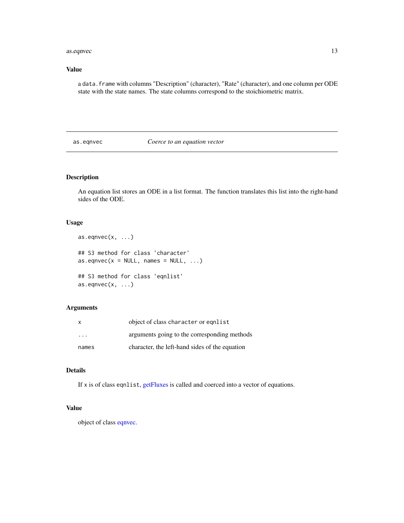#### <span id="page-12-0"></span>as.eqnvec 13

# Value

a data.frame with columns "Description" (character), "Rate" (character), and one column per ODE state with the state names. The state columns correspond to the stoichiometric matrix.

# as.eqnvec *Coerce to an equation vector*

# Description

An equation list stores an ODE in a list format. The function translates this list into the right-hand sides of the ODE.

#### Usage

```
as.eqnvec(x, \ldots)## S3 method for class 'character'
as. eqnvec(x = NULL, names = NULL, ...)
## S3 method for class 'eqnlist'
as.eqnvec(x, \ldots)
```
# Arguments

| X                       | object of class character or equist            |
|-------------------------|------------------------------------------------|
| $\cdot$ $\cdot$ $\cdot$ | arguments going to the corresponding methods   |
| names                   | character, the left-hand sides of the equation |

# Details

If x is of class eqnlist, [getFluxes](#page-43-1) is called and coerced into a vector of equations.

# Value

object of class [eqnvec.](#page-35-1)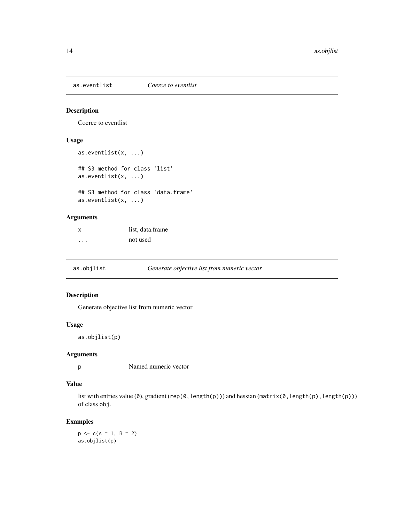<span id="page-13-0"></span>as.eventlist *Coerce to eventlist*

#### Description

Coerce to eventlist

# Usage

```
as.eventlist(x, ...)
## S3 method for class 'list'
as.eventlist(x, ...)
## S3 method for class 'data.frame'
as.eventlist(x, ...)
```
# Arguments

| X       | list. data.frame |
|---------|------------------|
| $\cdot$ | not used         |

as.objlist *Generate objective list from numeric vector*

# Description

Generate objective list from numeric vector

# Usage

as.objlist(p)

# Arguments

p Named numeric vector

# Value

list with entries value (0), gradient (rep(0, length(p))) and hessian (matrix(0, length(p), length(p))) of class obj.

# Examples

 $p \leftarrow c(A = 1, B = 2)$ as.objlist(p)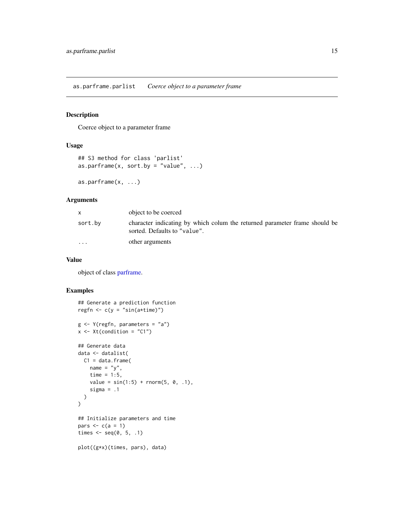<span id="page-14-0"></span>as.parframe.parlist *Coerce object to a parameter frame*

# <span id="page-14-1"></span>Description

Coerce object to a parameter frame

# Usage

```
## S3 method for class 'parlist'
as.parframe(x, sort.by = "value", \dots)
```

```
as.parframe(x, ...)
```
# Arguments

|                         | object to be coerced                                                                                       |
|-------------------------|------------------------------------------------------------------------------------------------------------|
| sort.by                 | character indicating by which colum the returned parameter frame should be<br>sorted. Defaults to "value". |
| $\cdot$ $\cdot$ $\cdot$ | other arguments                                                                                            |

#### Value

object of class [parframe.](#page-66-1)

```
## Generate a prediction function
regfn \leq c(y = "sin(a*time)")
g <- Y(regfn, parameters = "a")
x \le -Xt(condition = "C1")
## Generate data
data <- datalist(
 C1 = data-frame(name = "y",time = 1:5,
    value = sin(1:5) + rnorm(5, 0, .1),sigma = .1)
\mathcal{L}## Initialize parameters and time
pars \leq c(a = 1)times \leq seq(0, 5, .1)
plot((g*x)(times, pars), data)
```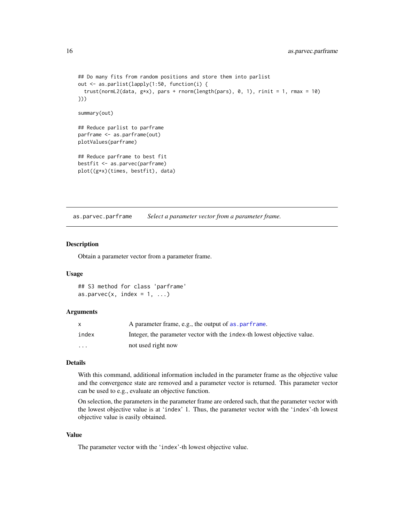```
## Do many fits from random positions and store them into parlist
out <- as.parlist(lapply(1:50, function(i) {
  trust(normL2(data, gxx), pars + rnorm(length(pars), 0, 1), rinit = 1, rmax = 10)
}))
summary(out)
## Reduce parlist to parframe
parframe <- as.parframe(out)
plotValues(parframe)
## Reduce parframe to best fit
bestfit <- as.parvec(parframe)
plot((g*x)(times, bestfit), data)
```
as.parvec.parframe *Select a parameter vector from a parameter frame.*

#### Description

Obtain a parameter vector from a parameter frame.

#### Usage

## S3 method for class 'parframe' as.parvec(x, index =  $1, ...$ )

#### Arguments

|                         | A parameter frame, e.g., the output of as . parframe.                   |
|-------------------------|-------------------------------------------------------------------------|
| index                   | Integer, the parameter vector with the index-th lowest objective value. |
| $\cdot$ $\cdot$ $\cdot$ | not used right now                                                      |

# Details

With this command, additional information included in the parameter frame as the objective value and the convergence state are removed and a parameter vector is returned. This parameter vector can be used to e.g., evaluate an objective function.

On selection, the parameters in the parameter frame are ordered such, that the parameter vector with the lowest objective value is at 'index' 1. Thus, the parameter vector with the 'index'-th lowest objective value is easily obtained.

# Value

The parameter vector with the 'index'-th lowest objective value.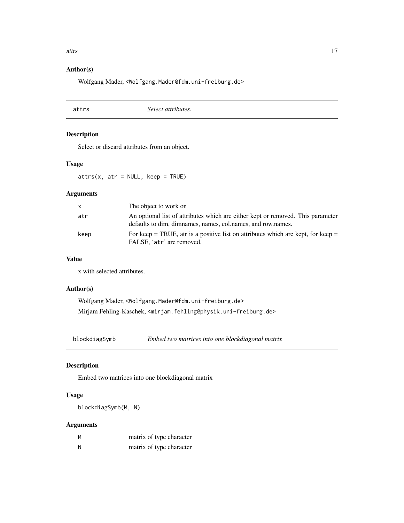#### <span id="page-16-0"></span>attrs and the contract of the contract of the contract of the contract of the contract of the contract of the contract of the contract of the contract of the contract of the contract of the contract of the contract of the

# Author(s)

Wolfgang Mader, <Wolfgang.Mader@fdm.uni-freiburg.de>

attrs *Select attributes.*

# Description

Select or discard attributes from an object.

# Usage

 $attrs(x, atr = NULL, keep = TRUE)$ 

# Arguments

| x.   | The object to work on                                                                                                                          |
|------|------------------------------------------------------------------------------------------------------------------------------------------------|
| atr  | An optional list of attributes which are either kept or removed. This parameter<br>defaults to dim, dimnames, names, col.names, and row.names. |
| keep | For keep = TRUE, atr is a positive list on attributes which are kept, for keep =<br>FALSE, 'atr' are removed.                                  |

#### Value

x with selected attributes.

#### Author(s)

Wolfgang Mader, <Wolfgang.Mader@fdm.uni-freiburg.de> Mirjam Fehling-Kaschek, <mirjam.fehling@physik.uni-freiburg.de>

blockdiagSymb *Embed two matrices into one blockdiagonal matrix*

# Description

Embed two matrices into one blockdiagonal matrix

# Usage

blockdiagSymb(M, N)

# Arguments

| M | matrix of type character |
|---|--------------------------|
| N | matrix of type character |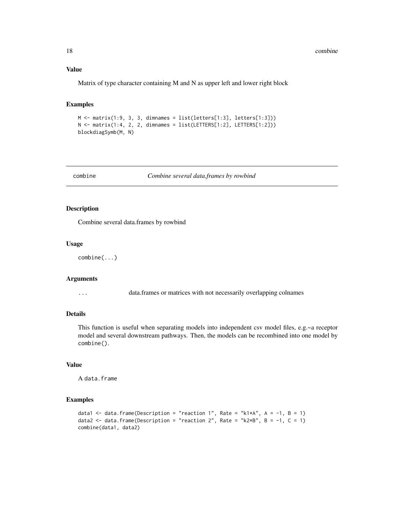#### Value

Matrix of type character containing M and N as upper left and lower right block

#### Examples

```
M <- matrix(1:9, 3, 3, dimnames = list(letters[1:3], letters[1:3]))
N \leq - matrix(1:4, 2, 2, dimnames = list(LETTERS[1:2], LETTERS[1:2]))
blockdiagSymb(M, N)
```
combine *Combine several data.frames by rowbind*

#### Description

Combine several data.frames by rowbind

#### Usage

combine(...)

#### Arguments

... data.frames or matrices with not necessarily overlapping colnames

#### Details

This function is useful when separating models into independent csv model files, e.g.~a receptor model and several downstream pathways. Then, the models can be recombined into one model by combine().

# Value

A data.frame

```
data1 <- data.frame(Description = "reaction 1", Rate = "k1*A", A = -1, B = 1)
data2 <- data.frame(Description = "reaction 2", Rate = "k2*B", B = -1, C = 1)
combine(data1, data2)
```
<span id="page-17-0"></span>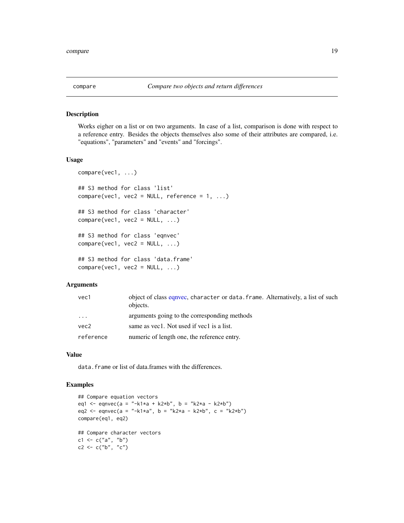<span id="page-18-0"></span>

#### Description

Works eigher on a list or on two arguments. In case of a list, comparison is done with respect to a reference entry. Besides the objects themselves also some of their attributes are compared, i.e. "equations", "parameters" and "events" and "forcings".

# Usage

```
compare(vec1, ...)
## S3 method for class 'list'
compare(vec1, vec2 = NULL, reference = 1, ...)## S3 method for class 'character'
compare(vec1, vec2 = NULL, ...)## S3 method for class 'eqnvec'
compare(vec1, vec2 = NULL, ...)## S3 method for class 'data.frame'
compare(vec1, vec2 = NULL, ...)
```
#### Arguments

| vec1      | object of class equivec, character or data, frame. Alternatively, a list of such<br>objects. |
|-----------|----------------------------------------------------------------------------------------------|
| $\cdots$  | arguments going to the corresponding methods                                                 |
| vec2      | same as yec1. Not used if yec1 is a list.                                                    |
| reference | numeric of length one, the reference entry.                                                  |

# Value

data. frame or list of data.frames with the differences.

```
## Compare equation vectors
eq1 <- eqnvec(a = "-k1*a + k2*b", b = "k2*a - k2*b")
eq2 <- eqnvec(a = "-k1*a", b = "k2*a - k2*b", c = "k2*b")
compare(eq1, eq2)
## Compare character vectors
c1 < -c("a", "b")c2 < -c("b", "c")
```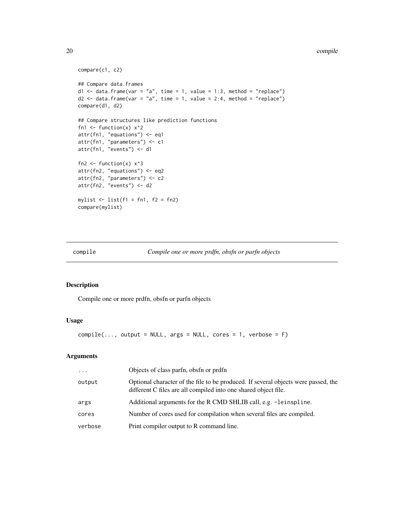#### <span id="page-19-0"></span>20 compile to the compile of the compile of the compile of the compile of the compile of the compile of the compile of the compile of the compile of the compile of the compile of the compile of the compile of the compile o

```
compare(c1, c2)
## Compare data.frames
d1 \le data.frame(var = "a", time = 1, value = 1:3, method = "replace")
d2 \le - data.frame(var = "a", time = 1, value = 2:4, method = "replace")
compare(d1, d2)
## Compare structures like prediction functions
fn1 \le function(x) x^2attr(fn1, "equations") <- eq1
attr(fn1, "parameters") <- c1
attr(fn1, "events") <- d1
fn2 \le function(x) x^3attr(fn2, "equations") <- eq2
attr(fn2, "parameters") <- c2
attr(fn2, "events") <- d2
mylist \leftarrow list(f1 = fn1, f2 = fn2)
compare(mylist)
```
compile *Compile one or more prdfn, obsfn or parfn objects*

# Description

Compile one or more prdfn, obsfn or parfn objects

#### Usage

```
compile(\ldots, output = NULL, args = NULL, cores = 1, verbose = F)
```
# Arguments

| $\cdots$ | Objects of class parfn, obsfn or prdfn                                                                                                                |
|----------|-------------------------------------------------------------------------------------------------------------------------------------------------------|
| output   | Optional character of the file to be produced. If several objects were passed, the<br>different C files are all compiled into one shared object file. |
| args     | Additional arguments for the R CMD SHLIB call, e.g. -leinspline.                                                                                      |
| cores    | Number of cores used for compilation when several files are compiled.                                                                                 |
| verbose  | Print compiler output to R command line.                                                                                                              |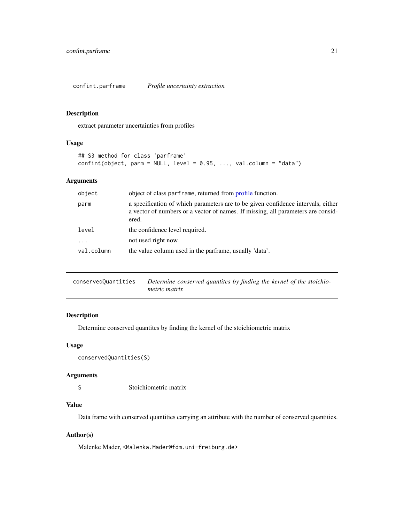<span id="page-20-0"></span>confint.parframe *Profile uncertainty extraction*

# Description

extract parameter uncertainties from profiles

#### Usage

```
## S3 method for class 'parframe'
confint(object, parm = NULL, level = 0.95, ..., val-column = "data")
```
# Arguments

| object     | object of class parframe, returned from profile function.                                                                                                                     |
|------------|-------------------------------------------------------------------------------------------------------------------------------------------------------------------------------|
| parm       | a specification of which parameters are to be given confidence intervals, either<br>a vector of numbers or a vector of names. If missing, all parameters are consid-<br>ered. |
| level      | the confidence level required.                                                                                                                                                |
| $\cdots$   | not used right now.                                                                                                                                                           |
| val.column | the value column used in the parframe, usually 'data'.                                                                                                                        |
|            |                                                                                                                                                                               |

| conservedOuantities | Determine conserved quantites by finding the kernel of the stoichio- |
|---------------------|----------------------------------------------------------------------|
|                     | <i>metric matrix</i>                                                 |

# Description

Determine conserved quantites by finding the kernel of the stoichiometric matrix

# Usage

```
conservedQuantities(S)
```
#### Arguments

S Stoichiometric matrix

# Value

Data frame with conserved quantities carrying an attribute with the number of conserved quantities.

# Author(s)

Malenke Mader, <Malenka.Mader@fdm.uni-freiburg.de>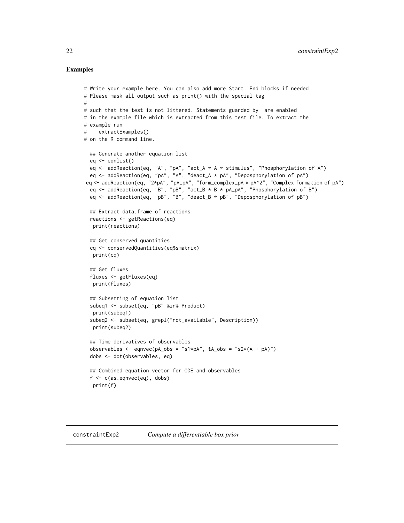```
# Write your example here. You can also add more Start..End blocks if needed.
# Please mask all output such as print() with the special tag
#
# such that the test is not littered. Statements guarded by are enabled
# in the example file which is extracted from this test file. To extract the
# example run
# extractExamples()
# on the R command line.
  ## Generate another equation list
  eq <- eqnlist()
  eq <- addReaction(eq, "A", "pA", "act_A * A * stimulus", "Phosphorylation of A")
  eq <- addReaction(eq, "pA", "A", "deact_A * pA", "Deposphorylation of pA")
 eq <- addReaction(eq, "2*pA", "pA_pA", "form_complex_pA * pA^2", "Complex formation of pA")
  eq <- addReaction(eq, "B", "pB", "act_B * B * pA_pA", "Phosphorylation of B")
  eq <- addReaction(eq, "pB", "B", "deact_B * pB", "Deposphorylation of pB")
  ## Extract data.frame of reactions
  reactions <- getReactions(eq)
  print(reactions)
  ## Get conserved quantities
  cq <- conservedQuantities(eq$smatrix)
  print(cq)
  ## Get fluxes
  fluxes <- getFluxes(eq)
  print(fluxes)
  ## Subsetting of equation list
  subeq1 <- subset(eq, "pB" %in% Product)
   print(subeq1)
  subeq2 <- subset(eq, grepl("not_available", Description))
   print(subeq2)
  ## Time derivatives of observables
  observables <- eqnvec(pA_obs = "s1*pA", tA_obs = "s2*(A + pA)")
  dobs <- dot(observables, eq)
  ## Combined equation vector for ODE and observables
  f \leftarrow c(as.eqnvec(eq), dobs)print(f)
```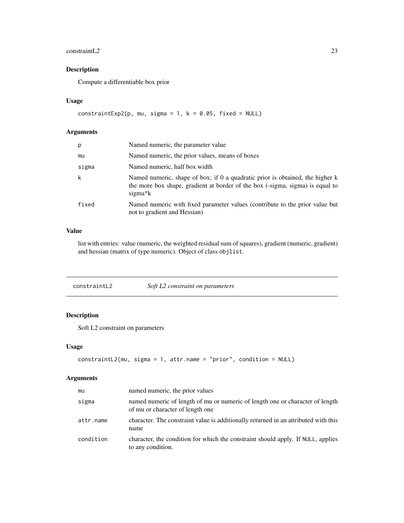# <span id="page-22-0"></span>constraint L2 23

# Description

Compute a differentiable box prior

#### Usage

```
constraintExp2(p, mu, sigma = 1, k = 0.05, fixed = NULL)
```
# Arguments

| p     | Named numeric, the parameter value                                                                                                                                                     |
|-------|----------------------------------------------------------------------------------------------------------------------------------------------------------------------------------------|
| mu    | Named numeric, the prior values, means of boxes                                                                                                                                        |
| sigma | Named numeric, half box width                                                                                                                                                          |
| k     | Named numeric, shape of box; if 0 a quadratic prior is obtained, the higher k<br>the more box shape, gradient at border of the box (-sigma, sigma) is equal to<br>sigma <sup>*</sup> k |
| fixed | Named numeric with fixed parameter values (contribute to the prior value but<br>not to gradient and Hessian)                                                                           |

# Value

list with entries: value (numeric, the weighted residual sum of squares), gradient (numeric, gradient) and hessian (matrix of type numeric). Object of class objlist.

<span id="page-22-1"></span>

| constraintL2 | Soft L2 constraint on parameters |
|--------------|----------------------------------|
|--------------|----------------------------------|

# Description

Soft L2 constraint on parameters

# Usage

```
constraintL2(mu, sigma = 1, attr.name = "prior", condition = NULL)
```
# Arguments

| mu        | named numeric, the prior values                                                                                   |
|-----------|-------------------------------------------------------------------------------------------------------------------|
| sigma     | named numeric of length of mu or numeric of length one or character of length<br>of mu or character of length one |
| attr.name | character. The constraint value is additionally returned in an attributed with this<br>name                       |
| condition | character, the condition for which the constraint should apply. If NULL, applies<br>to any condition.             |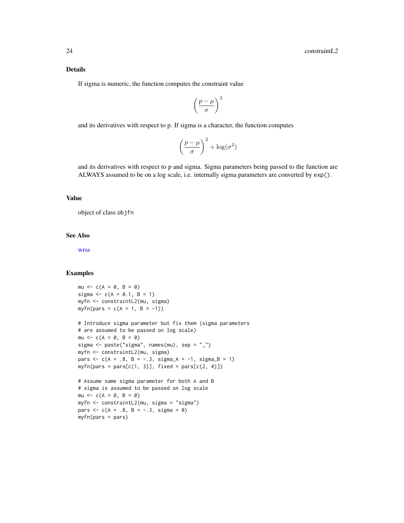#### Details

If sigma is numeric, the function computes the constraint value

$$
\left(\frac{p-\mu}{\sigma}\right)^2
$$

and its derivatives with respect to p. If sigma is a character, the function computes

$$
\left(\frac{p-\mu}{\sigma}\right)^2 + \log(\sigma^2)
$$

and its derivatives with respect to p and sigma. Sigma parameters being passed to the function are ALWAYS assumed to be on a log scale, i.e. internally sigma parameters are converted by exp().

# Value

object of class objfn

# See Also

[wrss](#page-115-1)

```
mu \le -c(A = 0, B = 0)sigma <- c(A = 0.1, B = 1)
myfn <- constraintL2(mu, sigma)
myfn(pars = c(A = 1, B = -1))
# Introduce sigma parameter but fix them (sigma parameters
# are assumed to be passed on log scale)
mu \leftarrow c(A = 0, B = 0)sigma \leq paste("sigma", names(mu), sep = "_")
myfn <- constraintL2(mu, sigma)
pars <-c(A = .8, B = -.3, sigma_A = -1, sigma_B = 1)myfn(pars = pars[c(1, 3)], fixed = pars[c(2, 4)])# Assume same sigma parameter for both A and B
# sigma is assumed to be passed on log scale
mu \le -c(A = 0, B = 0)myfn <- constraintL2(mu, sigma = "sigma")
pars <-c(A = .8, B = -.3, sigma = 0)myfn(pars = pars)
```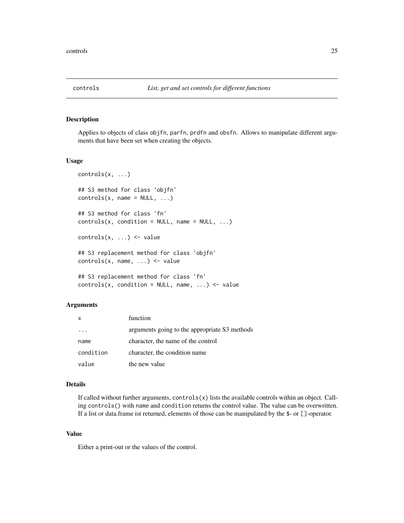<span id="page-24-0"></span>

# Description

Applies to objects of class objfn, parfn, prdfn and obsfn. Allows to manipulate different arguments that have been set when creating the objects.

#### Usage

```
controls(x, ...)
## S3 method for class 'objfn'
controls(x, name = NULL, ...)## S3 method for class 'fn'
controls(x, condition = NULL, name = NULL, ...)controls(x, ...) \leftarrow value## S3 replacement method for class 'objfn'
controls(x, name, ...) <- value
## S3 replacement method for class 'fn'
controls(x, condition = NULL, name, ...) \le value
```
# Arguments

| X         | function                                      |
|-----------|-----------------------------------------------|
|           | arguments going to the appropriate S3 methods |
| name      | character, the name of the control            |
| condition | character, the condition name                 |
| value     | the new value                                 |

#### Details

If called without further arguments, controls(x) lists the available controls within an object. Calling controls() with name and condition returns the control value. The value can be overwritten. If a list or data.frame ist returned, elements of those can be manipulated by the \$- or []-operator.

#### Value

Either a print-out or the values of the control.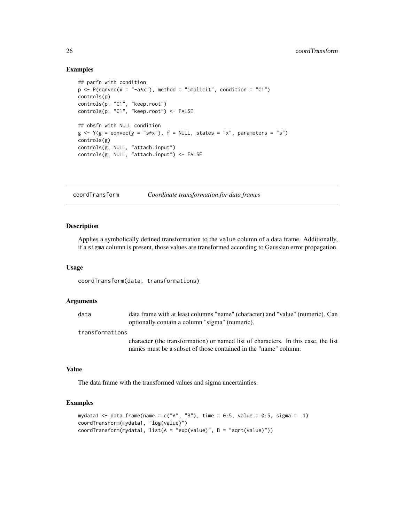# Examples

```
## parfn with condition
p \leftarrow P(eqnvec(x = "-a*x"), method = "implicit", condition = "C1")
controls(p)
controls(p, "C1", "keep.root")
controls(p, "C1", "keep-root") \leftarrow FALSE## obsfn with NULL condition
g \leftarrow Y(g = \text{eqnvec}(y = "s*x"), f = NULL, states = "x", parameters = "s")controls(g)
controls(g, NULL, "attach.input")
controls(g, NULL, "attach.input") <- FALSE
```
coordTransform *Coordinate transformation for data frames*

#### Description

Applies a symbolically defined transformation to the value column of a data frame. Additionally, if a sigma column is present, those values are transformed according to Gaussian error propagation.

#### Usage

```
coordTransform(data, transformations)
```
#### Arguments

data data frame with at least columns "name" (character) and "value" (numeric). Can optionally contain a column "sigma" (numeric).

#### transformations

character (the transformation) or named list of characters. In this case, the list names must be a subset of those contained in the "name" column.

# Value

The data frame with the transformed values and sigma uncertainties.

```
mydata1 <- data.frame(name = c("A", "B"), time = 0:5, value = 0:5, sigma = .1)
coordTransform(mydata1, "log(value)")
coordTransform(mydata1, list(A = "exp(value)", B = "sqrt(value)"))
```
<span id="page-25-0"></span>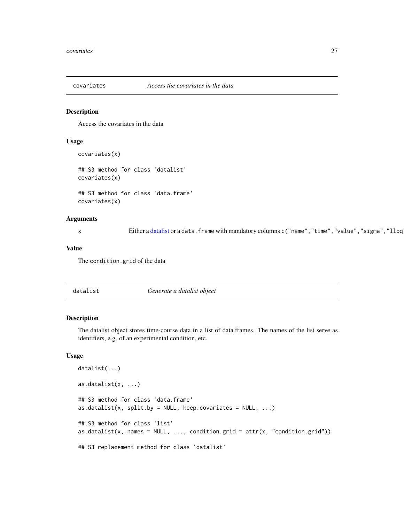<span id="page-26-2"></span><span id="page-26-0"></span>

#### Description

Access the covariates in the data

# Usage

```
covariates(x)
## S3 method for class 'datalist'
covariates(x)
```

```
## S3 method for class 'data.frame'
covariates(x)
```
#### Arguments

x Either a [datalist](#page-26-1) or a data.frame with mandatory columns c("name","time","value","sigma","lloq

#### Value

The condition.grid of the data

<span id="page-26-1"></span>

| datalist | Generate a datalist object |
|----------|----------------------------|
|----------|----------------------------|

#### Description

The datalist object stores time-course data in a list of data.frames. The names of the list serve as identifiers, e.g. of an experimental condition, etc.

#### Usage

```
datalist(...)
as.datalist(x, ...)
## S3 method for class 'data.frame'
as.datalist(x, split.by = NULL, keep.covariates = NULL, \dots)
## S3 method for class 'list'
as.datalist(x, names = NULL, ..., condition.grid = attr(x, "condition.grid"))
## S3 replacement method for class 'datalist'
```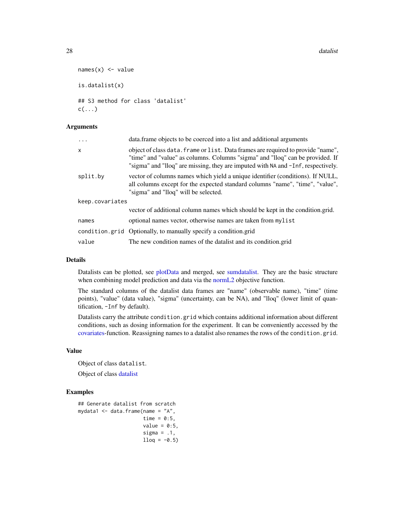```
names(x) <- value
is.datalist(x)
## S3 method for class 'datalist'
c(\ldots)
```
#### Arguments

| $\ddots$ .      | data. frame objects to be coerced into a list and additional arguments                                                                                                                                                                                |
|-----------------|-------------------------------------------------------------------------------------------------------------------------------------------------------------------------------------------------------------------------------------------------------|
| X               | object of class data, frame or list. Data frames are required to provide "name".<br>"time" and "value" as columns. Columns "sigma" and "lloq" can be provided. If<br>"sigma" and "lloq" are missing, they are imputed with NA and -Inf, respectively. |
| split.by        | vector of columns names which yield a unique identifier (conditions). If NULL,<br>all columns except for the expected standard columns "name", "time", "value",<br>"sigma" and "lloq" will be selected.                                               |
| keep.covariates |                                                                                                                                                                                                                                                       |
|                 | vector of additional column names which should be kept in the condition.grid.                                                                                                                                                                         |
| names           | optional names vector, otherwise names are taken from mylist                                                                                                                                                                                          |
|                 | condition.grid Optionally, to manually specify a condition.grid                                                                                                                                                                                       |
| value           | The new condition names of the datalist and its condition grid                                                                                                                                                                                        |

#### Details

Datalists can be plotted, see [plotData](#page-77-1) and merged, see [sumdatalist.](#page-4-1) They are the basic structure when combining model prediction and data via the [normL2](#page-57-1) objective function.

The standard columns of the datalist data frames are "name" (observable name), "time" (time points), "value" (data value), "sigma" (uncertainty, can be NA), and "lloq" (lower limit of quantification, -Inf by default).

Datalists carry the attribute condition.grid which contains additional information about different conditions, such as dosing information for the experiment. It can be conveniently accessed by the [covariates-](#page-26-2)function. Reassigning names to a datalist also renames the rows of the condition.grid.

# Value

Object of class datalist.

Object of class [datalist](#page-26-1)

```
## Generate datalist from scratch
mydata1 <- data.frame(name = "A",
                     time = 0:5,
                     value = 0:5,
                     sigma = .1,
                     llog = -0.5
```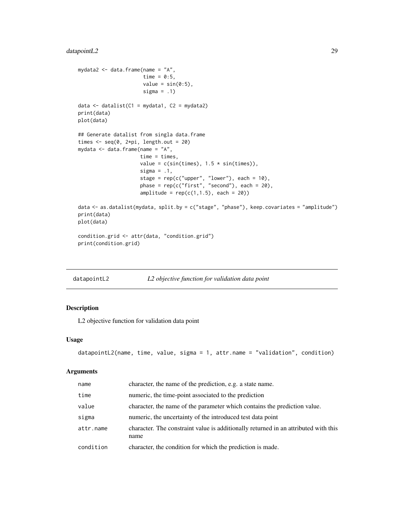# <span id="page-28-0"></span>datapointL2 29

```
mydata2 \leq data.frame(name = "A",
                     time = 0:5,
                      value = sin(0:5),
                      sigma = .1)
data \le datalist(C1 = mydata1, C2 = mydata2)
print(data)
plot(data)
## Generate datalist from singla data.frame
times \leq seq(0, 2*pi, length.out = 20)
mydata <- data.frame(name = "A",
                     time = times,
                     value = c(sin(times), 1.5 * sin(times)),sigma = .1,
                     stage = rep(c("upper", "lower"), each = 10),phase = rep(c("first", "second"), each = 20),
                     amplitude = rep(c(1,1.5), each = 20)data <- as.datalist(mydata, split.by = c("stage", "phase"), keep.covariates = "amplitude")
print(data)
plot(data)
condition.grid <- attr(data, "condition.grid")
print(condition.grid)
```
<span id="page-28-1"></span>

| datapointL2 | L2 objective function for validation data point |  |
|-------------|-------------------------------------------------|--|
|             |                                                 |  |

#### Description

L2 objective function for validation data point

#### Usage

```
datapointL2(name, time, value, sigma = 1, attr.name = "validation", condition)
```
#### Arguments

| name      | character, the name of the prediction, e.g. a state name.                                   |
|-----------|---------------------------------------------------------------------------------------------|
| time      | numeric, the time-point associated to the prediction                                        |
| value     | character, the name of the parameter which contains the prediction value.                   |
| sigma     | numeric, the uncertainty of the introduced test data point                                  |
| attr.name | character. The constraint value is additionally returned in an attributed with this<br>name |
| condition | character, the condition for which the prediction is made.                                  |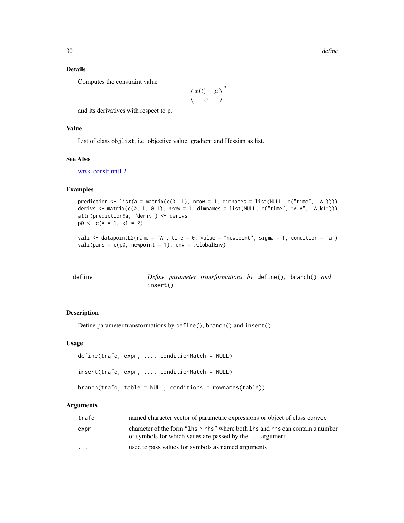# Details

Computes the constraint value

$$
\left(\frac{x(t)-\mu}{\sigma}\right)^2
$$

and its derivatives with respect to p.

# Value

List of class objlist, i.e. objective value, gradient and Hessian as list.

#### See Also

[wrss,](#page-115-1) [constraintL2](#page-22-1)

# Examples

```
prediction \le list(a = matrix(c(0, 1), nrow = 1, dimnames = list(NULL, c("time", "A"))))
derivs \le matrix(c(0, 1, 0.1), nrow = 1, dimnames = list(NULL, c("time", "A.A", "A.k1")))
attr(prediction$a, "deriv") <- derivs
p0 \leq -c(A = 1, k1 = 2)
```

```
vali \le datapointL2(name = "A", time = 0, value = "newpoint", sigma = 1, condition = "a")
vali(pars = c(p\theta, newpoint = 1), env = .GlobalEnv)
```

| define |          | Define parameter transformations by define(), branch() and |  |  |
|--------|----------|------------------------------------------------------------|--|--|
|        | insert() |                                                            |  |  |

# Description

Define parameter transformations by define(), branch() and insert()

#### Usage

```
define(trafo, expr, ..., conditionMatch = NULL)
insert(trafo, expr, ..., conditionMatch = NULL)
branch(trafo, table = NULL, conditions = rownames(table))
```
#### Arguments

| trafo                   | named character vector of parametric expressions or object of class equivec                                                                  |
|-------------------------|----------------------------------------------------------------------------------------------------------------------------------------------|
| expr                    | character of the form "1hs $\sim$ rhs" where both 1hs and rhs can contain a number<br>of symbols for which vaues are passed by the  argument |
| $\cdot$ $\cdot$ $\cdot$ | used to pass values for symbols as named arguments                                                                                           |

<span id="page-29-0"></span>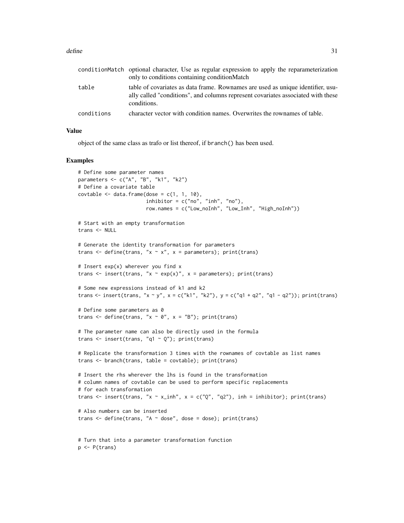#### define 31

|            | conditionMatch optional character, Use as regular expression to apply the reparameterization<br>only to conditions containing condition Match                                      |
|------------|------------------------------------------------------------------------------------------------------------------------------------------------------------------------------------|
| table      | table of covariates as data frame. Rownames are used as unique identifier, usu-<br>ally called "conditions", and columns represent covariates associated with these<br>conditions. |
| conditions | character vector with condition names. Overwrites the rownames of table.                                                                                                           |

#### Value

object of the same class as trafo or list thereof, if branch() has been used.

```
# Define some parameter names
parameters <- c("A", "B", "k1", "k2")
# Define a covariate table
covtable \leq data.frame(dose = c(1, 1, 10),
                       inhibitor = c("no", "inh", "no"),
                       row.names = c("Low_noInh", "Low_Inh", "High_noInh"))
# Start with an empty transformation
trans <- NULL
# Generate the identity transformation for parameters
trans \leq define(trans, "x \sim x", x = parameters); print(trans)
# Insert exp(x) wherever you find x
trans \le insert(trans, "x \sim exp(x)", x = parameters); print(trans)
# Some new expressions instead of k1 and k2
trans <- insert(trans, "x ~ y", x = c("k1", "k2"), y = c("q1 + q2", "q1 - q2")); print(trans)
# Define some parameters as 0
trans \leq define(trans, "x \sim 0", x = "B"); print(trans)
# The parameter name can also be directly used in the formula
trans \leq insert(trans, "q1 \sim Q"); print(trans)
# Replicate the transformation 3 times with the rownames of covtable as list names
trans <- branch(trans, table = covtable); print(trans)
# Insert the rhs wherever the lhs is found in the transformation
# column names of covtable can be used to perform specific replacements
# for each transformation
trans <- insert(trans, "x ~ x_inh", x = c("Q", "q2"), inh = inhibitor); print(trans)
# Also numbers can be inserted
trans <- define(trans, "A ~ dose", dose = dose); print(trans)
# Turn that into a parameter transformation function
p <- P(trans)
```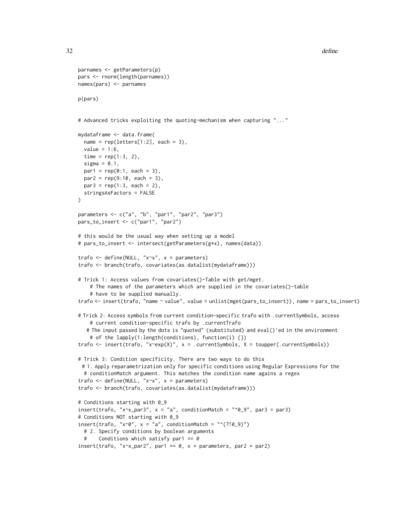```
32 define
```

```
parnames <- getParameters(p)
pars <- rnorm(length(parnames))
names(pars) <- parnames
p(pars)
# Advanced tricks exploiting the quoting-mechanism when capturing "..."
mydataframe <- data.frame(
 name = rep(leftters[1:2], each = 3),value = 1:6,
 time = rep(1:3, 2),sigma = 0.1,
 par1 = rep(0:1, each = 3),par2 = rep(9:10, each = 3),par3 = rep(1:3, each = 2),stringsAsFactors = FALSE
\lambdaparameters <- c("a", "b", "par1", "par2", "par3")
pars_to_insert <- c("par1", "par2")
# this would be the usual way when setting up a model
# pars_to_insert <- intersect(getParameters(g*x), names(data))
trafo <- define(NULL, "x~x", x = parameters)
trafo <- branch(trafo, covariates(as.datalist(mydataframe)))
# Trick 1: Access values from covariates()-Table with get/mget.
    # The names of the parameters which are supplied in the covariates()-table
    # have to be supplied manually.
trafo <- insert(trafo, "name ~ value", value = unlist(mget(pars_to_insert)), name = pars_to_insert)
# Trick 2: Access symbols from current condition-specific trafo with .currentSymbols, access
    # current condition-specific trafo by .currentTrafo
  # The input passed by the dots is "quoted" (substituted) and eval()'ed in the environment
    # of the lapply(1:length(conditions), function(i) {})
trafo <- insert(trafo, "x~exp(X)", x = .currentSymbols, X = toupper(.currentSymbols))
# Trick 3: Condition specificity. There are two ways to do this
 # 1. Apply reparametrization only for specific conditions using Regular Expressions for the
 # conditionMatch argument. This matches the condition name agains a regex
trafo <- define(NULL, "x~x", x = parameters)
trafo <- branch(trafo, covariates(as.datalist(mydataframe)))
# Conditions starting with 0_9
insert(trafo, "xx<sub>-</sub>par3", x = "a", conditionMatch = "0.9", par3 = par3)
# Conditions NOT starting with 0_9
insert(trafo, "x~0", x = "a", conditionMatch = "^(?!0_9)")
 # 2. Specify conditions by boolean arguments
 # Conditions which satisfy par1 == 0
insert(trafo, "x~x_par2", par1 == 0, x = parameters, par2 = par2)
```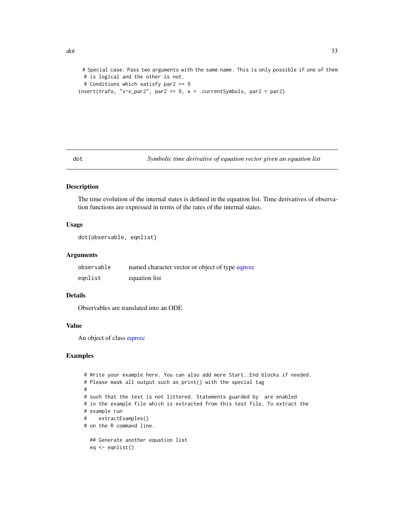```
# Special case: Pass two arguments with the same name. This is only possible if one of them
 # is logical and the other is not.
 # Conditions which satisfy par2 == 9
insert(trafo, "xx^2, par2 == 9, x = .currentSymbols, par2 = par2)
```
dot *Symbolic time derivative of equation vector given an equation list*

#### Description

The time evolution of the internal states is defined in the equation list. Time derivatives of observation functions are expressed in terms of the rates of the internal states.

#### Usage

```
dot(observable, eqnlist)
```
# Arguments

| observable | named character vector or object of type equivec |
|------------|--------------------------------------------------|
| eqnlist    | equation list                                    |

# Details

Observables are translated into an ODE

#### Value

An object of class [eqnvec](#page-35-1)

```
# Write your example here. You can also add more Start..End blocks if needed.
# Please mask all output such as print() with the special tag
#
# such that the test is not littered. Statements guarded by are enabled
# in the example file which is extracted from this test file. To extract the
# example run
# extractExamples()
# on the R command line.
  ## Generate another equation list
  eq <- eqnlist()
```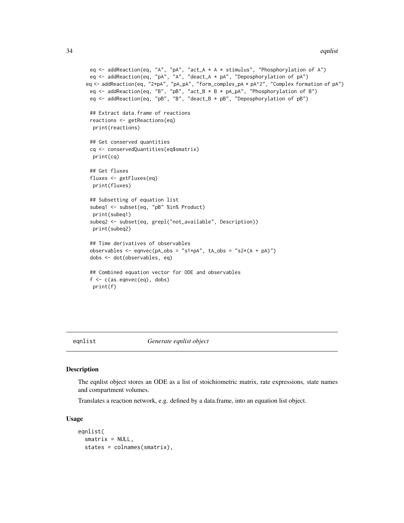```
eq <- addReaction(eq, "A", "pA", "act_A * A * stimulus", "Phosphorylation of A")
 eq <- addReaction(eq, "pA", "A", "deact_A * pA", "Deposphorylation of pA")
eq <- addReaction(eq, "2*pA", "pA_pA", "form_complex_pA * pA^2", "Complex formation of pA")
 eq <- addReaction(eq, "B", "pB", "act_B * B * pA_pA", "Phosphorylation of B")
 eq \leq addReaction(eq, "pB", "B", "deact_B \star pB", "Deposphorylation of pB")
 ## Extract data.frame of reactions
 reactions <- getReactions(eq)
 print(reactions)
 ## Get conserved quantities
 cq <- conservedQuantities(eq$smatrix)
 print(cq)
 ## Get fluxes
 fluxes <- getFluxes(eq)
 print(fluxes)
 ## Subsetting of equation list
 subeq1 <- subset(eq, "pB" %in% Product)
 print(subeq1)
 subeq2 <- subset(eq, grepl("not_available", Description))
 print(subeq2)
 ## Time derivatives of observables
 observables <- eqnvec(pA_obs = "s1*pA", tA_obs = "s2*(A + pA)")
 dobs <- dot(observables, eq)
 ## Combined equation vector for ODE and observables
 f \leftarrow c(as.eqnvec(eq), dobs)print(f)
```

```
eqnlist Generate eqnlist object
```
#### Description

The eqnlist object stores an ODE as a list of stoichiometric matrix, rate expressions, state names and compartment volumes.

Translates a reaction network, e.g. defined by a data.frame, into an equation list object.

#### Usage

```
eqnlist(
  smatrix = NULL,states = colnames(smatrix),
```
<span id="page-33-0"></span>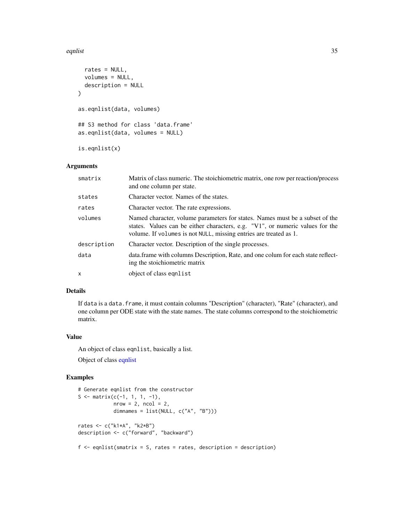#### equist 35

```
rates = NULL,
 volumes = NULL,
  description = NULL
\lambdaas.eqnlist(data, volumes)
## S3 method for class 'data.frame'
as.eqnlist(data, volumes = NULL)
is.eqnlist(x)
```
#### Arguments

| smatrix     | Matrix of class numeric. The stoichiometric matrix, one row per reaction/process<br>and one column per state.                                                                                                                      |
|-------------|------------------------------------------------------------------------------------------------------------------------------------------------------------------------------------------------------------------------------------|
| states      | Character vector. Names of the states.                                                                                                                                                                                             |
| rates       | Character vector. The rate expressions.                                                                                                                                                                                            |
| volumes     | Named character, volume parameters for states. Names must be a subset of the<br>states. Values can be either characters, e.g. "V1", or numeric values for the<br>volume. If volumes is not NULL, missing entries are treated as 1. |
| description | Character vector. Description of the single processes.                                                                                                                                                                             |
| data        | data. frame with columns Description, Rate, and one colum for each state reflect-<br>ing the stoichiometric matrix                                                                                                                 |
| X           | object of class equalist                                                                                                                                                                                                           |

# Details

If data is a data.frame, it must contain columns "Description" (character), "Rate" (character), and one column per ODE state with the state names. The state columns correspond to the stoichiometric matrix.

# Value

An object of class eqnlist, basically a list. Object of class [eqnlist](#page-33-1)

```
# Generate eqnlist from the constructor
S <- matrix(c(-1, 1, 1, -1),
            nrow = 2, ncol = 2,
            dimnames = list(NULL, c("A", "B")))
rates <- c("k1*A", "k2*B")
description <- c("forward", "backward")
f \leftarrow eqnlist(smatrix = S, rates = rates, description = description)
```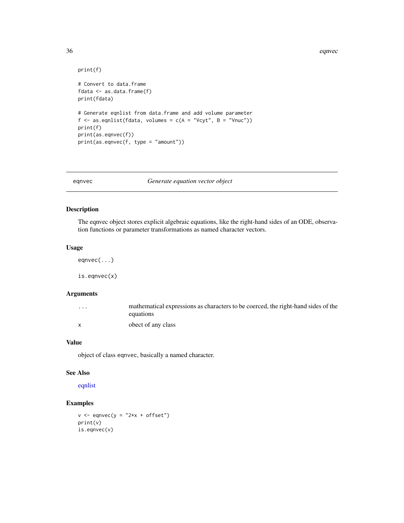#### <span id="page-35-0"></span>36 eqnvec

```
print(f)
# Convert to data.frame
fdata <- as.data.frame(f)
print(fdata)
# Generate eqnlist from data.frame and add volume parameter
f \leftarrow as.eqnlist(fdata, volumes = c(A = "Vcyt", B = "Vnuc"))
print(f)
print(as.eqnvec(f))
print(as.eqnvec(f, type = "amount"))
```
<span id="page-35-1"></span>eqnvec *Generate equation vector object*

#### Description

The eqnvec object stores explicit algebraic equations, like the right-hand sides of an ODE, observation functions or parameter transformations as named character vectors.

# Usage

eqnvec(...)

is.eqnvec(x)

# Arguments

| $\cdots$ | mathematical expressions as characters to be coerced, the right-hand sides of the |
|----------|-----------------------------------------------------------------------------------|
|          | equations                                                                         |
|          | obect of any class                                                                |

### Value

object of class eqnvec, basically a named character.

#### See Also

[eqnlist](#page-33-1)

```
v \leq - eqnvec(v = "2*x + offset")
print(v)
is.eqnvec(v)
```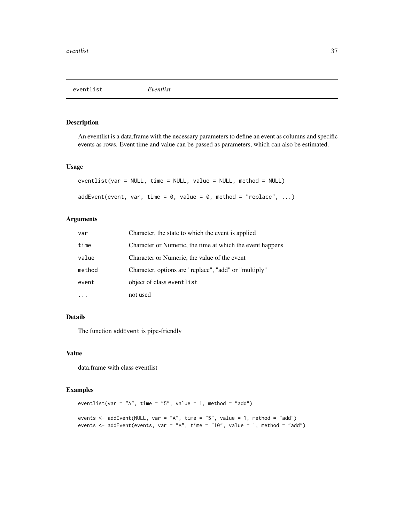eventlist *Eventlist*

## Description

An eventlist is a data.frame with the necessary parameters to define an event as columns and specific events as rows. Event time and value can be passed as parameters, which can also be estimated.

### Usage

```
eventlist(var = NULL, time = NULL, value = NULL, method = NULL)
addEvent(event, var, time = 0, value = 0, method = "replace", ...)
```
#### Arguments

| var    | Character, the state to which the event is applied        |
|--------|-----------------------------------------------------------|
| time   | Character or Numeric, the time at which the event happens |
| value  | Character or Numeric, the value of the event              |
| method | Character, options are "replace", "add" or "multiply"     |
| event  | object of class eventlist                                 |
|        | not used                                                  |

### Details

The function addEvent is pipe-friendly

#### Value

data.frame with class eventlist

```
eventlist(var = "A", time = "5", value = 1, method = "add")
events \leq addEvent(NULL, var = "A", time = "5", value = 1, method = "add")
events <- addEvent(events, var = "A", time = "10", value = 1, method = "add")
```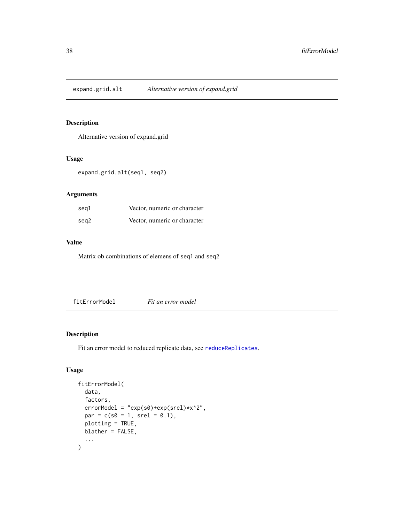expand.grid.alt *Alternative version of expand.grid*

## Description

Alternative version of expand.grid

## Usage

expand.grid.alt(seq1, seq2)

## Arguments

| seg1 | Vector, numeric or character |
|------|------------------------------|
| seg2 | Vector, numeric or character |

## Value

Matrix ob combinations of elemens of seq1 and seq2

fitErrorModel *Fit an error model*

# Description

Fit an error model to reduced replicate data, see [reduceReplicates](#page-96-0).

```
fitErrorModel(
  data,
  factors,
  errorModel = "exp(s0)+exp(srel) * x^2",par = c(s0 = 1, srel = 0.1),plotting = TRUE,
 blather = FALSE,
  ...
\mathcal{E}
```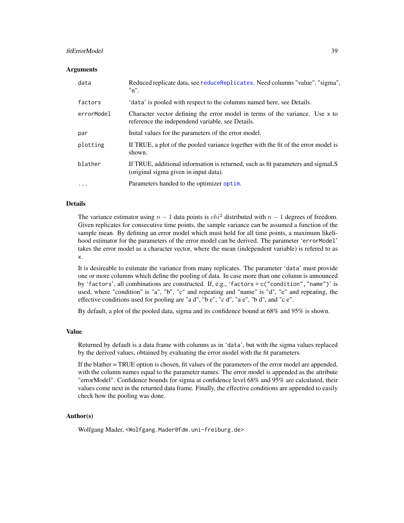## fitErrorModel 39

#### Arguments

| data       | Reduced replicate data, see reduceReplicates. Need columns "value", "sigma",<br>"n".                                             |
|------------|----------------------------------------------------------------------------------------------------------------------------------|
| factors    | 'data' is pooled with respect to the columns named here, see Details.                                                            |
| errorModel | Character vector defining the error model in terms of the variance. Use x to<br>reference the independend variable, see Details. |
| par        | Initial values for the parameters of the error model.                                                                            |
| plotting   | If TRUE, a plot of the pooled variance together with the fit of the error model is<br>shown.                                     |
| blather    | If TRUE, additional information is returned, such as fit parameters and sigmaLS<br>(original sigma given in input data).         |
| $\cdot$    | Parameters handed to the optimizer optim.                                                                                        |

#### Details

The variance estimator using  $n - 1$  data points is  $chi^2$  distributed with  $n - 1$  degrees of freedom. Given replicates for consecutive time points, the sample variance can be assumed a function of the sample mean. By defining an error model which must hold for all time points, a maximum likelihood estimator for the parameters of the error model can be derived. The parameter 'errorModel' takes the error model as a character vector, where the mean (independent variable) is refered to as x.

It is desireable to estimate the variance from many replicates. The parameter 'data' must provide one or more columns which define the pooling of data. In case more than one column is announced by 'factors', all combinations are constructed. If, e.g., 'factors =  $c('condition'', 'name'')'$  is used, where "condition" is "a", "b", "c" and repeating and "name" is "d", "e" and repeating, the effective conditions used for pooling are "a d", "b e", "c d", "a e", "b d", and "c e".

By default, a plot of the pooled data, sigma and its confidence bound at 68% and 95% is shown.

#### Value

Returned by default is a data frame with columns as in 'data', but with the sigma values replaced by the derived values, obtained by evaluating the error model with the fit parameters.

If the blather = TRUE option is chosen, fit values of the parameters of the error model are appended, with the column names equal to the parameter names. The error model is appended as the attribute "errorModel". Confidence bounds for sigma at confidence level 68% and 95% are calculated, their values come next in the returned data frame. Finally, the effective conditions are appended to easily check how the pooling was done.

#### Author(s)

Wolfgang Mader, <Wolfgang.Mader@fdm.uni-freiburg.de>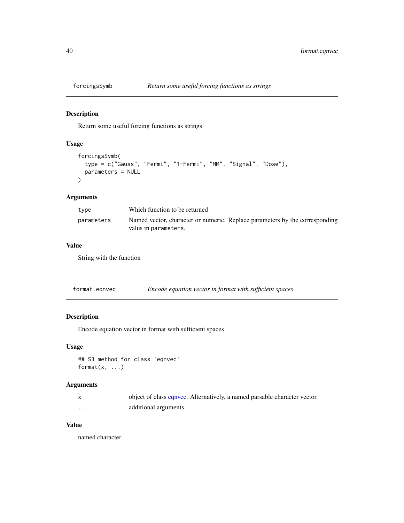Return some useful forcing functions as strings

## Usage

```
forcingsSymb(
  type = c("Gauss", "Fermi", "1-Fermi", "MM", "Signal", "Dose"),
  parameters = NULL
\mathcal{L}
```
## Arguments

| type       | Which function to be returned                                                                       |
|------------|-----------------------------------------------------------------------------------------------------|
| parameters | Named vector, character or numeric. Replace parameters by the corresponding<br>valus in parameters. |

#### Value

String with the function

| format.eqnvec | Encode equation vector in format with sufficient spaces |
|---------------|---------------------------------------------------------|
|---------------|---------------------------------------------------------|

# Description

Encode equation vector in format with sufficient spaces

#### Usage

```
## S3 method for class 'eqnvec'
format(x, \ldots)
```
## Arguments

|   | object of class equivec. Alternatively, a named parsable character vector. |
|---|----------------------------------------------------------------------------|
| . | additional arguments                                                       |

### Value

named character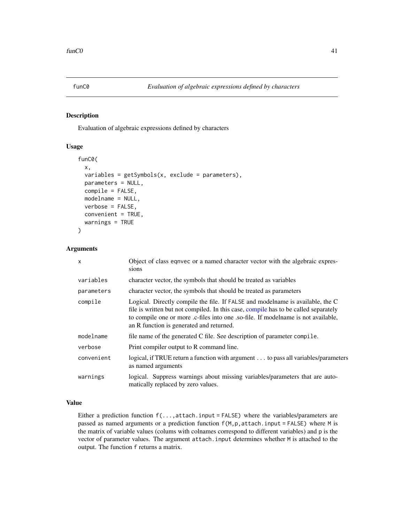<span id="page-40-0"></span>

Evaluation of algebraic expressions defined by characters

#### Usage

```
funC0(
  x,
  variables = getSymbols(x, exclude = parameters),
  parameters = NULL,
  compile = FALSE,
  modelname = NULL,
  verbose = FALSE,
  convenient = TRUE,
  warnings = TRUE
)
```
### Arguments

| $\mathsf{x}$ | Object of class eqnvec or a named character vector with the algebraic expres-<br>sions                                                                                                                                                                                                                 |
|--------------|--------------------------------------------------------------------------------------------------------------------------------------------------------------------------------------------------------------------------------------------------------------------------------------------------------|
| variables    | character vector, the symbols that should be treated as variables                                                                                                                                                                                                                                      |
| parameters   | character vector, the symbols that should be treated as parameters                                                                                                                                                                                                                                     |
| compile      | Logical. Directly compile the file. If FALSE and modelname is available, the C<br>file is written but not compiled. In this case, compile has to be called separately<br>to compile one or more .c-files into one .so-file. If modelname is not available,<br>an R function is generated and returned. |
| modelname    | file name of the generated C file. See description of parameter compile.                                                                                                                                                                                                                               |
| verbose      | Print compiler output to R command line.                                                                                                                                                                                                                                                               |
| convenient   | logical, if TRUE return a function with argument to pass all variables/parameters<br>as named arguments                                                                                                                                                                                                |
| warnings     | logical. Suppress warnings about missing variables/parameters that are auto-<br>matically replaced by zero values.                                                                                                                                                                                     |

## Value

Either a prediction function f(...,attach.input = FALSE) where the variables/parameters are passed as named arguments or a prediction function f(M,p,attach.input = FALSE) where M is the matrix of variable values (colums with colnames correspond to different variables) and p is the vector of parameter values. The argument attach.input determines whether M is attached to the output. The function f returns a matrix.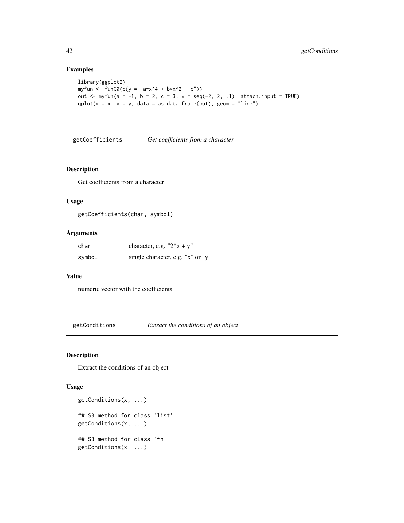## Examples

```
library(ggplot2)
myfun <- funC0(c(y = "a*x^4 + b*x^2 + c"))
out \leq myfun(a = -1, b = 2, c = 3, x = seq(-2, 2, .1), attach.input = TRUE)
qplot(x = x, y = y, data = as.data-frame(out), geom = "line")
```
getCoefficients *Get coefficients from a character*

#### Description

Get coefficients from a character

## Usage

```
getCoefficients(char, symbol)
```
## Arguments

| char   | character, e.g. " $2*x + y$ "     |
|--------|-----------------------------------|
| symbol | single character, e.g. "x" or "y" |

## Value

numeric vector with the coefficients

getConditions *Extract the conditions of an object*

# Description

Extract the conditions of an object

```
getConditions(x, ...)
## S3 method for class 'list'
getConditions(x, ...)
## S3 method for class 'fn'
getConditions(x, ...)
```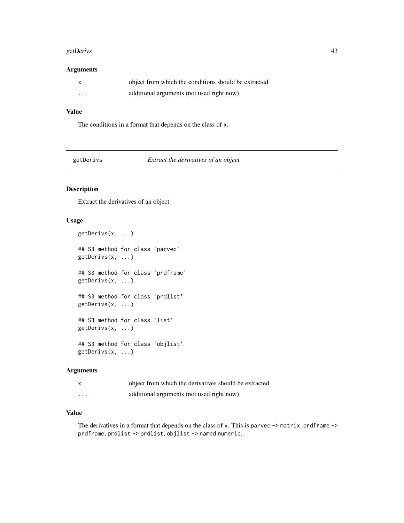#### getDerivs 43

### Arguments

|   | object from which the conditions should be extracted |
|---|------------------------------------------------------|
| . | additional arguments (not used right now)            |

## Value

The conditions in a format that depends on the class of x.

| getDerivs |  |
|-----------|--|
|           |  |

Extract the derivatives of an object

# Description

Extract the derivatives of an object

## Usage

```
getDerivs(x, ...)
## S3 method for class 'parvec'
getDerivs(x, ...)
## S3 method for class 'prdframe'
getDerivs(x, ...)
## S3 method for class 'prdlist'
getDerivs(x, ...)
## S3 method for class 'list'
getDerivs(x, ...)
## S3 method for class 'objlist'
getDerivs(x, ...)
```
## Arguments

|          | object from which the derivatives should be extracted |
|----------|-------------------------------------------------------|
| $\cdots$ | additional arguments (not used right now)             |

## Value

The derivatives in a format that depends on the class of x. This is parvec -> matrix, prdframe -> prdframe, prdlist -> prdlist, objlist -> named numeric.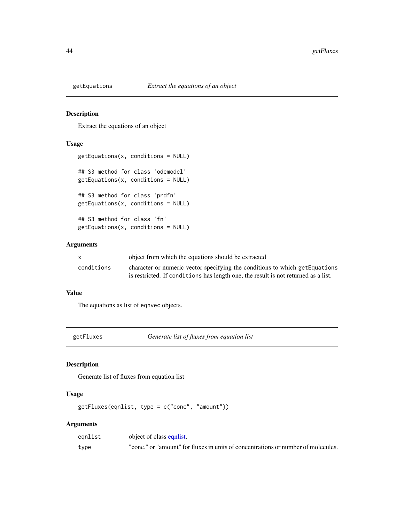Extract the equations of an object

## Usage

```
getEquations(x, conditions = NULL)
## S3 method for class 'odemodel'
getEquations(x, conditions = NULL)
## S3 method for class 'prdfn'
getEquations(x, conditions = NULL)
## S3 method for class 'fn'
getEquations(x, conditions = NULL)
```
### Arguments

|            | object from which the equations should be extracted                                |
|------------|------------------------------------------------------------------------------------|
| conditions | character or numeric vector specifying the conditions to which getEquations        |
|            | is restricted. If conditions has length one, the result is not returned as a list. |

### Value

The equations as list of eqnvec objects.

getFluxes *Generate list of fluxes from equation list*

## Description

Generate list of fluxes from equation list

## Usage

getFluxes(eqnlist, type = c("conc", "amount"))

## Arguments

| egnlist | object of class equist.                                                           |
|---------|-----------------------------------------------------------------------------------|
| type    | "conc." or "amount" for fluxes in units of concentrations or number of molecules. |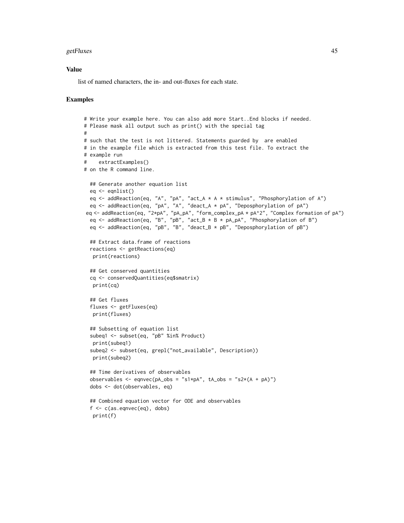#### getFluxes and the set of the set of the set of the set of the set of the set of the set of the set of the set of the set of the set of the set of the set of the set of the set of the set of the set of the set of the set of

### Value

list of named characters, the in- and out-fluxes for each state.

```
# Write your example here. You can also add more Start..End blocks if needed.
# Please mask all output such as print() with the special tag
#
# such that the test is not littered. Statements guarded by are enabled
# in the example file which is extracted from this test file. To extract the
# example run
# extractExamples()
# on the R command line.
  ## Generate another equation list
  eq <- eqnlist()
  eq <- addReaction(eq, "A", "pA", "act_A * A * stimulus", "Phosphorylation of A")
  eq <- addReaction(eq, "pA", "A", "deact_A * pA", "Deposphorylation of pA")
 eq <- addReaction(eq, "2*pA", "pA_pA", "form_complex_pA * pA^2", "Complex formation of pA")
  eq \leq addReaction(eq, "B", "pB", "act_B \star B \star pA_pA", "Phosphorylation of B")
  eq <- addReaction(eq, "pB", "B", "deact_B * pB", "Deposphorylation of pB")
  ## Extract data.frame of reactions
  reactions <- getReactions(eq)
  print(reactions)
  ## Get conserved quantities
  cq <- conservedQuantities(eq$smatrix)
  print(cq)
  ## Get fluxes
  fluxes <- getFluxes(eq)
  print(fluxes)
  ## Subsetting of equation list
  subeq1 <- subset(eq, "pB" %in% Product)
  print(subeq1)
  subeq2 <- subset(eq, grepl("not_available", Description))
  print(subeq2)
  ## Time derivatives of observables
  observables <- eqnvec(pA_obs = "s1*pA", tA_obs = "s2*(A + pA)")
  dobs <- dot(observables, eq)
  ## Combined equation vector for ODE and observables
  f \leftarrow c(as.eqnvec(eq), dobs)print(f)
```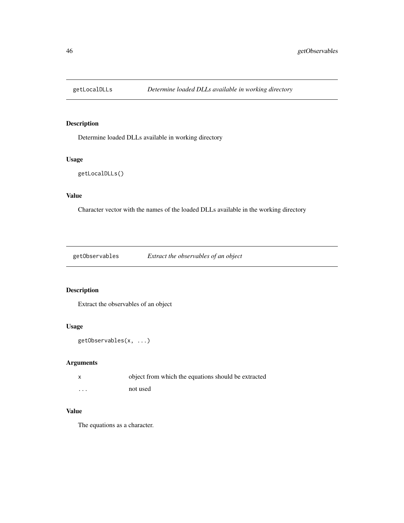Determine loaded DLLs available in working directory

# Usage

```
getLocalDLLs()
```
# Value

Character vector with the names of the loaded DLLs available in the working directory

getObservables *Extract the observables of an object*

## Description

Extract the observables of an object

## Usage

```
getObservables(x, ...)
```
## Arguments

| $\mathsf{x}$ | object from which the equations should be extracted |
|--------------|-----------------------------------------------------|
| $\cdots$     | not used                                            |

# Value

The equations as a character.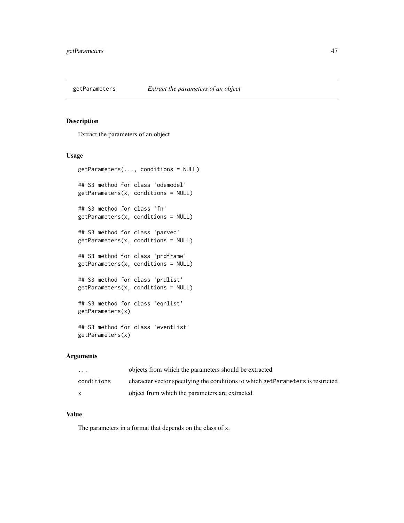Extract the parameters of an object

## Usage

```
getParameters(..., conditions = NULL)
## S3 method for class 'odemodel'
getParameters(x, conditions = NULL)
## S3 method for class 'fn'
getParameters(x, conditions = NULL)
## S3 method for class 'parvec'
getParameters(x, conditions = NULL)
## S3 method for class 'prdframe'
getParameters(x, conditions = NULL)
## S3 method for class 'prdlist'
getParameters(x, conditions = NULL)
## S3 method for class 'eqnlist'
getParameters(x)
## S3 method for class 'eventlist'
getParameters(x)
```
## Arguments

| $\cdot$    | objects from which the parameters should be extracted                           |
|------------|---------------------------------------------------------------------------------|
| conditions | character vector specifying the conditions to which getParameters is restricted |
|            | object from which the parameters are extracted                                  |

## Value

The parameters in a format that depends on the class of x.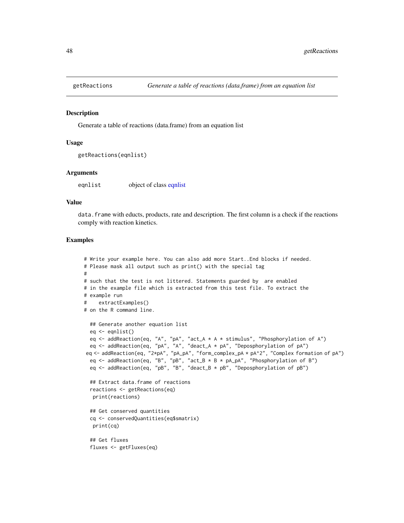Generate a table of reactions (data.frame) from an equation list

#### Usage

```
getReactions(eqnlist)
```
### Arguments

eqnlist object of class [eqnlist](#page-33-0)

#### Value

data. frame with educts, products, rate and description. The first column is a check if the reactions comply with reaction kinetics.

```
# Write your example here. You can also add more Start..End blocks if needed.
# Please mask all output such as print() with the special tag
#
# such that the test is not littered. Statements guarded by are enabled
# in the example file which is extracted from this test file. To extract the
# example run
# extractExamples()
# on the R command line.
  ## Generate another equation list
  eq <- eqnlist()
  eq <- addReaction(eq, "A", "pA", "act_A * A * stimulus", "Phosphorylation of A")
  eq <- addReaction(eq, "pA", "A", "deact_A * pA", "Deposphorylation of pA")
 eq <- addReaction(eq, "2*pA", "pA_pA", "form_complex_pA * pA^2", "Complex formation of pA")
  eq <- addReaction(eq, "B", "pB", "act_B * B * pA_pA", "Phosphorylation of B")
  eq <- addReaction(eq, "pB", "B", "deact_B * pB", "Deposphorylation of pB")
  ## Extract data.frame of reactions
  reactions <- getReactions(eq)
  print(reactions)
  ## Get conserved quantities
  cq <- conservedQuantities(eq$smatrix)
  print(cq)
  ## Get fluxes
  fluxes <- getFluxes(eq)
```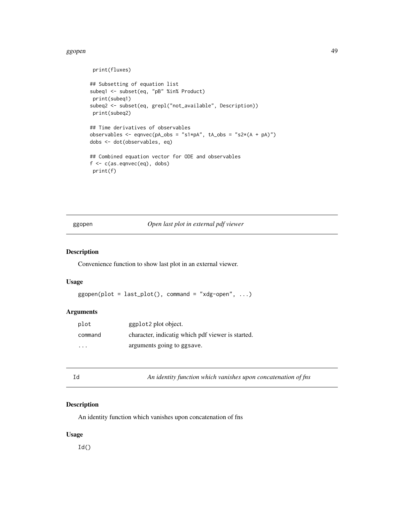#### ggopen and the set of the set of the set of the set of the set of the set of the set of the set of the set of the set of the set of the set of the set of the set of the set of the set of the set of the set of the set of th

print(fluxes)

```
## Subsetting of equation list
subeq1 <- subset(eq, "pB" %in% Product)
print(subeq1)
subeq2 <- subset(eq, grepl("not_available", Description))
print(subeq2)
## Time derivatives of observables
observables \leq eqnvec(pA_obs = "s1*pA", tA_obs = "s2*(A + pA)")
dobs <- dot(observables, eq)
## Combined equation vector for ODE and observables
f <- c(as.eqnvec(eq), dobs)
print(f)
```
## ggopen *Open last plot in external pdf viewer*

### Description

Convenience function to show last plot in an external viewer.

#### Usage

```
g\gamma ggopen(plot = last_plot(), command = "xdg-open", ...)
```
## Arguments

| plot     | ggplot <sub>2</sub> plot object.                  |
|----------|---------------------------------------------------|
| command  | character, indicatig which pdf viewer is started. |
| $\cdots$ | arguments going to ggsave.                        |

Id *An identity function which vanishes upon concatenation of fns*

#### Description

An identity function which vanishes upon concatenation of fns

#### Usage

 $Id()$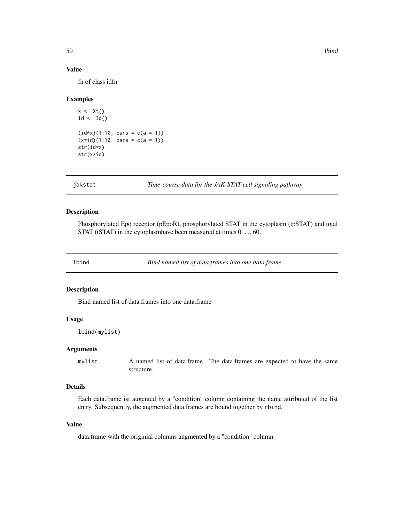### Value

fn of class idfn

#### Examples

```
x \leftarrow \mathsf{xt}()id \leftarrow Id()(id*x)(1:10, pars = c(a = 1))(x*id)(1:10, \text{ pars} = c(a = 1))str(id*x)
str(x*id)
```
jakstat *Time-course data for the JAK-STAT cell signaling pathway*

### Description

Phosphorylated Epo receptor (pEpoR), phosphorylated STAT in the cytoplasm (tpSTAT) and total STAT (tSTAT) in the cytoplasmhave been measured at times 0, ..., 60.

lbind *Bind named list of data.frames into one data.frame*

#### Description

Bind named list of data.frames into one data.frame

## Usage

lbind(mylist)

## Arguments

mylist A named list of data.frame. The data.frames are expected to have the same structure.

### Details

Each data.frame ist augented by a "condition" column containing the name attributed of the list entry. Subsequently, the augmented data.frames are bound together by rbind.

## Value

data.frame with the originial columns augmented by a "condition" column.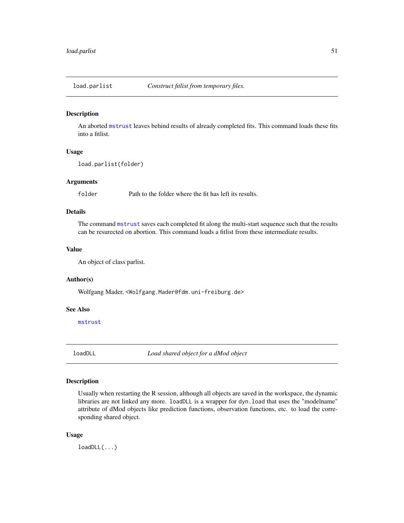<span id="page-50-0"></span>

An aborted [mstrust](#page-54-0) leaves behind results of already completed fits. This command loads these fits into a fitlist.

## Usage

```
load.parlist(folder)
```
## Arguments

folder Path to the folder where the fit has left its results.

### Details

The command [mstrust](#page-54-0) saves each completed fit along the multi-start sequence such that the results can be resurected on abortion. This command loads a fitlist from these intermediate results.

#### Value

An object of class parlist.

### Author(s)

Wolfgang Mader, <Wolfgang.Mader@fdm.uni-freiburg.de>

### See Also

[mstrust](#page-54-0)

loadDLL *Load shared object for a dMod object*

# Description

Usually when restarting the R session, although all objects are saved in the workspace, the dynamic libraries are not linked any more. loadDLL is a wrapper for dyn.load that uses the "modelname" attribute of dMod objects like prediction functions, observation functions, etc. to load the corresponding shared object.

#### Usage

loadDLL(...)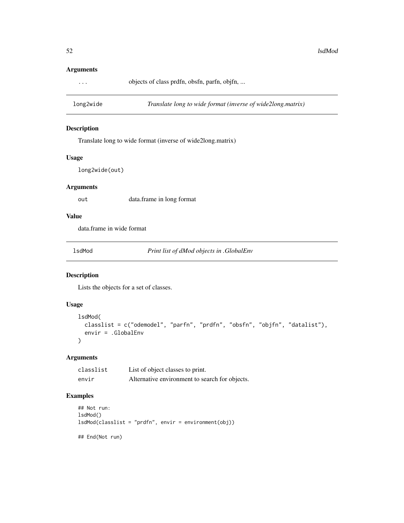## Arguments

... objects of class prdfn, obsfn, parfn, objfn, ...

long2wide *Translate long to wide format (inverse of wide2long.matrix)*

## Description

Translate long to wide format (inverse of wide2long.matrix)

### Usage

long2wide(out)

### Arguments

out data.frame in long format

## Value

data.frame in wide format

lsdMod *Print list of dMod objects in .GlobalEnv*

#### Description

Lists the objects for a set of classes.

## Usage

```
lsdMod(
 classlist = c("odemodel", "parfn", "prdfn", "obsfn", "objfn", "datalist"),
 envir = .GlobalEnv
)
```
#### Arguments

| classlist | List of object classes to print.               |
|-----------|------------------------------------------------|
| envir     | Alternative environment to search for objects. |

## Examples

```
## Not run:
lsdMod()
lsdMod(classlist = "prdfn", envir = environment(obj))
```
## End(Not run)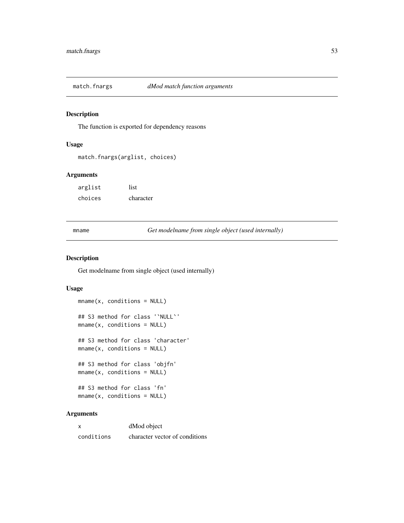The function is exported for dependency reasons

## Usage

```
match.fnargs(arglist, choices)
```
## Arguments

| arglist | list      |
|---------|-----------|
| choices | character |

mname *Get modelname from single object (used internally)*

#### Description

Get modelname from single object (used internally)

#### Usage

```
mname(x, conditions = NULL)
## S3 method for class '`NULL`'
mname(x, conditions = NULL)## S3 method for class 'character'
mname(x, conditions = NULL)
## S3 method for class 'objfn'
mname(x, conditions = NULL)
## S3 method for class 'fn'
mname(x, condition = NULL)
```
## Arguments

| x          | dMod object                    |
|------------|--------------------------------|
| conditions | character vector of conditions |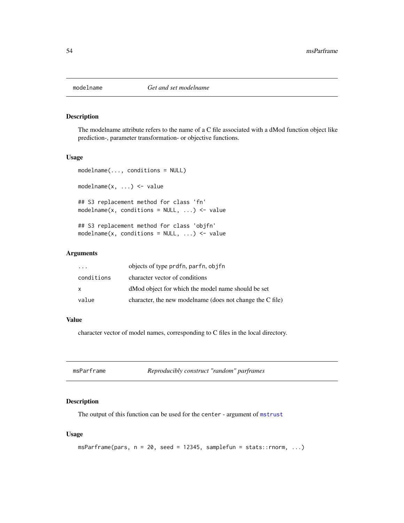The modelname attribute refers to the name of a C file associated with a dMod function object like prediction-, parameter transformation- or objective functions.

## Usage

```
modelname(..., conditions = NULL)
modelname(x, ...) <- value
## S3 replacement method for class 'fn'
modelname(x, conditions = NULL, ...) \leftarrow value## S3 replacement method for class 'objfn'
modelname(x, conditions = NULL, \ldots) <- value
```
#### Arguments

| $\cdot$ $\cdot$ $\cdot$ | objects of type prdfn, parfn, objfn                       |
|-------------------------|-----------------------------------------------------------|
| conditions              | character vector of conditions                            |
| X                       | dMod object for which the model name should be set        |
| value                   | character, the new modelname (does not change the C file) |

# Value

character vector of model names, corresponding to C files in the local directory.

<span id="page-53-0"></span>

| msParframe | Reproducibly construct "random" parframes |
|------------|-------------------------------------------|
|            |                                           |

## Description

The output of this function can be used for the center - argument of [mstrust](#page-54-0)

```
msParframe(pars, n = 20, seed = 12345, samplefun = stats::rnorm, ...)
```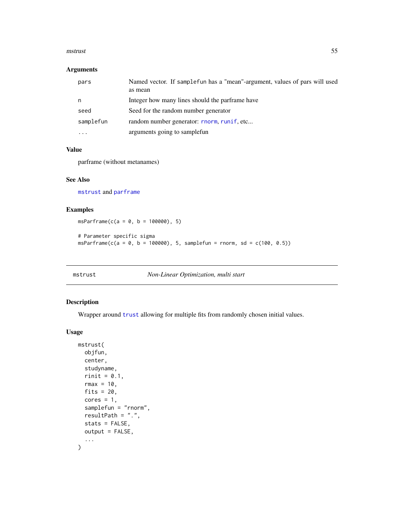#### mstrust 55

### Arguments

| pars      | Named vector. If sample fun has a "mean"-argument, values of pars will used<br>as mean |
|-----------|----------------------------------------------------------------------------------------|
| n         | Integer how many lines should the parframe have                                        |
| seed      | Seed for the random number generator                                                   |
| samplefun | random number generator: rnorm, runif, etc                                             |
| .         | arguments going to samplefun                                                           |

## Value

parframe (without metanames)

### See Also

[mstrust](#page-54-0) and [parframe](#page-66-0)

## Examples

 $msParframe(c(a = 0, b = 100000), 5)$ 

```
# Parameter specific sigma
msParframe(c(a = 0, b = 100000), 5, samplefun = rnorm, sd = c(100, 0.5))
```
<span id="page-54-0"></span>mstrust *Non-Linear Optimization, multi start*

### Description

Wrapper around [trust](#page-108-0) allowing for multiple fits from randomly chosen initial values.

```
mstrust(
 objfun,
 center,
 studyname,
  rinit = 0.1,
 rmax = 10,
 fits = 20,
  cores = 1,samplefun = "rnorm",
  resultPath = ".",
  stats = FALSE,
 output = FALSE,
  ...
\mathcal{E}
```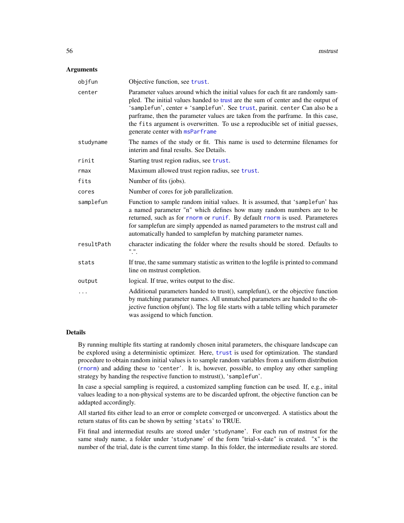#### Arguments

| objfun     | Objective function, see trust.                                                                                                                                                                                                                                                                                                                                                                                                                             |
|------------|------------------------------------------------------------------------------------------------------------------------------------------------------------------------------------------------------------------------------------------------------------------------------------------------------------------------------------------------------------------------------------------------------------------------------------------------------------|
| center     | Parameter values around which the initial values for each fit are randomly sam-<br>pled. The initial values handed to trust are the sum of center and the output of<br>'samplefun', center + 'samplefun'. See trust, parinit. center Can also be a<br>parframe, then the parameter values are taken from the parframe. In this case,<br>the fits argument is overwritten. To use a reproducible set of initial guesses,<br>generate center with msParframe |
| studyname  | The names of the study or fit. This name is used to determine filenames for<br>interim and final results. See Details.                                                                                                                                                                                                                                                                                                                                     |
| rinit      | Starting trust region radius, see trust.                                                                                                                                                                                                                                                                                                                                                                                                                   |
| rmax       | Maximum allowed trust region radius, see trust.                                                                                                                                                                                                                                                                                                                                                                                                            |
| fits       | Number of fits (jobs).                                                                                                                                                                                                                                                                                                                                                                                                                                     |
| cores      | Number of cores for job parallelization.                                                                                                                                                                                                                                                                                                                                                                                                                   |
| samplefun  | Function to sample random initial values. It is assumed, that 'samplefun' has<br>a named parameter "n" which defines how many random numbers are to be<br>returned, such as for rnorm or runif. By default rnorm is used. Parameteres<br>for samplefun are simply appended as named parameters to the mstrust call and<br>automatically handed to samplefun by matching parameter names.                                                                   |
| resultPath | character indicating the folder where the results should be stored. Defaults to<br>".".                                                                                                                                                                                                                                                                                                                                                                    |
| stats      | If true, the same summary statistic as written to the logfile is printed to command<br>line on mstrust completion.                                                                                                                                                                                                                                                                                                                                         |
| output     | logical. If true, writes output to the disc.                                                                                                                                                                                                                                                                                                                                                                                                               |
| .          | Additional parameters handed to trust(), samplefun(), or the objective function<br>by matching parameter names. All unmatched parameters are handed to the ob-<br>jective function objfun(). The log file starts with a table telling which parameter<br>was assigend to which function.                                                                                                                                                                   |

#### Details

By running multiple fits starting at randomly chosen inital parameters, the chisquare landscape can be explored using a deterministic optimizer. Here, [trust](#page-108-0) is used for optimization. The standard procedure to obtain random initial values is to sample random variables from a uniform distribution ([rnorm](#page-0-0)) and adding these to 'center'. It is, however, possible, to employ any other sampling strategy by handing the respective function to mstrust(), 'samplefun'.

In case a special sampling is required, a customized sampling function can be used. If, e.g., inital values leading to a non-physical systems are to be discarded upfront, the objective function can be addapted accordingly.

All started fits either lead to an error or complete converged or unconverged. A statistics about the return status of fits can be shown by setting 'stats' to TRUE.

Fit final and intermediat results are stored under 'studyname'. For each run of mstrust for the same study name, a folder under 'studyname' of the form "trial-x-date" is created. "x" is the number of the trial, date is the current time stamp. In this folder, the intermediate results are stored.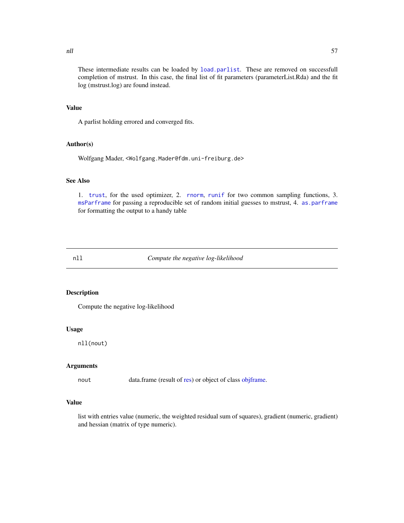These intermediate results can be loaded by [load.parlist](#page-50-0). These are removed on successfull completion of mstrust. In this case, the final list of fit parameters (parameterList.Rda) and the fit log (mstrust.log) are found instead.

#### Value

A parlist holding errored and converged fits.

### Author(s)

Wolfgang Mader, <Wolfgang.Mader@fdm.uni-freiburg.de>

## See Also

1. [trust](#page-108-0), for the used optimizer, 2. [rnorm](#page-0-0), [runif](#page-0-0) for two common sampling functions, 3. [msParframe](#page-53-0) for passing a reproducible set of random initial guesses to mstrust, 4. [as.parframe](#page-14-0) for formatting the output to a handy table

nll *Compute the negative log-likelihood*

#### Description

Compute the negative log-likelihood

#### Usage

nll(nout)

### Arguments

nout data.frame (result of [res\)](#page-99-0) or object of class [objframe.](#page-58-0)

#### Value

list with entries value (numeric, the weighted residual sum of squares), gradient (numeric, gradient) and hessian (matrix of type numeric).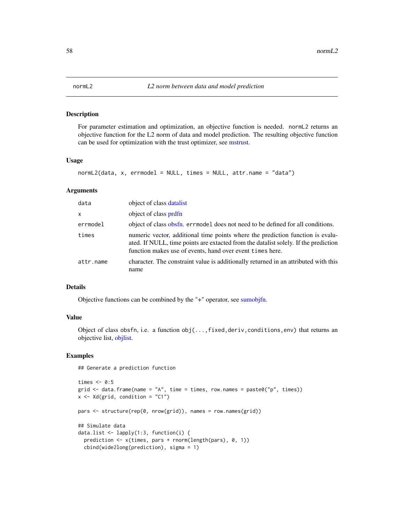<span id="page-57-0"></span>

For parameter estimation and optimization, an objective function is needed. normL2 returns an objective function for the L2 norm of data and model prediction. The resulting objective function can be used for optimization with the trust optimizer, see [mstrust.](#page-54-0)

#### Usage

```
normal2(data, x, errmodel = NULL, times = NULL, attr.name = "data")
```
#### Arguments

| data      | object of class datalist                                                                                                                                                                                                           |
|-----------|------------------------------------------------------------------------------------------------------------------------------------------------------------------------------------------------------------------------------------|
| x         | object of class prdfn                                                                                                                                                                                                              |
| errmodel  | object of class obsfn. errmodel does not need to be defined for all conditions.                                                                                                                                                    |
| times     | numeric vector, additional time points where the prediction function is evalu-<br>ated. If NULL, time points are extacted from the datalist solely. If the prediction<br>function makes use of events, hand over event times here. |
| attr.name | character. The constraint value is additionally returned in an attributed with this<br>name                                                                                                                                        |

## Details

Objective functions can be combined by the "+" operator, see [sumobjfn.](#page-7-0)

#### Value

Object of class obsfn, i.e. a function obj(...,fixed,deriv,conditions,env) that returns an objective list, [objlist.](#page-59-0)

## Examples

## Generate a prediction function

```
times <-0:5grid \le data.frame(name = "A", time = times, row.names = paste0("p", times))
x \leftarrow \text{Xd}(\text{grid}, \text{condition} = "C1")pars <- structure(rep(0, nrow(grid)), names = row.names(grid))
## Simulate data
data.list <- lapply(1:3, function(i) {
  prediction <- x(times, pars + rnorm(length(pars), 0, 1))
  cbind(wide2long(prediction), sigma = 1)
```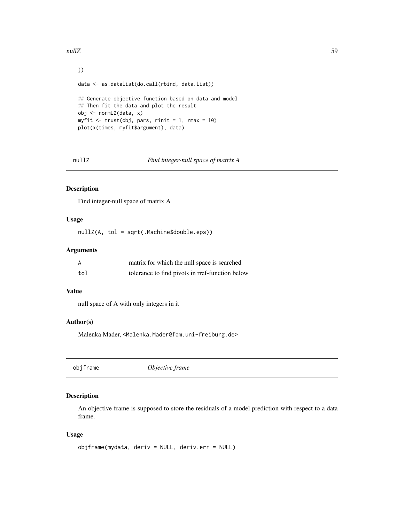nullZ 59

```
})
data <- as.datalist(do.call(rbind, data.list))
## Generate objective function based on data and model
## Then fit the data and plot the result
obj <- normL2(data, x)
myfit <- trust(obj, pars, rinit = 1, rmax = 10)
plot(x(times, myfit$argument), data)
```
nullZ *Find integer-null space of matrix A*

## Description

Find integer-null space of matrix A

#### Usage

nullZ(A, tol = sqrt(.Machine\$double.eps))

## Arguments

| Α   | matrix for which the null space is searched     |
|-----|-------------------------------------------------|
| tol | tolerance to find pivots in rref-function below |

## Value

null space of A with only integers in it

#### Author(s)

Malenka Mader, <Malenka.Mader@fdm.uni-freiburg.de>

<span id="page-58-0"></span>objframe *Objective frame*

### Description

An objective frame is supposed to store the residuals of a model prediction with respect to a data frame.

```
objframe(mydata, deriv = NULL, deriv.err = NULL)
```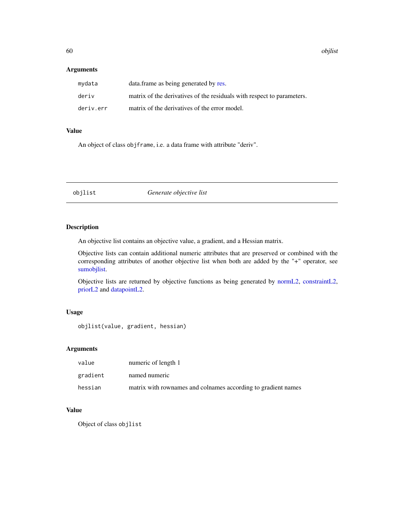60 objlist

### Arguments

| mydata    | data. frame as being generated by res.                                 |
|-----------|------------------------------------------------------------------------|
| deriv     | matrix of the derivatives of the residuals with respect to parameters. |
| deriv.err | matrix of the derivatives of the error model.                          |

### Value

An object of class objframe, i.e. a data frame with attribute "deriv".

<span id="page-59-0"></span>objlist *Generate objective list*

## Description

An objective list contains an objective value, a gradient, and a Hessian matrix.

Objective lists can contain additional numeric attributes that are preserved or combined with the corresponding attributes of another objective list when both are added by the "+" operator, see [sumobjlist.](#page-8-0)

Objective lists are returned by objective functions as being generated by [normL2,](#page-57-0) [constraintL2,](#page-22-0) [priorL2](#page-92-0) and [datapointL2.](#page-28-0)

## Usage

objlist(value, gradient, hessian)

## Arguments

| value    | numeric of length 1                                           |
|----------|---------------------------------------------------------------|
| gradient | named numeric                                                 |
| hessian  | matrix with rownames and colnames according to gradient names |

### Value

Object of class objlist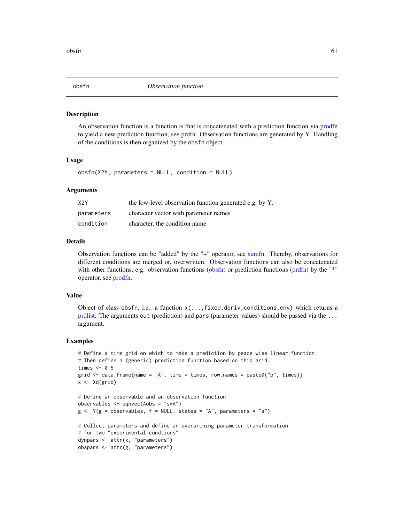<span id="page-60-0"></span>

An observation function is a function is that is concatenated with a prediction function via [prodfn](#page-3-0) to yield a new prediction function, see [prdfn.](#page-86-0) Observation functions are generated by [Y.](#page-118-0) Handling of the conditions is then organized by the obsfn object.

#### Usage

obsfn(X2Y, parameters = NULL, condition = NULL)

### Arguments

| X <sub>2</sub> Y | the low-level observation function generated e.g. by Y. |
|------------------|---------------------------------------------------------|
| parameters       | character vector with parameter names                   |
| condition        | character, the condition name                           |

## Details

Observation functions can be "added" by the "+" operator, see [sumfn.](#page-6-0) Thereby, observations for different conditions are merged or, overwritten. Observation functions can also be concatenated with other functions, e.g. observation functions [\(obsfn\)](#page-60-0) or prediction functions [\(prdfn\)](#page-86-0) by the "\*" operator, see [prodfn.](#page-3-0)

## Value

Object of class obsfn, i.e. a function x(...,fixed,deriv,conditions,env) which returns a [prdlist.](#page-88-0) The arguments out (prediction) and pars (parameter values) should be passed via the ... argument.

```
# Define a time grid on which to make a prediction by peace-wise linear function.
# Then define a (generic) prediction function based on thid grid.
times <-0:5grid \le data.frame(name = "A", time = times, row.names = paste0("p", times))
x \leftarrow \text{Xd}(\text{grid})# Define an observable and an observation function
observables <- eqnvec(Aobs = "s*A")
g \leftarrow Y(g = observables, f = NULL, states = "A", parameters = "s")# Collect parameters and define an overarching parameter transformation
# for two "experimental condtions".
dynpars <- attr(x, "parameters")
obspars <- attr(g, "parameters")
```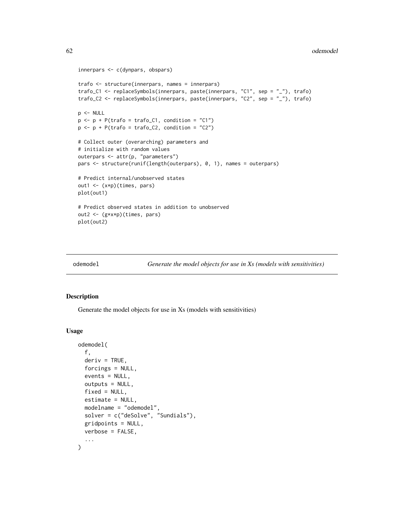```
innerpars <- c(dynpars, obspars)
trafo <- structure(innerpars, names = innerpars)
trafo_C1 <- replaceSymbols(innerpars, paste(innerpars, "C1", sep = "_"), trafo)
trafo_C2 <- replaceSymbols(innerpars, paste(innerpars, "C2", sep = "_"), trafo)
p <- NULL
p \leq -p + P(\text{traf}_0 = \text{traf}_0_C1, \text{ condition} = "C1")p \le -p + P(\text{traf}_0 = \text{traf}_0_C2, \text{ condition} = "C2")# Collect outer (overarching) parameters and
# initialize with random values
outerpars <- attr(p, "parameters")
pars <- structure(runif(length(outerpars), 0, 1), names = outerpars)
# Predict internal/unobserved states
out1 <- (x*p)(times, pars)
plot(out1)
# Predict observed states in addition to unobserved
out2 <- (g*x*p)(times, pars)
plot(out2)
```
odemodel *Generate the model objects for use in Xs (models with sensitivities)*

#### Description

Generate the model objects for use in Xs (models with sensitivities)

```
odemodel(
  f,
  deriv = TRUE,forcings = NULL,
  events = NULL,outputs = NULL,
  fixed = NULL,estimate = NULL,
 modelname = "odemodel",
  solver = c("deSolve", "Sundials"),
 gridpoints = NULL,
 verbose = FALSE,
  ...
)
```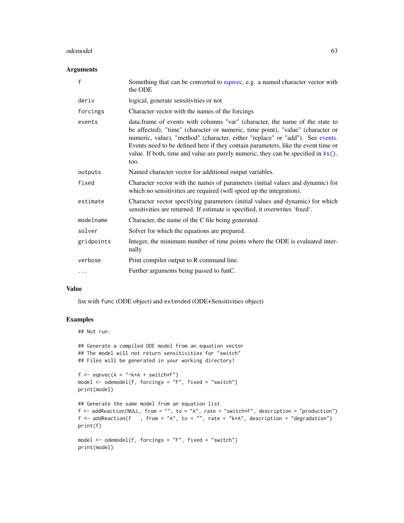#### odemodel 63

### Arguments

| $\mathsf{f}$ | Something that can be converted to eqnvec, e.g. a named character vector with<br>the ODE                                                                                                                                                                                                                                                                                                                                             |
|--------------|--------------------------------------------------------------------------------------------------------------------------------------------------------------------------------------------------------------------------------------------------------------------------------------------------------------------------------------------------------------------------------------------------------------------------------------|
| deriv        | logical, generate sensitivities or not                                                                                                                                                                                                                                                                                                                                                                                               |
| forcings     | Character vector with the names of the forcings                                                                                                                                                                                                                                                                                                                                                                                      |
| events       | data.frame of events with columns "var" (character, the name of the state to<br>be affected), "time" (character or numeric, time point), "value" (character or<br>numeric, value), "method" (character, either "replace" or "add"). See events.<br>Events need to be defined here if they contain parameters, like the event time or<br>value. If both, time and value are purely numeric, they can be specified in $x(s)$ ,<br>too. |
| outputs      | Named character vector for additional output variables.                                                                                                                                                                                                                                                                                                                                                                              |
| fixed        | Character vector with the names of parameters (initial values and dynamic) for<br>which no sensitivities are required (will speed up the integration).                                                                                                                                                                                                                                                                               |
| estimate     | Character vector specifying parameters (initial values and dynamic) for which<br>sensitivities are returned. If estimate is specified, it overwrites 'fixed'.                                                                                                                                                                                                                                                                        |
| modelname    | Character, the name of the C file being generated.                                                                                                                                                                                                                                                                                                                                                                                   |
| solver       | Solver for which the equations are prepared.                                                                                                                                                                                                                                                                                                                                                                                         |
| gridpoints   | Integer, the minimum number of time points where the ODE is evaluated inter-<br>nally                                                                                                                                                                                                                                                                                                                                                |
| verbose      | Print compiler output to R command line.                                                                                                                                                                                                                                                                                                                                                                                             |
|              | Further arguments being passed to funC.                                                                                                                                                                                                                                                                                                                                                                                              |

#### Value

list with func (ODE object) and extended (ODE+Sensitivities object)

```
## Not run:
```

```
## Generate a compiled ODE model from an equation vector
## The model will not return sensitivities for "switch"
## Files will be generated in your working directory!
```

```
f \leftarrow eqnvec(A = "-k*A + switch*F")
model <- odemodel(f, forcings = "F", fixed = "switch")
print(model)
```

```
## Generate the same model from an equation list
f \leq addReaction(NULL, from = "", to = "A", rate = "switch*F", description = "production")
f \leq addReaction(f ), from = "A", to = "", rate = "k*A", description = "degradation")
print(f)
```

```
model \leq odemodel(f, forcings = "F", fixed = "switch")
print(model)
```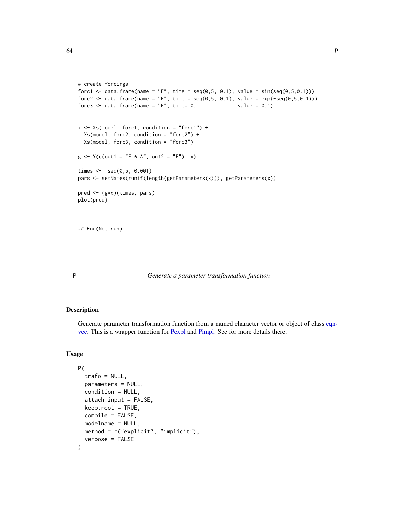```
# create forcings
forc1 <- data.frame(name = "F", time = seq(0, 5, 0.1), value = sin(seq(0, 5, 0.1)))forc2 <- data.frame(name = "F", time = seq(0, 5, 0.1), value = exp(-seq(0, 5, 0.1)))forc3 \le data.frame(name = "F", time= 0, value = 0.1)
x \le - Xs \pmod{1}, forc1, condition = "forc1") +
  Xs(model, forc2, condition = "forc2") +
  Xs(model, forc3, condition = "forc3")
g \le - Y(c(out) = "F * A", out2 = "F"), x)times <- seq(0,5, 0.001)
pars <- setNames(runif(length(getParameters(x))), getParameters(x))
pred <- (g*x)(times, pars)
plot(pred)
```
## End(Not run)

<span id="page-63-0"></span>

## P *Generate a parameter transformation function*

## Description

Generate parameter transformation function from a named character vector or object of class [eqn](#page-35-0)[vec.](#page-35-0) This is a wrapper function for [Pexpl](#page-71-0) and [Pimpl.](#page-72-0) See for more details there.

```
P(
  trafo = NULL,
  parameters = NULL,
  condition = NULL,
  attach.input = FALSE,
  keep.root = TRUE,
  compile = FALSE,
  modelname = NULL,
 method = c("explicit", "implicit"),
  verbose = FALSE
)
```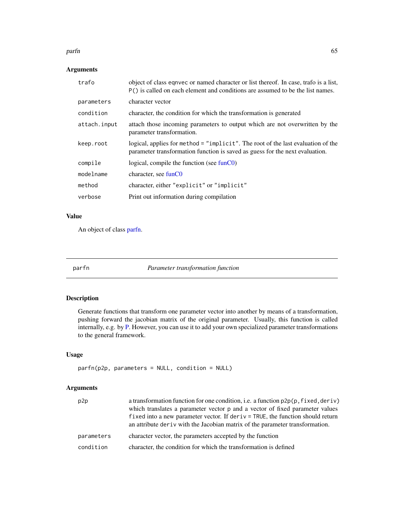#### parfn 65

## Arguments

| trafo        | object of class eqnvec or named character or list thereof. In case, trafo is a list,<br>P() is called on each element and conditions are assumed to be the list names. |
|--------------|------------------------------------------------------------------------------------------------------------------------------------------------------------------------|
| parameters   | character vector                                                                                                                                                       |
| condition    | character, the condition for which the transformation is generated                                                                                                     |
| attach.input | attach those incoming parameters to output which are not overwritten by the<br>parameter transformation.                                                               |
| keep.root    | logical, applies for method = "implicit". The root of the last evaluation of the<br>parameter transformation function is saved as guess for the next evaluation.       |
| compile      | logical, compile the function (see $funCO$ )                                                                                                                           |
| modelname    | character, see funC0                                                                                                                                                   |
| method       | character, either "explicit" or "implicit"                                                                                                                             |
| verbose      | Print out information during compilation                                                                                                                               |

## Value

An object of class [parfn.](#page-64-0)

<span id="page-64-0"></span>

parfn *Parameter transformation function*

# Description

Generate functions that transform one parameter vector into another by means of a transformation, pushing forward the jacobian matrix of the original parameter. Usually, this function is called internally, e.g. by [P.](#page-63-0) However, you can use it to add your own specialized parameter transformations to the general framework.

### Usage

```
parfn(p2p, parameters = NULL, condition = NULL)
```
## Arguments

| p2p        | a transformation function for one condition, i.e. a function $p2p(p, fixed, deriv)$<br>which translates a parameter vector p and a vector of fixed parameter values<br>fixed into a new parameter vector. If deriv $=$ TRUE, the function should return<br>an attribute deriv with the Jacobian matrix of the parameter transformation. |
|------------|-----------------------------------------------------------------------------------------------------------------------------------------------------------------------------------------------------------------------------------------------------------------------------------------------------------------------------------------|
| parameters | character vector, the parameters accepted by the function                                                                                                                                                                                                                                                                               |
| condition  | character, the condition for which the transformation is defined                                                                                                                                                                                                                                                                        |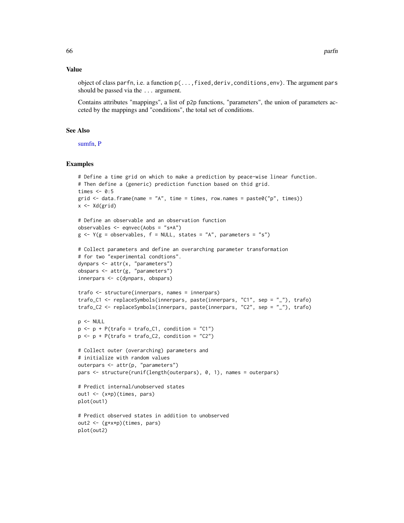#### Value

object of class parfn, i.e. a function  $p(\ldots, fixed, deriv, condition, env)$ . The argument pars should be passed via the ... argument.

Contains attributes "mappings", a list of p2p functions, "parameters", the union of parameters acceted by the mappings and "conditions", the total set of conditions.

## See Also

[sumfn,](#page-6-0) [P](#page-63-0)

```
# Define a time grid on which to make a prediction by peace-wise linear function.
# Then define a (generic) prediction function based on thid grid.
times <-0:5grid <- data.frame(name = "A", time = times, row.names = paste0("p", times))
x \leftarrow \text{Xd}(\text{grid})# Define an observable and an observation function
observables <- eqnvec(Aobs = "s*A")
g \leq Y(g = \text{observables}, f = \text{NULL}, \text{states} = "A", \text{parameters} = "s")# Collect parameters and define an overarching parameter transformation
# for two "experimental condtions".
dynpars <- attr(x, "parameters")
obspars <- attr(g, "parameters")
innerpars <- c(dynpars, obspars)
trafo <- structure(innerpars, names = innerpars)
trafo_C1 <- replaceSymbols(innerpars, paste(innerpars, "C1", sep = "_"), trafo)
trafo_C2 <- replaceSymbols(innerpars, paste(innerpars, "C2", sep = "_"), trafo)
p <- NULL
p \leftarrow p + P(\text{trafo} = \text{trafo\_C1}, \text{ condition} = "C1")p \leftarrow p + P(\text{traf } o = \text{traf } o_2), condition = "C2")
# Collect outer (overarching) parameters and
# initialize with random values
outerpars <- attr(p, "parameters")
pars <- structure(runif(length(outerpars), 0, 1), names = outerpars)
# Predict internal/unobserved states
out1 <- (x*p)(times, pars)
plot(out1)
# Predict observed states in addition to unobserved
out2 <- (g*x*p)(times, pars)
plot(out2)
```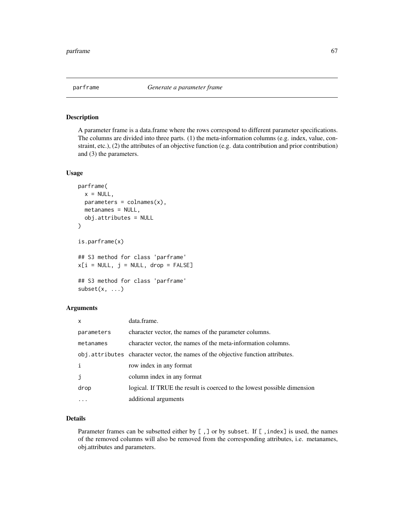<span id="page-66-0"></span>

A parameter frame is a data.frame where the rows correspond to different parameter specifications. The columns are divided into three parts. (1) the meta-information columns (e.g. index, value, constraint, etc.), (2) the attributes of an objective function (e.g. data contribution and prior contribution) and (3) the parameters.

#### Usage

```
parframe(
  x = NULL,parameters = colnames(x),
 metanames = NULL,
  obj.attributes = NULL
\mathcal{E}is.parframe(x)
## S3 method for class 'parframe'
x[i = NULL, j = NULL, drop = FALSE]## S3 method for class 'parframe'
subset(x, \ldots)
```
#### Arguments

| $\mathsf{x}$ | data.frame.                                                                       |
|--------------|-----------------------------------------------------------------------------------|
| parameters   | character vector, the names of the parameter columns.                             |
| metanames    | character vector, the names of the meta-information columns.                      |
|              | obj. attributes character vector, the names of the objective function attributes. |
| i            | row index in any format                                                           |
| j            | column index in any format                                                        |
| drop         | logical. If TRUE the result is coerced to the lowest possible dimension           |
|              | additional arguments                                                              |

### Details

Parameter frames can be subsetted either by [,] or by subset. If [, index] is used, the names of the removed columns will also be removed from the corresponding attributes, i.e. metanames, obj.attributes and parameters.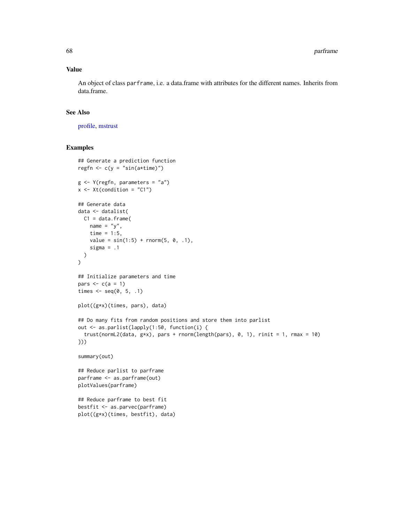### Value

An object of class parframe, i.e. a data.frame with attributes for the different names. Inherits from data.frame.

## See Also

[profile,](#page-93-0) [mstrust](#page-54-0)

```
## Generate a prediction function
regfn \leq c(y = "sin(a \times time)")g \leftarrow Y(\text{regfn}, \text{parameters} = "a")x \le -Xt(condition = "C1")
## Generate data
data <- datalist(
 C1 = data.frame(name = "y",time = 1:5,
    value = sin(1:5) + rnorm(5, 0, .1),sigma = .1)
)
## Initialize parameters and time
pars \leq c(a = 1)
times \leq seq(0, 5, .1)
plot((g*x)(times, pars), data)
## Do many fits from random positions and store them into parlist
out <- as.parlist(lapply(1:50, function(i) {
  trust(normL2(data, g*x), pars + rnorm(length(pars), 0, 1), rinit = 1, rmax = 10)
}))
summary(out)
## Reduce parlist to parframe
parframe <- as.parframe(out)
plotValues(parframe)
## Reduce parframe to best fit
bestfit <- as.parvec(parframe)
plot((g*x)(times, bestfit), data)
```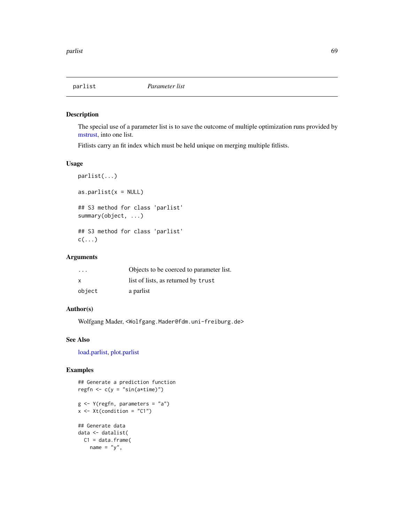The special use of a parameter list is to save the outcome of multiple optimization runs provided by [mstrust,](#page-54-0) into one list.

Fitlists carry an fit index which must be held unique on merging multiple fitlists.

## Usage

```
parlist(...)
as.parlist(x = NULL)
## S3 method for class 'parlist'
summary(object, ...)
## S3 method for class 'parlist'
c(\ldots)
```
## Arguments

| $\cdot$ $\cdot$ $\cdot$ | Objects to be coerced to parameter list. |
|-------------------------|------------------------------------------|
| X                       | list of lists, as returned by trust      |
| object                  | a parlist                                |

# Author(s)

Wolfgang Mader, <Wolfgang.Mader@fdm.uni-freiburg.de>

## See Also

[load.parlist,](#page-50-0) [plot.parlist](#page-75-0)

```
## Generate a prediction function
regfn \leftarrow c(y = "sin(a*time)")
g \leftarrow Y(\text{regfn}, \text{parameters} = "a")x \leftarrow Xt(condition = "C1")
## Generate data
data <- datalist(
  C1 = data.frame(
    name = "y",
```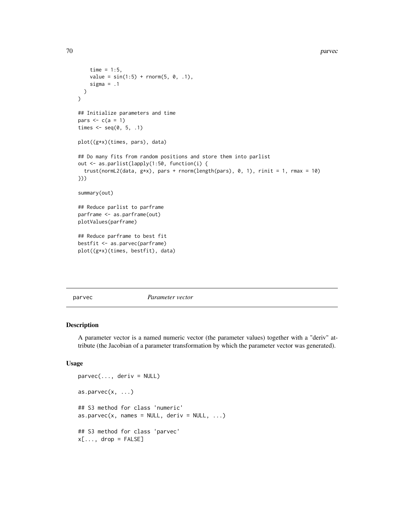```
time = 1:5,
    value = sin(1:5) + rnorm(5, 0, .1),sigma = .1)
\mathcal{L}## Initialize parameters and time
pars \leftarrow c(a = 1)
times \leq seq(0, 5, .1)
plot((g*x)(times, pars), data)
## Do many fits from random positions and store them into parlist
out <- as.parlist(lapply(1:50, function(i) {
  trust(normL2(data, g*x), pars + rnorm(length(pars), 0, 1), rinit = 1, rmax = 10)
}))
summary(out)
## Reduce parlist to parframe
parframe <- as.parframe(out)
plotValues(parframe)
## Reduce parframe to best fit
bestfit <- as.parvec(parframe)
plot((g*x)(times, bestfit), data)
```
parvec *Parameter vector*

### Description

A parameter vector is a named numeric vector (the parameter values) together with a "deriv" attribute (the Jacobian of a parameter transformation by which the parameter vector was generated).

```
parvec(..., deriv = NULL)
as.parvec(x, \ldots)## S3 method for class 'numeric'
as.parvec(x, names = NULL, deriv = NULL, ...)## S3 method for class 'parvec'
x[\ldots, drop = FALSE]
```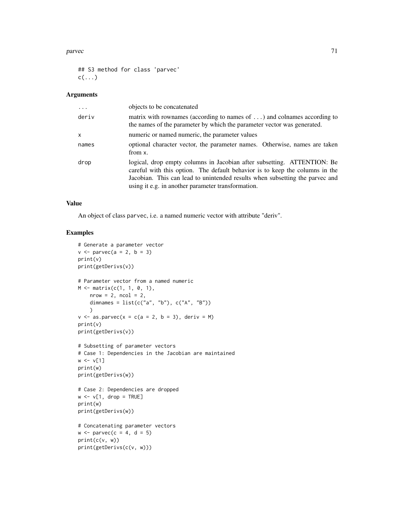#### parvec 71

## S3 method for class 'parvec'  $c(\ldots)$ 

## Arguments

| $\ddots$ | objects to be concatenated                                                                                                                                                                                                                                                                    |
|----------|-----------------------------------------------------------------------------------------------------------------------------------------------------------------------------------------------------------------------------------------------------------------------------------------------|
| deriv    | matrix with rownames (according to names of $\dots$ ) and colnames according to<br>the names of the parameter by which the parameter vector was generated.                                                                                                                                    |
| x        | numeric or named numeric, the parameter values                                                                                                                                                                                                                                                |
| names    | optional character vector, the parameter names. Otherwise, names are taken<br>from x.                                                                                                                                                                                                         |
| drop     | logical, drop empty columns in Jacobian after subsetting. ATTENTION: Be<br>careful with this option. The default behavior is to keep the columns in the<br>Jacobian. This can lead to unintended results when subsetting the parvec and<br>using it e.g. in another parameter transformation. |

# Value

An object of class parvec, i.e. a named numeric vector with attribute "deriv".

```
# Generate a parameter vector
v \leq -parvec(a = 2, b = 3)
print(v)
print(getDerivs(v))
# Parameter vector from a named numeric
M \leq - matrix(c(1, 1, 0, 1),
    nrow = 2, ncol = 2,
    dimnames = list(c("a", "b"), c("A", "B"))\lambdav \le - as.parvec(x = c(a = 2, b = 3), deriv = M)
print(v)
print(getDerivs(v))
# Subsetting of parameter vectors
# Case 1: Dependencies in the Jacobian are maintained
w \le -v[1]print(w)
print(getDerivs(w))
# Case 2: Dependencies are dropped
w \le -v[1, drop = TRUE]print(w)
print(getDerivs(w))
# Concatenating parameter vectors
w \leq -parvec(c = 4, d = 5)
print(c(v, w))
print(getDerivs(c(v, w)))
```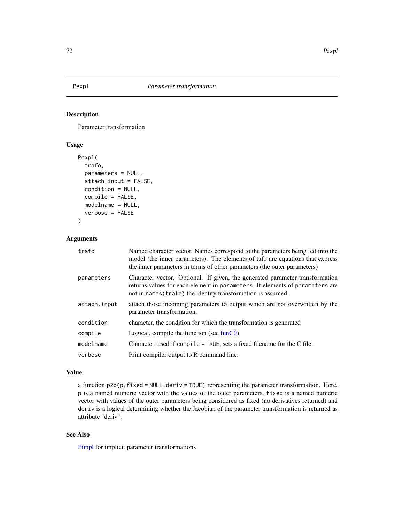<span id="page-71-0"></span>

Parameter transformation

## Usage

```
Pexpl(
  trafo,
  parameters = NULL,
  attach.input = FALSE,
  condition = NULL,
  complete = FALSE,modelname = NULL,
  verbose = FALSE
)
```
### Arguments

| trafo        | Named character vector. Names correspond to the parameters being fed into the<br>model (the inner parameters). The elements of tafo are equations that express<br>the inner parameters in terms of other parameters (the outer parameters) |
|--------------|--------------------------------------------------------------------------------------------------------------------------------------------------------------------------------------------------------------------------------------------|
| parameters   | Character vector. Optional. If given, the generated parameter transformation<br>returns values for each element in parameters. If elements of parameters are<br>not in names (trafo) the identity transformation is assumed.               |
| attach.input | attach those incoming parameters to output which are not overwritten by the<br>parameter transformation.                                                                                                                                   |
| condition    | character, the condition for which the transformation is generated                                                                                                                                                                         |
| compile      | Logical, compile the function (see $funCO$ )                                                                                                                                                                                               |
| modelname    | Character, used if compile = $TRUE$ , sets a fixed filename for the C file.                                                                                                                                                                |
| verbose      | Print compiler output to R command line.                                                                                                                                                                                                   |
|              |                                                                                                                                                                                                                                            |

#### Value

a function  $p2p(p, fixed = NULL, derive = TRUE)$  representing the parameter transformation. Here, p is a named numeric vector with the values of the outer parameters, fixed is a named numeric vector with values of the outer parameters being considered as fixed (no derivatives returned) and deriv is a logical determining whether the Jacobian of the parameter transformation is returned as attribute "deriv".

# See Also

[Pimpl](#page-72-0) for implicit parameter transformations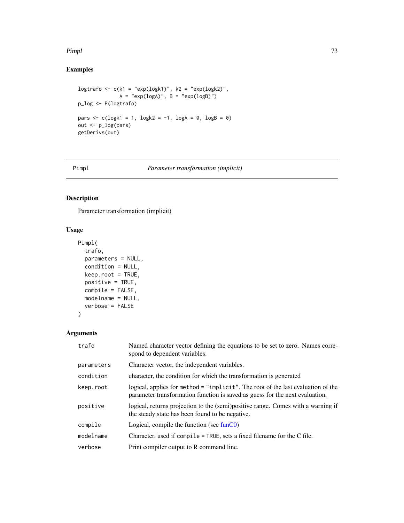#### Pimpl 73

# Examples

```
logtrafo <- c(k1 = "exp(logk1)", k2 = "exp(logk2)",
               A = "exp(logA)", B = "exp(logB)"p_log <- P(logtrafo)
pars <- c(\text{log}k1 = 1, \text{log}k2 = -1, \text{log}A = 0, \text{log}B = 0)out <- p_log(pars)
getDerivs(out)
```
#### Pimpl *Parameter transformation (implicit)*

# Description

Parameter transformation (implicit)

# Usage

```
Pimpl(
  trafo,
  parameters = NULL,
  condition = NULL,
  keep.root = TRUE,
  positive = TRUE,
  compile = FALSE,
  modelname = NULL,
  verbose = FALSE
)
```
# Arguments

| trafo      | Named character vector defining the equations to be set to zero. Names corre-<br>spond to dependent variables.                                                   |
|------------|------------------------------------------------------------------------------------------------------------------------------------------------------------------|
| parameters | Character vector, the independent variables.                                                                                                                     |
| condition  | character, the condition for which the transformation is generated                                                                                               |
| keep.root  | logical, applies for method = "implicit". The root of the last evaluation of the<br>parameter transformation function is saved as guess for the next evaluation. |
| positive   | logical, returns projection to the (semi)positive range. Comes with a warning if<br>the steady state has been found to be negative.                              |
| compile    | Logical, compile the function (see $funCO$ )                                                                                                                     |
| modelname  | Character, used if compile = TRUE, sets a fixed filename for the C file.                                                                                         |
| verbose    | Print compiler output to R command line.                                                                                                                         |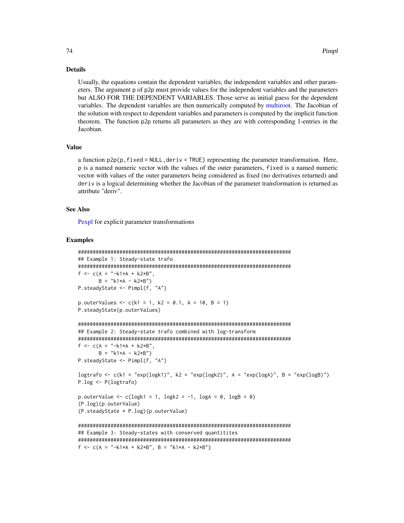#### Details

Usually, the equations contain the dependent variables, the independent variables and other parameters. The argument p of p2p must provide values for the independent variables and the parameters but ALSO FOR THE DEPENDENT VARIABLES. Those serve as initial guess for the dependent variables. The dependent variables are then numerically computed by [multiroot.](#page-0-0) The Jacobian of the solution with respect to dependent variables and parameters is computed by the implicit function theorem. The function p2p returns all parameters as they are with corresponding 1-entries in the Jacobian.

#### Value

a function  $p2p(p, fixed = NULL, derive = TRUE)$  representing the parameter transformation. Here, p is a named numeric vector with the values of the outer parameters, fixed is a named numeric vector with values of the outer parameters being considered as fixed (no derivatives returned) and deriv is a logical determining whether the Jacobian of the parameter transformation is returned as attribute "deriv".

#### See Also

[Pexpl](#page-71-0) for explicit parameter transformations

#### Examples

```
########################################################################
## Example 1: Steady-state trafo
########################################################################
f <- c(A = "-k1*A + k2*B",B = "k1*A - k2*B")P.steadyState <- Pimpl(f, "A")
p.outerValues <- c(k1 = 1, k2 = 0.1, A = 10, B = 1)
P.steadyState(p.outerValues)
########################################################################
## Example 2: Steady-state trafo combined with log-transform
########################################################################
f <- c(A = "-k1*A + k2*B",
       B = "k1*A - k2*B")P.steadyState <- Pimpl(f, "A")
logtrafo <- c(k1 = "exp(logk1)", k2 = "exp(logk2)", A = "exp(logA)", B = "exp(logB)")
P.log <- P(logtrafo)
p.outerValue \leq c(\text{logk1} = 1, \text{logk2} = -1, \text{logA} = 0, \text{logB} = 0)(P.log)(p.outerValue)
(P.steadyState * P.log)(p.outerValue)
########################################################################
## Example 3: Steady-states with conserved quantitites
########################################################################
f <- c(A = "-k1*A + k2*B", B = "k1*A - k2*B")
```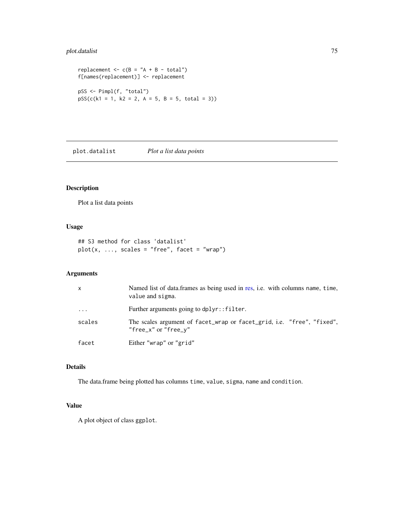# plot.datalist 75

```
replacement \leq \leq (B = "A + B - total")
f[names(replacement)] <- replacement
pSS <- Pimpl(f, "total")
pSS(c(k1 = 1, k2 = 2, A = 5, B = 5, total = 3))
```
plot.datalist *Plot a list data points*

# Description

Plot a list data points

## Usage

```
## S3 method for class 'datalist'
plot(x, ..., scales = "free", facet = "wrap")
```
#### Arguments

| x        | Named list of data.frames as being used in res, i.e. with columns name, time,<br>value and sigma. |
|----------|---------------------------------------------------------------------------------------------------|
| $\ddots$ | Further arguments going to dplyr:: filter.                                                        |
| scales   | The scales argument of facet_wrap or facet_grid, i.e. "free", "fixed",<br>"free_x" or "free_y"    |
| facet    | Either "wrap" or "grid"                                                                           |

# Details

The data.frame being plotted has columns time, value, sigma, name and condition.

#### Value

A plot object of class ggplot.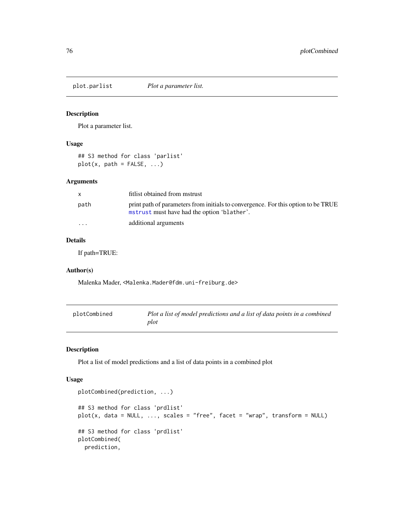Plot a parameter list.

# Usage

## S3 method for class 'parlist'  $plot(x, path = FALSE, ...)$ 

# Arguments

| X.                      | fitlist obtained from mstrust                                                                                                    |
|-------------------------|----------------------------------------------------------------------------------------------------------------------------------|
| path                    | print path of parameters from initials to convergence. For this option to be TRUE<br>mstrust must have had the option 'blather'. |
| $\cdot$ $\cdot$ $\cdot$ | additional arguments                                                                                                             |

# Details

If path=TRUE:

## Author(s)

Malenka Mader, <Malenka.Mader@fdm.uni-freiburg.de>

| plotCombined | Plot a list of model predictions and a list of data points in a combined |
|--------------|--------------------------------------------------------------------------|
|              | plot                                                                     |

# Description

Plot a list of model predictions and a list of data points in a combined plot

# Usage

```
plotCombined(prediction, ...)
## S3 method for class 'prdlist'
plot(x, data = NULL, ..., scales = "free", facet = "wrap", transform = NULL)## S3 method for class 'prdlist'
plotCombined(
 prediction,
```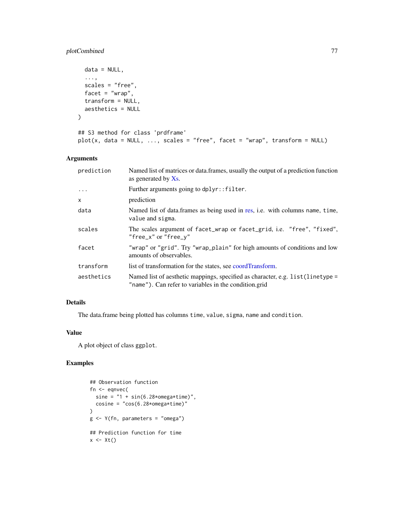# plotCombined 77

```
data = NULL,
  ...,
 scales = "free",
 facet = "wrap",
  transform = NULL,
 aesthetics = NULL
)
## S3 method for class 'prdframe'
plot(x, data = NULL, ..., scales = "free", facet = "wrap", transform = NULL)
```
# Arguments

| prediction   | Named list of matrices or data.frames, usually the output of a prediction function<br>as generated by $X_s$ .                           |
|--------------|-----------------------------------------------------------------------------------------------------------------------------------------|
| $\ddots$ .   | Further arguments going to dplyr:: filter.                                                                                              |
| $\mathsf{x}$ | prediction                                                                                                                              |
| data         | Named list of data.frames as being used in res, i.e. with columns name, time,<br>value and sigma.                                       |
| scales       | The scales argument of facet_wrap or facet_grid, i.e. "free", "fixed",<br>"free_x" or "free_y"                                          |
| facet        | "wrap" or "grid". Try "wrap_plain" for high amounts of conditions and low<br>amounts of observables.                                    |
| transform    | list of transformation for the states, see coordTransform.                                                                              |
| aesthetics   | Named list of aesthetic mappings, specified as character, e.g. list(linetype =<br>"name"). Can refer to variables in the condition.grid |

# Details

The data.frame being plotted has columns time, value, sigma, name and condition.

#### Value

A plot object of class ggplot.

# Examples

```
## Observation function
fn <- eqnvec(
  sine = "1 + sin(6.28* \text{omega} * \text{time})",
  cosine = "cos(6.28*omega*time)"\mathcal{L}g <- Y(fn, parameters = "omega")
## Prediction function for time
x \leftarrow \mathsf{xt}()
```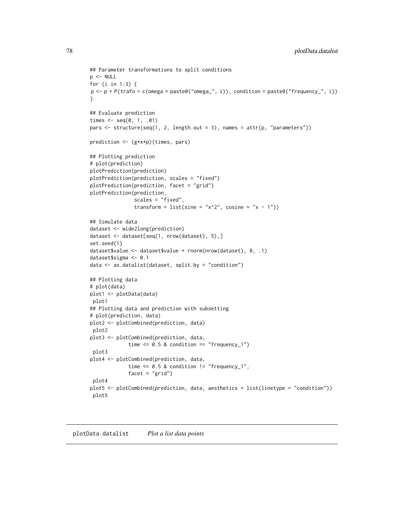```
## Parameter transformations to split conditions
p <- NULL
for (i in 1:3) {
p \leftarrow p + P(\text{trafo} = c(\text{omega}) = p \text{aste0}(\text{omega} = n, i)), \text{condition} = p \text{aste0}(\text{if frequency} = n, i))}
## Evaluate prediction
times \leq - seq(0, 1, .01)
pars <- structure(seq(1, 2, length.out = 3), names = attr(p, "parameters"))
prediction <- (g*x*p)(times, pars)
## Plotting prediction
# plot(prediction)
plotPrediction(prediction)
plotPrediction(prediction, scales = "fixed")
plotPrediction(prediction, facet = "grid")
plotPrediction(prediction,
                scales = "fixed",
                transform = list(sine = "x^2", cosine = "x - 1"))
## Simulate data
dataset <- wide2long(prediction)
dataset <- dataset[seq(1, nrow(dataset), 5),]
set.seed(1)
dataset$value <- dataset$value + rnorm(nrow(dataset), 0, .1)
dataset$sigma <- 0.1
data <- as.datalist(dataset, split.by = "condition")
## Plotting data
# plot(data)
plot1 <- plotData(data)
plot1
## Plotting data and prediction with subsetting
# plot(prediction, data)
plot2 <- plotCombined(prediction, data)
plot2
plot3 <- plotCombined(prediction, data,
              time \leq 0.5 & condition == "frequency_1")
 plot3
plot4 <- plotCombined(prediction, data,
              time \leq 0.5 & condition != "frequency_1",
              facet = "grid")
 plot4
plot5 <- plotCombined(prediction, data, aesthetics = list(linetype = "condition"))
plot5
```
plotData.datalist *Plot a list data points*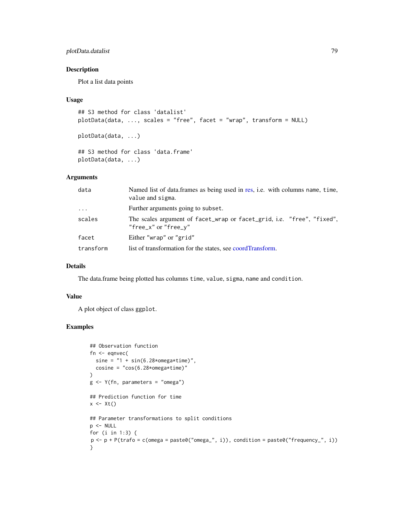# plotData.datalist 79

# Description

Plot a list data points

#### Usage

```
## S3 method for class 'datalist'
plotData(data, ..., scales = "free", facet = "wrap", transform = NULL)
plotData(data, ...)
## S3 method for class 'data.frame'
plotData(data, ...)
```
# Arguments

| data      | Named list of data.frames as being used in res, i.e. with columns name, time,<br>value and sigma. |
|-----------|---------------------------------------------------------------------------------------------------|
| $\cdots$  | Further arguments going to subset.                                                                |
| scales    | The scales argument of facet_wrap or facet_grid, i.e. "free", "fixed",<br>"free_x" or "free_y"    |
| facet     | Either "wrap" or "grid"                                                                           |
| transform | list of transformation for the states, see coordTransform.                                        |

## Details

The data.frame being plotted has columns time, value, sigma, name and condition.

#### Value

A plot object of class ggplot.

# Examples

```
## Observation function
fn <- eqnvec(
  sine = "1 + sin(6.28* \text{omega} * time)",
  cosine = "cos(6.28*omega*time)")
g <- Y(fn, parameters = "omega")
## Prediction function for time
x \leftarrow \mathsf{xt}()## Parameter transformations to split conditions
p <- NULL
for (i in 1:3) {
p <- p + P(trafo = c(omega = paste0("omega_", i)), condition = paste0("frequency_", i))
}
```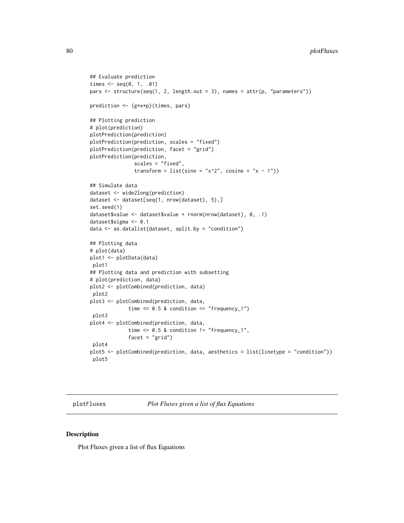```
## Evaluate prediction
times \leq - seq(0, 1, .01)
pars \le structure(seq(1, 2, length.out = 3), names = attr(p, "parameters"))
prediction <- (g*x*p)(times, pars)
## Plotting prediction
# plot(prediction)
plotPrediction(prediction)
plotPrediction(prediction, scales = "fixed")
plotPrediction(prediction, facet = "grid")
plotPrediction(prediction,
               scales = "fixed",
               transform = list(sine = "x^2", cosine = "x - 1"))
## Simulate data
dataset <- wide2long(prediction)
dataset <- dataset[seq(1, nrow(dataset), 5),]
set.seed(1)
dataset$value <- dataset$value + rnorm(nrow(dataset), 0, .1)
dataset$sigma <- 0.1
data <- as.datalist(dataset, split.by = "condition")
## Plotting data
# plot(data)
plot1 <- plotData(data)
 plot1
## Plotting data and prediction with subsetting
# plot(prediction, data)
plot2 <- plotCombined(prediction, data)
 plot2
plot3 <- plotCombined(prediction, data,
             time \leq 0.5 & condition == "frequency_1")
 plot3
plot4 <- plotCombined(prediction, data,
             time \leq 0.5 & condition != "frequency_1",
             facet = "grid")
 plot4
plot5 <- plotCombined(prediction, data, aesthetics = list(linetype = "condition"))
 plot5
```
plotFluxes *Plot Fluxes given a list of flux Equations*

# Description

Plot Fluxes given a list of flux Equations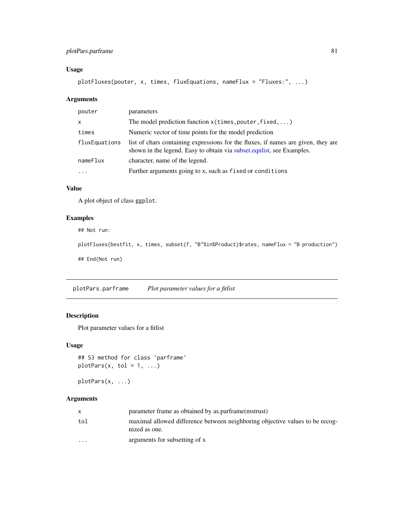# plotPars.parframe 81

# Usage

plotFluxes(pouter, x, times, fluxEquations, nameFlux = "Fluxes:", ...)

# Arguments

| pouter        | parameters                                                                                                                                                  |
|---------------|-------------------------------------------------------------------------------------------------------------------------------------------------------------|
| $\mathsf{x}$  | The model prediction function $x$ (times, pouter, fixed, )                                                                                                  |
| times         | Numeric vector of time points for the model prediction                                                                                                      |
| fluxEquations | list of chars containing expressions for the fluxes, if names are given, they are<br>shown in the legend. Easy to obtain via subset equalist, see Examples. |
| nameFlux      | character, name of the legend.                                                                                                                              |
| $\ddotsc$     | Further arguments going to x, such as fixed or conditions                                                                                                   |

# Value

A plot object of class ggplot.

# Examples

## Not run:

plotFluxes(bestfit, x, times, subset(f, "B"%in%Product)\$rates, nameFlux = "B production")

## End(Not run)

plotPars.parframe *Plot parameter values for a fitlist*

# Description

Plot parameter values for a fitlist

# Usage

```
## S3 method for class 'parframe'
plotParts(x, tol = 1, ...)
```
plotPars(x, ...)

#### Arguments

| X.      | parameter frame as obtained by as parframe (mstrust)                                          |
|---------|-----------------------------------------------------------------------------------------------|
| tol     | maximal allowed difference between neighboring objective values to be recog-<br>nized as one. |
| $\cdot$ | arguments for subsetting of x                                                                 |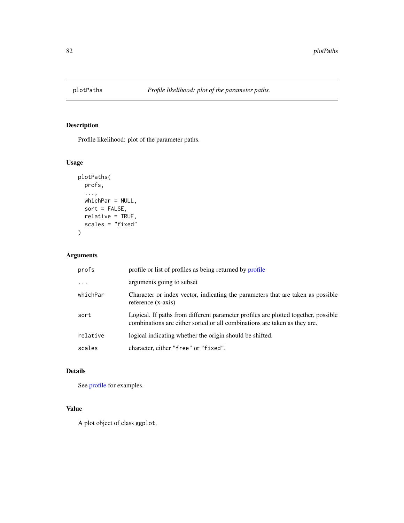Profile likelihood: plot of the parameter paths.

# Usage

```
plotPaths(
 profs,
  ...,
 whichPar = NULL,
 sort = FALSE,relative = TRUE,
 scales = "fixed"
)
```
# Arguments

| profs    | profile or list of profiles as being returned by profile                                                                                                        |
|----------|-----------------------------------------------------------------------------------------------------------------------------------------------------------------|
| $\ddots$ | arguments going to subset                                                                                                                                       |
| whichPar | Character or index vector, indicating the parameters that are taken as possible<br>reference (x-axis)                                                           |
| sort     | Logical. If paths from different parameter profiles are plotted together, possible<br>combinations are either sorted or all combinations are taken as they are. |
| relative | logical indicating whether the origin should be shifted.                                                                                                        |
| scales   | character, either "free" or "fixed".                                                                                                                            |

# Details

See [profile](#page-93-0) for examples.

# Value

A plot object of class ggplot.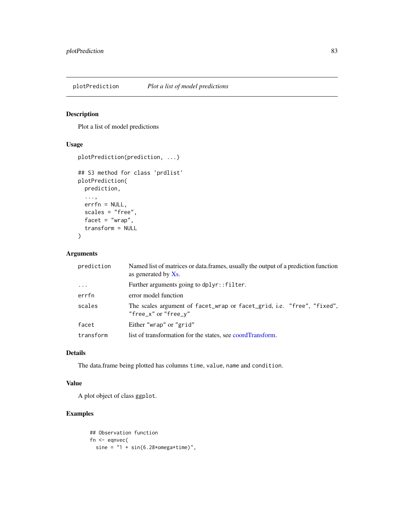Plot a list of model predictions

#### Usage

```
plotPrediction(prediction, ...)
## S3 method for class 'prdlist'
plotPrediction(
 prediction,
  ...,
 errfn = NULL,
  scales = "free",
 facet = "wrap",
  transform = NULL
)
```
# Arguments

| prediction | Named list of matrices or data. frames, usually the output of a prediction function<br>as generated by $X_s$ . |  |
|------------|----------------------------------------------------------------------------------------------------------------|--|
| $\cdots$   | Further arguments going to dplyr::filter.                                                                      |  |
| errfn      | error model function                                                                                           |  |
| scales     | The scales argument of facet_wrap or facet_grid, i.e. "free", "fixed",<br>"free_x" or "free_y"                 |  |
| facet      | Either "wrap" or "grid"                                                                                        |  |
| transform  | list of transformation for the states, see coordTransform.                                                     |  |

# Details

The data.frame being plotted has columns time, value, name and condition.

## Value

A plot object of class ggplot.

# Examples

```
## Observation function
fn <- eqnvec(
  sine = "1 + sin(6.28* \text{omega} * \text{time})",
```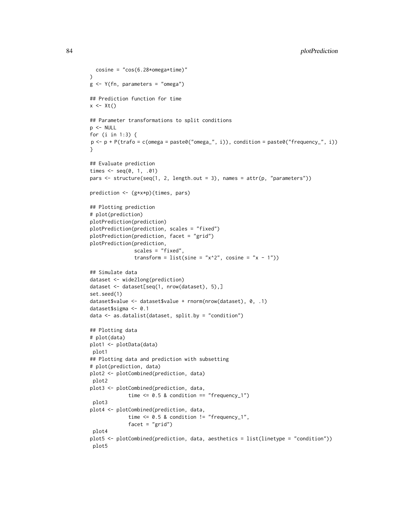```
cosine = "cos(6.28*omega#sine)"
\lambdag <- Y(fn, parameters = "omega")
## Prediction function for time
x \leftarrow \mathsf{xt}()## Parameter transformations to split conditions
p <- NULL
for (i in 1:3) {
p \leftarrow p + P(\text{trafo} = \text{c}(\text{omega} = \text{pass} \cdot \text{omega}^{-1}, i)), condition = paste0("frequency_", i))
}
## Evaluate prediction
times \leq - seq(0, 1, .01)
pars <- structure(seq(1, 2, length.out = 3), names = attr(p, "parameters"))
prediction <- (g*x*p)(times, pars)
## Plotting prediction
# plot(prediction)
plotPrediction(prediction)
plotPrediction(prediction, scales = "fixed")
plotPrediction(prediction, facet = "grid")
plotPrediction(prediction,
                scales = "fixed",
                transform = list(sine = "x^2", cosine = "x - 1"))
## Simulate data
dataset <- wide2long(prediction)
dataset <- dataset[seq(1, nrow(dataset), 5),]
set.seed(1)
dataset$value <- dataset$value + rnorm(nrow(dataset), 0, .1)
dataset$sigma <- 0.1
data <- as.datalist(dataset, split.by = "condition")
## Plotting data
# plot(data)
plot1 <- plotData(data)
plot1
## Plotting data and prediction with subsetting
# plot(prediction, data)
plot2 <- plotCombined(prediction, data)
plot2
plot3 <- plotCombined(prediction, data,
              time \leq 0.5 & condition == "frequency_1")
 plot3
plot4 <- plotCombined(prediction, data,
              time \leq 0.5 & condition != "frequency_1",
              facet = "grid")plot4
plot5 <- plotCombined(prediction, data, aesthetics = list(linetype = "condition"))
 plot5
```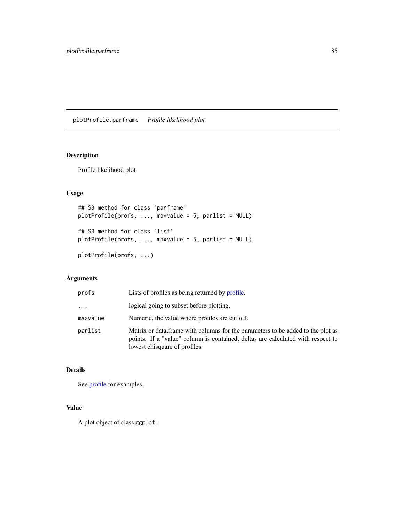plotProfile.parframe *Profile likelihood plot*

# Description

Profile likelihood plot

# Usage

```
## S3 method for class 'parframe'
plotProfile(profs, ..., maxvalue = 5, parlist = NULL)
## S3 method for class 'list'
plotProfile(profs, ..., maxvalue = 5, parlist = NULL)
```
plotProfile(profs, ...)

# Arguments

| profs    | Lists of profiles as being returned by profile.                                                                                                                                                      |
|----------|------------------------------------------------------------------------------------------------------------------------------------------------------------------------------------------------------|
| $\cdots$ | logical going to subset before plotting.                                                                                                                                                             |
| maxvalue | Numeric, the value where profiles are cut off.                                                                                                                                                       |
| parlist  | Matrix or data. frame with columns for the parameters to be added to the plot as<br>points. If a "value" column is contained, deltas are calculated with respect to<br>lowest chisquare of profiles. |

#### Details

See [profile](#page-93-0) for examples.

# Value

A plot object of class ggplot.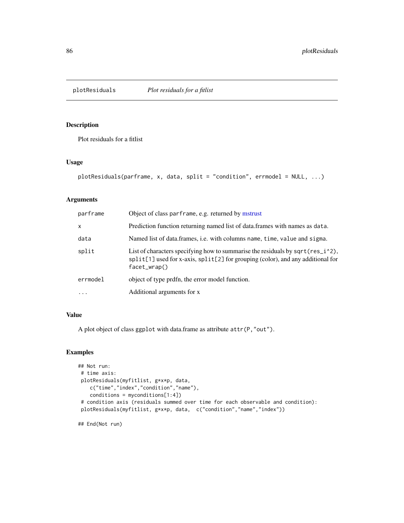Plot residuals for a fitlist

#### Usage

```
plotResiduals(parframe, x, data, split = "condition", errmodel = NULL, ...)
```
# Arguments

| parframe     | Object of class parframe, e.g. returned by mstrust                                                                                                                                      |
|--------------|-----------------------------------------------------------------------------------------------------------------------------------------------------------------------------------------|
| $\mathsf{x}$ | Prediction function returning named list of data. frames with names as data.                                                                                                            |
| data         | Named list of data.frames, i.e. with columns name, time, value and sigma.                                                                                                               |
| split        | List of characters specifying how to summarise the residuals by sqrt(res_i^2),<br>$split[1]$ used for x-axis, $split[2]$ for grouping (color), and any additional for<br>$facet_wrap()$ |
| errmodel     | object of type prdfn, the error model function.                                                                                                                                         |
| $\ddotsc$    | Additional arguments for x                                                                                                                                                              |

# Value

A plot object of class ggplot with data.frame as attribute attr(P,"out").

#### Examples

```
## Not run:
# time axis:
plotResiduals(myfitlist, g*x*p, data,
   c("time","index","condition","name"),
   conditions = myconditions[1:4])
# condition axis (residuals summed over time for each observable and condition):
plotResiduals(myfitlist, g*x*p, data, c("condition","name","index"))
```
## End(Not run)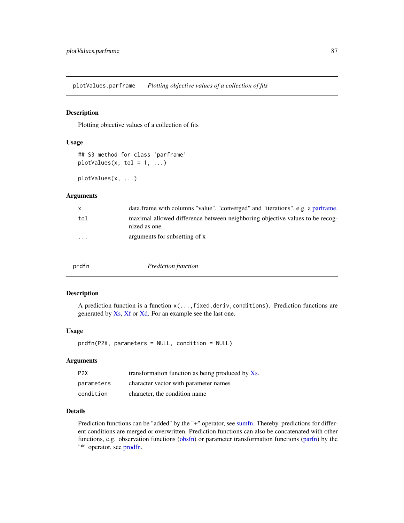plotValues.parframe *Plotting objective values of a collection of fits*

# Description

Plotting objective values of a collection of fits

#### Usage

```
## S3 method for class 'parframe'
plotValues(x, tol = 1, ...)
```
plotValues(x, ...)

#### Arguments

| X        | data frame with columns "value", "converged" and "iterations", e.g. a parframe.               |
|----------|-----------------------------------------------------------------------------------------------|
| tol      | maximal allowed difference between neighboring objective values to be recog-<br>nized as one. |
| $\cdots$ | arguments for subsetting of x                                                                 |

<span id="page-86-0"></span>

|  | prdfn | Prediction function |  |
|--|-------|---------------------|--|
|--|-------|---------------------|--|

# Description

A prediction function is a function  $x(\ldots, fixed, deriv, conditions)$ . Prediction functions are generated by [Xs,](#page-117-0) [Xf](#page-116-0) or [Xd.](#page-115-0) For an example see the last one.

#### Usage

prdfn(P2X, parameters = NULL, condition = NULL)

#### Arguments

| P <sub>2</sub> X | transformation function as being produced by Xs. |
|------------------|--------------------------------------------------|
| parameters       | character vector with parameter names            |
| condition        | character, the condition name                    |

# Details

Prediction functions can be "added" by the "+" operator, see [sumfn.](#page-6-0) Thereby, predictions for different conditions are merged or overwritten. Prediction functions can also be concatenated with other functions, e.g. observation functions [\(obsfn\)](#page-60-0) or parameter transformation functions [\(parfn\)](#page-64-0) by the "\*" operator, see [prodfn.](#page-3-0)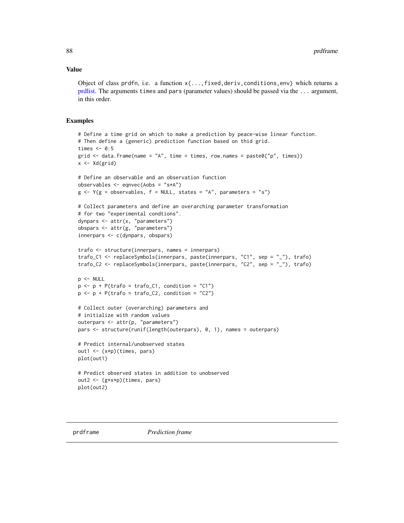#### Value

Object of class prdfn, i.e. a function  $x(\ldots, fixed, deriv, conditions,env)$  which returns a [prdlist.](#page-88-0) The arguments times and pars (parameter values) should be passed via the ... argument, in this order.

#### Examples

```
# Define a time grid on which to make a prediction by peace-wise linear function.
# Then define a (generic) prediction function based on thid grid.
times <-0:5grid \le data.frame(name = "A", time = times, row.names = paste0("p", times))
x <- Xd(grid)
# Define an observable and an observation function
observables <- eqnvec(Aobs = "s*A")
g \leftarrow Y(g = observables, f = NULL, states = "A", parameters = "s")# Collect parameters and define an overarching parameter transformation
# for two "experimental condtions".
dynpars <- attr(x, "parameters")
obspars <- attr(g, "parameters")
innerpars <- c(dynpars, obspars)
trafo <- structure(innerpars, names = innerpars)
trafo_C1 <- replaceSymbols(innerpars, paste(innerpars, "C1", sep = "_"), trafo)
trafo_C2 <- replaceSymbols(innerpars, paste(innerpars, "C2", sep = "_"), trafo)
p <- NULL
p \leftarrow p + P(\text{trafo} = \text{trafo\_C1}, \text{ condition} = "C1")p \leftarrow p + P(\text{traf } o = \text{traf } o_2), condition = "C2")
# Collect outer (overarching) parameters and
# initialize with random values
outerpars <- attr(p, "parameters")
pars <- structure(runif(length(outerpars), 0, 1), names = outerpars)
# Predict internal/unobserved states
out1 <- (x*p)(times, pars)
plot(out1)
# Predict observed states in addition to unobserved
out2 <- (g*x*p)(times, pars)
plot(out2)
```
<span id="page-87-0"></span>

prdframe *Prediction frame*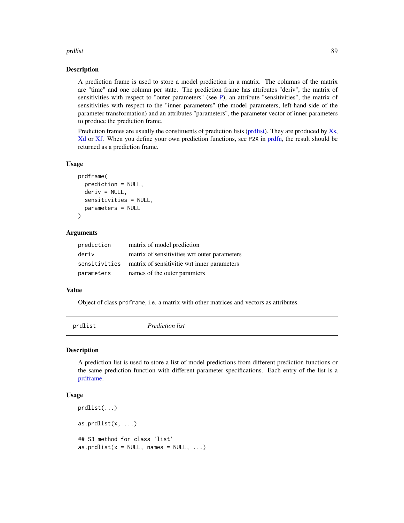#### prdlist 89

#### Description

A prediction frame is used to store a model prediction in a matrix. The columns of the matrix are "time" and one column per state. The prediction frame has attributes "deriv", the matrix of sensitivities with respect to "outer parameters" (see [P\)](#page-63-0), an attribute "sensitivities", the matrix of sensitivities with respect to the "inner parameters" (the model parameters, left-hand-side of the parameter transformation) and an attributes "parameters", the parameter vector of inner parameters to produce the prediction frame.

Prediction frames are usually the constituents of prediction lists [\(prdlist\)](#page-88-0). They are produced by [Xs,](#page-117-0) [Xd](#page-115-0) or [Xf.](#page-116-0) When you define your own prediction functions, see P2X in [prdfn,](#page-86-0) the result should be returned as a prediction frame.

#### Usage

```
prdframe(
  prediction = NULL,
  deriv = NULL,sensitivities = NULL,
  parameters = NULL
)
```
#### Arguments

| prediction | matrix of model prediction                                |
|------------|-----------------------------------------------------------|
| deriv      | matrix of sensitivities wrt outer parameters              |
|            | sensitivities matrix of sensitivitie wrt inner parameters |
| parameters | names of the outer paramters                              |

#### Value

Object of class prdframe, i.e. a matrix with other matrices and vectors as attributes.

<span id="page-88-0"></span>

| prdlist<br><i>Prediction list</i> |
|-----------------------------------|
|                                   |

#### Description

A prediction list is used to store a list of model predictions from different prediction functions or the same prediction function with different parameter specifications. Each entry of the list is a [prdframe.](#page-87-0)

#### Usage

```
prdlist(...)
as.prdlist(x, \ldots)## S3 method for class 'list'
as.prdlist(x = NULL, names = NULL, ...)
```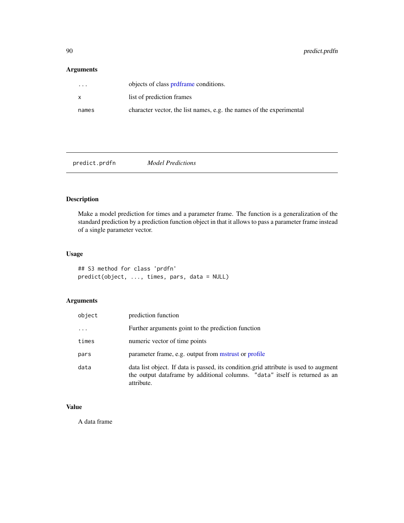# Arguments

| $\cdots$ | objects of class prdframe conditions.                                |
|----------|----------------------------------------------------------------------|
| X        | list of prediction frames                                            |
| names    | character vector, the list names, e.g. the names of the experimental |

predict.prdfn *Model Predictions*

# Description

Make a model prediction for times and a parameter frame. The function is a generalization of the standard prediction by a prediction function object in that it allows to pass a parameter frame instead of a single parameter vector.

# Usage

## S3 method for class 'prdfn' predict(object, ..., times, pars, data = NULL)

# Arguments

| object   | prediction function                                                                                                                                                               |
|----------|-----------------------------------------------------------------------------------------------------------------------------------------------------------------------------------|
| $\cdots$ | Further arguments goint to the prediction function                                                                                                                                |
| times    | numeric vector of time points                                                                                                                                                     |
| pars     | parameter frame, e.g. output from mstrust or profile                                                                                                                              |
| data     | data list object. If data is passed, its condition grid attribute is used to augment<br>the output dataframe by additional columns. "data" itself is returned as an<br>attribute. |

# Value

A data frame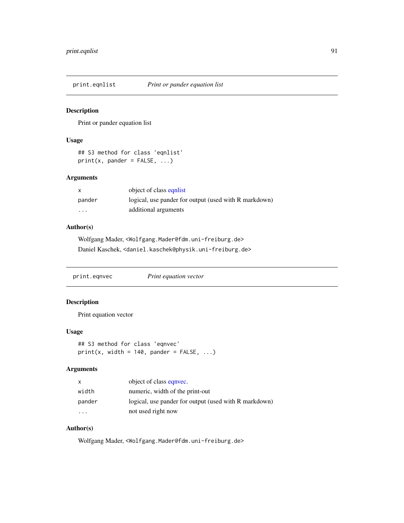Print or pander equation list

#### Usage

```
## S3 method for class 'eqnlist'
print(x, paneler = FALSE, ...)
```
# Arguments

| X                       | object of class equilist                              |
|-------------------------|-------------------------------------------------------|
| pander                  | logical, use pander for output (used with R markdown) |
| $\cdot$ $\cdot$ $\cdot$ | additional arguments                                  |

# Author(s)

Wolfgang Mader, <Wolfgang.Mader@fdm.uni-freiburg.de> Daniel Kaschek, <daniel.kaschek@physik.uni-freiburg.de>

print.eqnvec *Print equation vector*

# Description

Print equation vector

#### Usage

```
## S3 method for class 'eqnvec'
print(x, width = 140, paneler = FALSE, ...)
```
# Arguments

| $\mathsf{x}$ | object of class equivec.                              |
|--------------|-------------------------------------------------------|
| width        | numeric, width of the print-out                       |
| pander       | logical, use pander for output (used with R markdown) |
| .            | not used right now                                    |

# Author(s)

Wolfgang Mader, <Wolfgang.Mader@fdm.uni-freiburg.de>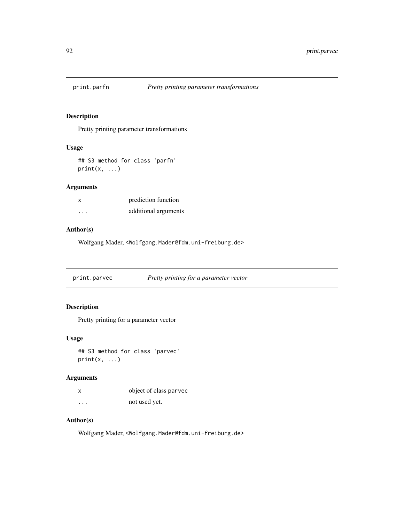Pretty printing parameter transformations

#### Usage

## S3 method for class 'parfn'  $print(x, \ldots)$ 

# Arguments

| x        | prediction function  |
|----------|----------------------|
| $\cdots$ | additional arguments |

# Author(s)

Wolfgang Mader, <Wolfgang.Mader@fdm.uni-freiburg.de>

print.parvec *Pretty printing for a parameter vector*

# Description

Pretty printing for a parameter vector

#### Usage

```
## S3 method for class 'parvec'
print(x, \ldots)
```
# Arguments

| X | object of class parvec |
|---|------------------------|
| . | not used yet.          |

# Author(s)

Wolfgang Mader, <Wolfgang.Mader@fdm.uni-freiburg.de>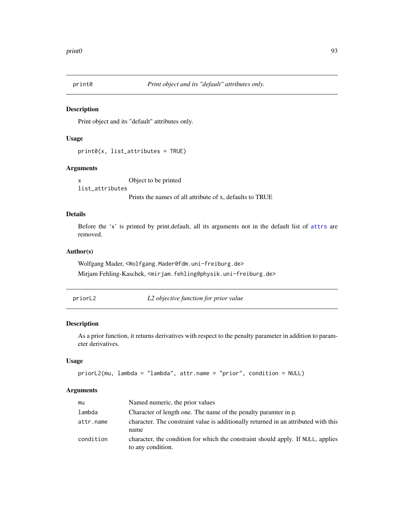Print object and its "default" attributes only.

# Usage

print0(x, list\_attributes = TRUE)

# Arguments

x Object to be printed list\_attributes Prints the names of all attribute of x, defaults to TRUE

# Details

Before the 'x' is printed by print.default, all its arguments not in the default list of [attrs](#page-16-0) are removed.

# Author(s)

Wolfgang Mader, <Wolfgang.Mader@fdm.uni-freiburg.de> Mirjam Fehling-Kaschek, <mirjam.fehling@physik.uni-freiburg.de>

priorL2 *L2 objective function for prior value*

# Description

As a prior function, it returns derivatives with respect to the penalty parameter in addition to parameter derivatives.

#### Usage

```
priorL2(mu, lambda = "lambda", attr.name = "prior", condition = NULL)
```
#### Arguments

| mu        | Named numeric, the prior values                                                                       |
|-----------|-------------------------------------------------------------------------------------------------------|
| lambda    | Character of length one. The name of the penalty paramter in p.                                       |
| attr.name | character. The constraint value is additionally returned in an attributed with this<br>name           |
| condition | character, the condition for which the constraint should apply. If NULL, applies<br>to any condition. |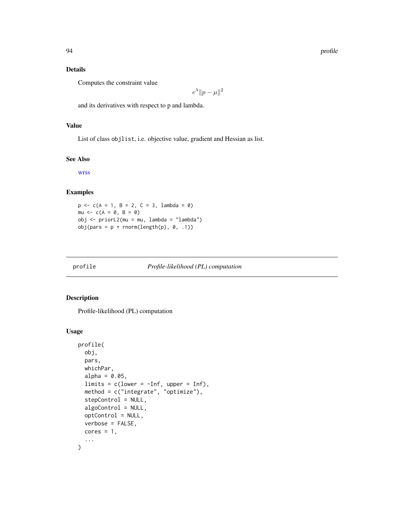## Details

Computes the constraint value

$$
e^{\lambda} \| p - \mu \|^2
$$

and its derivatives with respect to p and lambda.

#### Value

List of class objlist, i.e. objective value, gradient and Hessian as list.

#### See Also

[wrss](#page-115-1)

# Examples

 $p \leq -c(A = 1, B = 2, C = 3,$  lambda = 0) mu  $\leq$   $c(A = 0, B = 0)$ obj <- priorL2(mu = mu, lambda = "lambda")  $obj(pars = p + rnorm(length(p), 0, .1))$ 

<span id="page-93-0"></span>

# Description

Profile-likelihood (PL) computation

#### Usage

```
profile(
  obj,
 pars,
 whichPar,
  alpha = 0.05,
  limits = c(lower = -Inf, upper = Inf),method = c("integrate", "optimize"),
  stepControl = NULL,
  algoControl = NULL,
  optControl = NULL,
  verbose = FALSE,
  cores = 1,
  ...
\mathcal{L}
```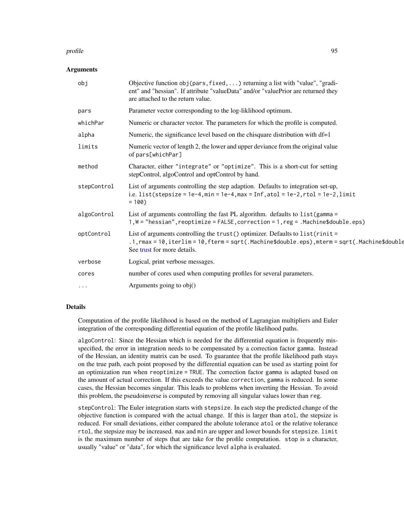#### profile that the set of the set of the set of the set of the set of the set of the set of the set of the set of the set of the set of the set of the set of the set of the set of the set of the set of the set of the set of

#### **Arguments**

| obj         | Objective function $obj(pars, fixed, )$ returning a list with "value", "gradi-<br>ent" and "hessian". If attribute "valueData" and/or "valuePrior are returned they<br>are attached to the return value.           |
|-------------|--------------------------------------------------------------------------------------------------------------------------------------------------------------------------------------------------------------------|
| pars        | Parameter vector corresponding to the log-liklihood optimum.                                                                                                                                                       |
| whichPar    | Numeric or character vector. The parameters for which the profile is computed.                                                                                                                                     |
| alpha       | Numeric, the significance level based on the chisquare distribution with df=1                                                                                                                                      |
| limits      | Numeric vector of length 2, the lower and upper deviance from the original value<br>of pars[whichPar]                                                                                                              |
| method      | Character, either "integrate" or "optimize". This is a short-cut for setting<br>stepControl, algoControl and optControl by hand.                                                                                   |
| stepControl | List of arguments controlling the step adaption. Defaults to integration set-up,<br>i.e. list(stepsize = $1e-4$ , min = $1e-4$ , max = $Inf$ , atol = $1e-2$ , rtol = $1e-2$ , limit<br>$= 100$                    |
| algoControl | List of arguments controlling the fast PL algorithm. defaults to $list(gamma =$<br>1, W = "hessian", reoptimize = FALSE, correction = 1, reg = .Machine\$double.eps)                                               |
| optControl  | List of arguments controlling the $trust()$ optimizer. Defaults to $list(rinit =$<br>.1, rmax = 10, iterlim = 10, fterm = sqrt(.Machine\$double.eps), mterm = sqrt(.Machine\$double<br>See trust for more details. |
| verbose     | Logical, print verbose messages.                                                                                                                                                                                   |
| cores       | number of cores used when computing profiles for several parameters.                                                                                                                                               |
| $\cdots$    | Arguments going to $obj()$                                                                                                                                                                                         |

#### Details

Computation of the profile likelihood is based on the method of Lagrangian multipliers and Euler integration of the corresponding differential equation of the profile likelihood paths.

algoControl: Since the Hessian which is needed for the differential equation is frequently misspecified, the error in integration needs to be compensated by a correction factor gamma. Instead of the Hessian, an identity matrix can be used. To guarantee that the profile likelihood path stays on the true path, each point proposed by the differential equation can be used as starting point for an optimization run when reoptimize = TRUE. The correction factor gamma is adapted based on the amount of actual correction. If this exceeds the value correction, gamma is reduced. In some cases, the Hessian becomes singular. This leads to problems when inverting the Hessian. To avoid this problem, the pseudoinverse is computed by removing all singular values lower than reg.

stepControl: The Euler integration starts with stepsize. In each step the predicted change of the objective function is compared with the actual change. If this is larger than atol, the stepsize is reduced. For small deviations, either compared the abolute tolerance atol or the relative tolerance rtol, the stepsize may be increased. max and min are upper and lower bounds for stepsize. limit is the maximum number of steps that are take for the profile computation. stop is a character, usually "value" or "data", for which the significance level alpha is evaluated.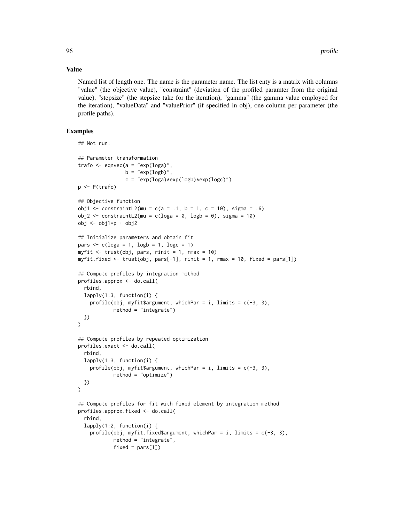#### Value

Named list of length one. The name is the parameter name. The list enty is a matrix with columns "value" (the objective value), "constraint" (deviation of the profiled paramter from the original value), "stepsize" (the stepsize take for the iteration), "gamma" (the gamma value employed for the iteration), "valueData" and "valuePrior" (if specified in obj), one column per parameter (the profile paths).

## Examples

```
## Not run:
## Parameter transformation
trafo \leq eqnvec(a = "exp(loga)",
                b = "exp(logb)",
                c = "exp(loga) * exp(logb) * exp(logc)")
p <- P(trafo)
## Objective function
obj1 <- constraintL2(mu = c(a = .1, b = 1, c = 10), sigma = .6)
obj2 <- constraintL2(mu = c(loga = 0, logb = 0), sigma = 10)
obj <- obj1*p + obj2
## Initialize parameters and obtain fit
pars \leq c(\text{log}a = 1, \text{log}b = 1, \text{log}c = 1)myfit \leq trust(obj, pars, rinit = 1, rmax = 10)
myfit.fixed <- trust(obj, pars[-1], rinit = 1, rmax = 10, fixed = pars[1])
## Compute profiles by integration method
profiles.approx <- do.call(
 rbind,
 lapply(1:3, function(i) {
    profile(obj, myfit$argument, whichPar = i, limits = c(-3, 3),
            method = "integrate")
 })
\mathcal{L}## Compute profiles by repeated optimization
profiles.exact <- do.call(
 rbind,
 lapply(1:3, function(i) {
    profile(obj, myfit$argument, whichPar = i, limits = c(-3, 3),
            method = "optimize")
 })
\mathcal{L}## Compute profiles for fit with fixed element by integration method
profiles.approx.fixed <- do.call(
 rbind,
 lapply(1:2, function(i) {
    profile(obj, myfit.fixed$argument, whichPar = i, limits = c(-3, 3),
            method = "integrate",
            fixed = pars[1])
```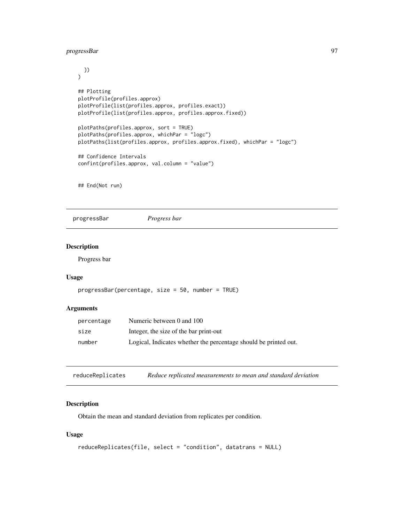# progressBar 97

```
})
)
## Plotting
plotProfile(profiles.approx)
plotProfile(list(profiles.approx, profiles.exact))
plotProfile(list(profiles.approx, profiles.approx.fixed))
plotPaths(profiles.approx, sort = TRUE)
plotPaths(profiles.approx, whichPar = "logc")
plotPaths(list(profiles.approx, profiles.approx.fixed), whichPar = "logc")
## Confidence Intervals
confint(profiles.approx, val.column = "value")
```
## End(Not run)

progressBar *Progress bar*

# Description

Progress bar

#### Usage

```
progressBar(percentage, size = 50, number = TRUE)
```
# Arguments

| percentage | Numeric between 0 and 100                                        |
|------------|------------------------------------------------------------------|
| size       | Integer, the size of the bar print-out                           |
| number     | Logical, Indicates whether the percentage should be printed out. |

reduceReplicates *Reduce replicated measurements to mean and standard deviation*

#### Description

Obtain the mean and standard deviation from replicates per condition.

# Usage

```
reduceReplicates(file, select = "condition", datatrans = NULL)
```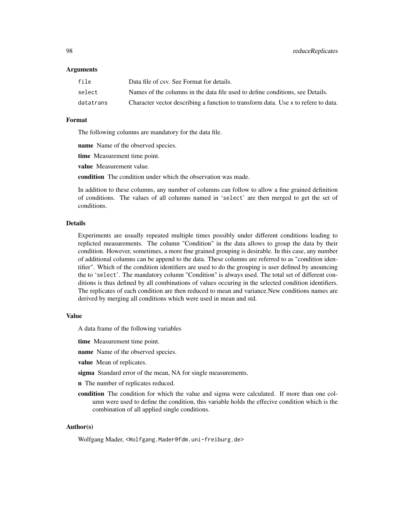#### Arguments

| file      | Data file of csv. See Format for details.                                          |
|-----------|------------------------------------------------------------------------------------|
| select    | Names of the columns in the data file used to define conditions, see Details.      |
| datatrans | Character vector describing a function to transform data. Use x to refere to data. |

#### Format

The following columns are mandatory for the data file.

name Name of the observed species.

time Measurement time point.

value Measurement value.

condition The condition under which the observation was made.

In addition to these columns, any number of columns can follow to allow a fine grained definition of conditions. The values of all columns named in 'select' are then merged to get the set of conditions.

#### Details

Experiments are usually repeated multiple times possibly under different conditions leading to replicted measurements. The column "Condition" in the data allows to group the data by their condition. However, sometimes, a more fine grained grouping is desirable. In this case, any number of additional columns can be append to the data. These columns are referred to as "condition identifier". Which of the condition identifiers are used to do the grouping is user defined by anouncing the to 'select'. The mandatory column "Condition" is always used. The total set of different conditions is thus defined by all combinations of values occuring in the selected condition identifiers. The replicates of each condition are then reduced to mean and variance.New conditions names are derived by merging all conditions which were used in mean and std.

#### Value

A data frame of the following variables

time Measurement time point.

name Name of the observed species.

value Mean of replicates.

sigma Standard error of the mean, NA for single measurements.

n The number of replicates reduced.

condition The condition for which the value and sigma were calculated. If more than one column were used to define the condition, this variable holds the effecive condition which is the combination of all applied single conditions.

#### Author(s)

Wolfgang Mader, <Wolfgang.Mader@fdm.uni-freiburg.de>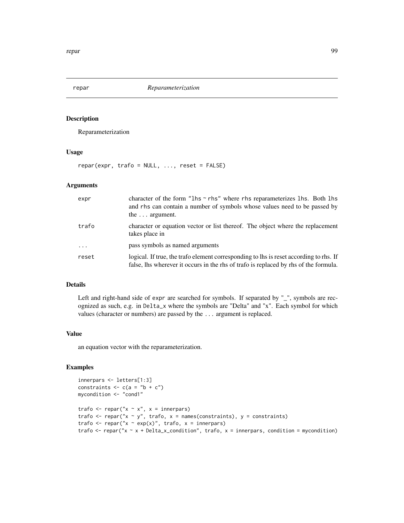Reparameterization

## Usage

 $repar(exp, trafo = NULL, ..., reset = FALSE)$ 

## Arguments

| expr     | character of the form " $\ln s \sim r \ln s$ " where rhs reparameterizes $\ln s$ . Both $\ln s$<br>and rhs can contain a number of symbols whose values need to be passed by<br>the $\ldots$ argument. |
|----------|--------------------------------------------------------------------------------------------------------------------------------------------------------------------------------------------------------|
| trafo    | character or equation vector or list thereof. The object where the replacement<br>takes place in                                                                                                       |
| $\cdots$ | pass symbols as named arguments                                                                                                                                                                        |
| reset    | logical. If true, the trafo element corresponding to lhs is reset according to rhs. If<br>false, lhs wherever it occurs in the rhs of trafo is replaced by rhs of the formula.                         |

#### Details

Left and right-hand side of expr are searched for symbols. If separated by "\_", symbols are recognized as such, e.g. in Delta\_x where the symbols are "Delta" and "x". Each symbol for which values (character or numbers) are passed by the ... argument is replaced.

#### Value

an equation vector with the reparameterization.

# Examples

```
innerpars <- letters[1:3]
constraints \leq c(a = "b + c")
mycondition <- "cond1"
trafo \leq repar("x \sim x", x = innerpars)
trafo \leq repar("x \sim y", trafo, x = names(constraints), y = constraints)
trafo \leq repar("x \sim exp(x)", trafo, x = innerpars)
trafo \leq repar("x \sim x + Delta_x_condition", trafo, x = innerpars, condition = mycondition)
```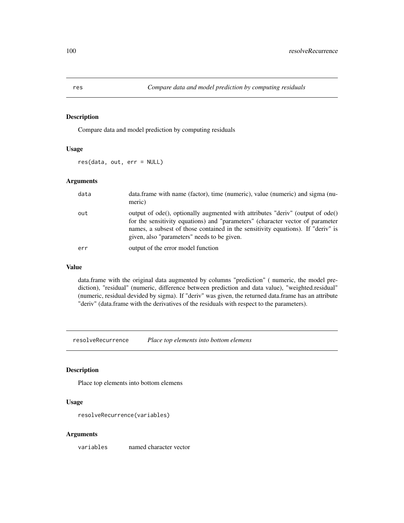Compare data and model prediction by computing residuals

# Usage

res(data, out, err = NULL)

## Arguments

| data | data.frame with name (factor), time (numeric), value (numeric) and sigma (nu-<br>meric)                                                                                                                                                                                                             |
|------|-----------------------------------------------------------------------------------------------------------------------------------------------------------------------------------------------------------------------------------------------------------------------------------------------------|
| out  | output of ode(), optionally augmented with attributes "deriv" (output of ode()<br>for the sensitivity equations) and "parameters" (character vector of parameter<br>names, a subsest of those contained in the sensitivity equations). If "deriv" is<br>given, also "parameters" needs to be given. |
| err  | output of the error model function                                                                                                                                                                                                                                                                  |

#### Value

data.frame with the original data augmented by columns "prediction" ( numeric, the model prediction), "residual" (numeric, difference between prediction and data value), "weighted.residual" (numeric, residual devided by sigma). If "deriv" was given, the returned data.frame has an attribute "deriv" (data.frame with the derivatives of the residuals with respect to the parameters).

resolveRecurrence *Place top elements into bottom elemens*

#### Description

Place top elements into bottom elemens

#### Usage

resolveRecurrence(variables)

#### Arguments

variables named character vector

<span id="page-99-0"></span>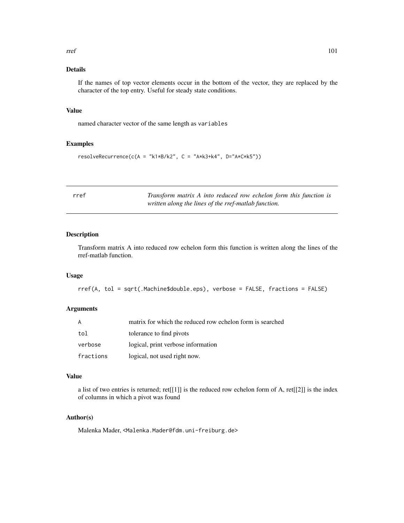#### $rref$  101

# Details

If the names of top vector elements occur in the bottom of the vector, they are replaced by the character of the top entry. Useful for steady state conditions.

#### Value

named character vector of the same length as variables

## Examples

```
resolveRecurrence(c(A = "k1*B/k2", C = "A*k3+k4", D="A*C*k5"))
```

|  | ٠<br>$\sim$ |  |
|--|-------------|--|
|  |             |  |

f **Transform matrix A into reduced row echelon form this function is** *written along the lines of the rref-matlab function.*

## Description

Transform matrix A into reduced row echelon form this function is written along the lines of the rref-matlab function.

## Usage

```
rref(A, tol = sqrt(.Machine$double.eps), verbose = FALSE, fractions = FALSE)
```
## Arguments

| A         | matrix for which the reduced row echelon form is searched |
|-----------|-----------------------------------------------------------|
| tol       | tolerance to find pivots                                  |
| verbose   | logical, print verbose information                        |
| fractions | logical, not used right now.                              |

#### Value

a list of two entries is returned; ret[[1]] is the reduced row echelon form of A, ret[[2]] is the index of columns in which a pivot was found

# Author(s)

Malenka Mader, <Malenka.Mader@fdm.uni-freiburg.de>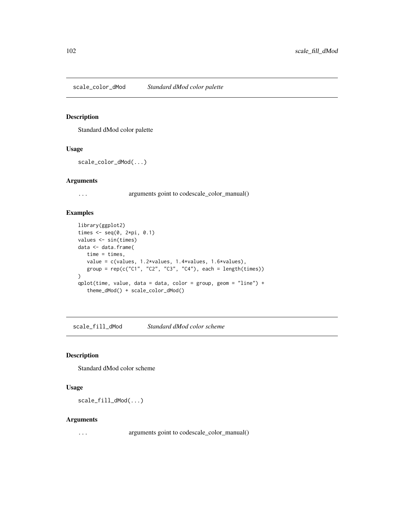scale\_color\_dMod *Standard dMod color palette*

## Description

Standard dMod color palette

# Usage

```
scale_color_dMod(...)
```
## Arguments

... arguments goint to codescale\_color\_manual()

#### Examples

```
library(ggplot2)
times \leq seq(0, 2*pi, 0.1)
values <- sin(times)
data <- data.frame(
   time = times,
   value = c(values, 1.2*values, 1.4*values, 1.6*values),
   group = rep(c("C1", "C2", "C3", "C4"), each = length(times))
)
qplot(time, value, data = data, color = group, geom = "line") +
   theme_dMod() + scale_color_dMod()
```
scale\_fill\_dMod *Standard dMod color scheme*

## Description

Standard dMod color scheme

#### Usage

scale\_fill\_dMod(...)

#### Arguments

... arguments goint to codescale\_color\_manual()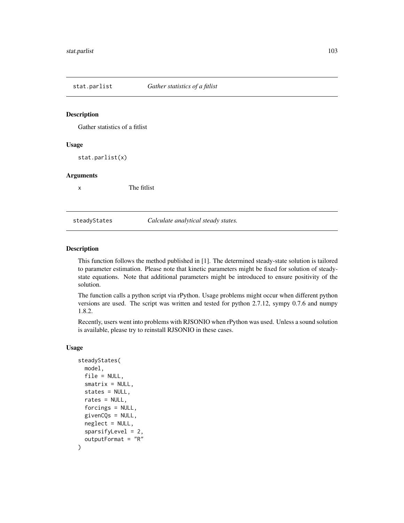Gather statistics of a fitlist

## Usage

stat.parlist(x)

#### Arguments

x The fitlist

#### steadyStates *Calculate analytical steady states.*

#### Description

This function follows the method published in [1]. The determined steady-state solution is tailored to parameter estimation. Please note that kinetic parameters might be fixed for solution of steadystate equations. Note that additional parameters might be introduced to ensure positivity of the solution.

The function calls a python script via rPython. Usage problems might occur when different python versions are used. The script was written and tested for python 2.7.12, sympy 0.7.6 and numpy 1.8.2.

Recently, users went into problems with RJSONIO when rPython was used. Unless a sound solution is available, please try to reinstall RJSONIO in these cases.

## Usage

```
steadyStates(
 model,
  file = NULL,
  smatrix = NULL,states = NULL,
  rates = NULL,
  forcings = NULL,
  givenCQs = NULL,
  neglect = NULL,sparsityLevel = 2,
  outputFormat = "R"
)
```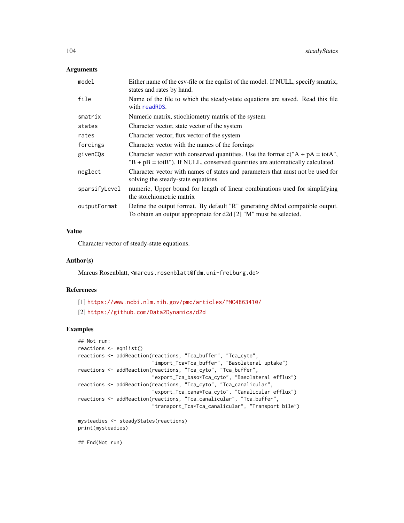#### Arguments

| model         | Either name of the csv-file or the equalist of the model. If NULL, specify smatrix,<br>states and rates by hand.                                                          |  |
|---------------|---------------------------------------------------------------------------------------------------------------------------------------------------------------------------|--|
| file          | Name of the file to which the steady-state equations are saved. Read this file<br>with readRDS.                                                                           |  |
| smatrix       | Numeric matrix, stiochiometry matrix of the system                                                                                                                        |  |
| states        | Character vector, state vector of the system                                                                                                                              |  |
| rates         | Character vector, flux vector of the system                                                                                                                               |  |
| forcings      | Character vector with the names of the forcings                                                                                                                           |  |
| givenCQs      | Character vector with conserved quantities. Use the format $c("A + pA = totA",$<br>$B + pB = \text{tot}B$ "). If NULL, conserved quantities are automatically calculated. |  |
| neglect       | Character vector with names of states and parameters that must not be used for<br>solving the steady-state equations                                                      |  |
| sparsifyLevel | numeric, Upper bound for length of linear combinations used for simplifying<br>the stoichiometric matrix                                                                  |  |
| outputFormat  | Define the output format. By default "R" generating dMod compatible output.<br>To obtain an output appropriate for d2d [2] "M" must be selected.                          |  |

# Value

Character vector of steady-state equations.

#### Author(s)

Marcus Rosenblatt, <marcus.rosenblatt@fdm.uni-freiburg.de>

## References

```
[1] https://www.ncbi.nlm.nih.gov/pmc/articles/PMC4863410/
[2] https://github.com/Data2Dynamics/d2d
```
#### Examples

```
## Not run:
reactions <- eqnlist()
reactions <- addReaction(reactions, "Tca_buffer", "Tca_cyto",
                         "import_Tca*Tca_buffer", "Basolateral uptake")
reactions <- addReaction(reactions, "Tca_cyto", "Tca_buffer",
                         "export_Tca_baso*Tca_cyto", "Basolateral efflux")
reactions <- addReaction(reactions, "Tca_cyto", "Tca_canalicular",
                         "export_Tca_cana*Tca_cyto", "Canalicular efflux")
reactions <- addReaction(reactions, "Tca_canalicular", "Tca_buffer",
                         "transport_Tca*Tca_canalicular", "Transport bile")
mysteadies <- steadyStates(reactions)
print(mysteadies)
```
## End(Not run)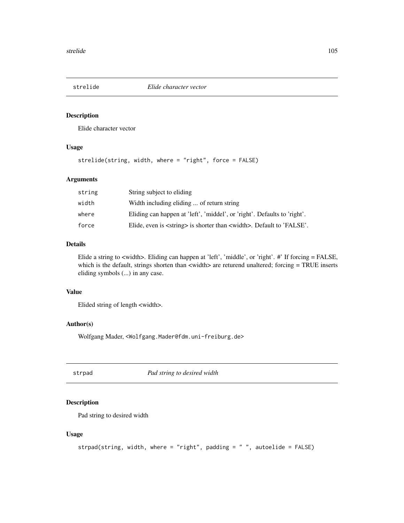Elide character vector

## Usage

strelide(string, width, where = "right", force = FALSE)

# Arguments

| string | String subject to eliding                                                             |
|--------|---------------------------------------------------------------------------------------|
| width  | Width including eliding  of return string                                             |
| where  | Eliding can happen at 'left', 'middel', or 'right'. Defaults to 'right'.              |
| force  | Elide, even is <string> is shorter than <width>. Default to 'FALSE'.</width></string> |

## Details

Elide a string to <width>. Eliding can happen at 'left', 'middle', or 'right'. #' If forcing = FALSE, which is the default, strings shorten than <width> are returend unaltered; forcing = TRUE inserts eliding symbols (...) in any case.

## Value

Elided string of length <width>.

#### Author(s)

Wolfgang Mader, <Wolfgang.Mader@fdm.uni-freiburg.de>

strpad *Pad string to desired width*

# Description

Pad string to desired width

#### Usage

```
strpad(string, width, where = "right", padding = " ", autoelide = FALSE)
```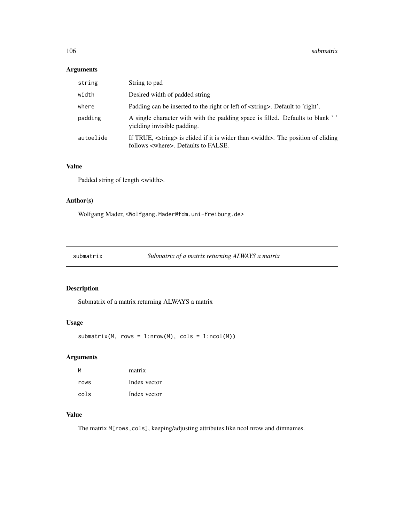# Arguments

| string    | String to pad                                                                                                                                     |
|-----------|---------------------------------------------------------------------------------------------------------------------------------------------------|
| width     | Desired width of padded string                                                                                                                    |
| where     | Padding can be inserted to the right or left of <string>. Default to 'right'.</string>                                                            |
| padding   | A single character with with the padding space is filled. Defaults to blank ''<br>vielding invisible padding.                                     |
| autoelide | If TRUE, <string> is elided if it is wider than <width>. The position of eliding<br/>follows <where>. Defaults to FALSE.</where></width></string> |

#### Value

Padded string of length <width>.

# Author(s)

Wolfgang Mader, <Wolfgang.Mader@fdm.uni-freiburg.de>

submatrix *Submatrix of a matrix returning ALWAYS a matrix*

# Description

Submatrix of a matrix returning ALWAYS a matrix

# Usage

 $submatrix(M, rows = 1:nrow(M), cols = 1:ncol(M))$ 

# Arguments

| М    | matrix       |
|------|--------------|
| rows | Index vector |
| cols | Index vector |

# Value

The matrix M[rows,cols], keeping/adjusting attributes like ncol nrow and dimnames.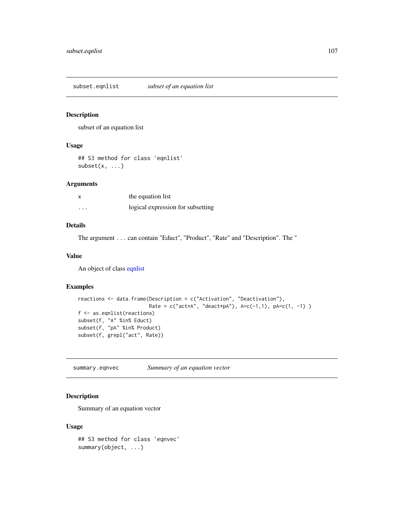<span id="page-106-0"></span>subset.eqnlist *subset of an equation list*

#### Description

subset of an equation list

# Usage

## S3 method for class 'eqnlist'  $subset(x, \ldots)$ 

#### Arguments

| X        | the equation list                 |
|----------|-----------------------------------|
| $\cdots$ | logical expression for subsetting |

# Details

The argument ... can contain "Educt", "Product", "Rate" and "Description". The "

#### Value

An object of class [eqnlist](#page-33-0)

# Examples

```
reactions <- data.frame(Description = c("Activation", "Deactivation"),
                       Rate = c("act*A", "deact*pA"), A=c(-1,1), pA=c(1, -1))f <- as.eqnlist(reactions)
subset(f, "A" %in% Educt)
subset(f, "pA" %in% Product)
subset(f, grepl("act", Rate))
```
summary.eqnvec *Summary of an equation vector*

# Description

Summary of an equation vector

#### Usage

## S3 method for class 'eqnvec' summary(object, ...)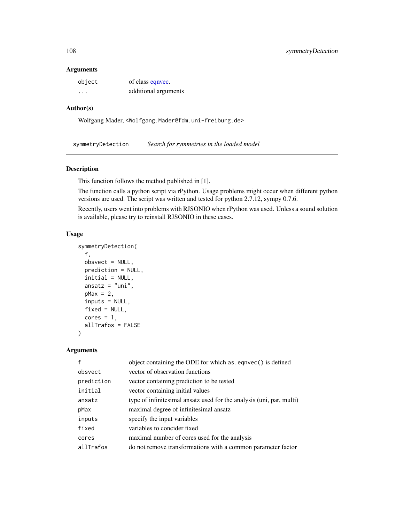#### Arguments

| object  | of class eqnvec.     |
|---------|----------------------|
| $\cdot$ | additional arguments |

# Author(s)

Wolfgang Mader, <Wolfgang.Mader@fdm.uni-freiburg.de>

symmetryDetection *Search for symmetries in the loaded model*

#### Description

This function follows the method published in [1].

The function calls a python script via rPython. Usage problems might occur when different python versions are used. The script was written and tested for python 2.7.12, sympy 0.7.6.

Recently, users went into problems with RJSONIO when rPython was used. Unless a sound solution is available, please try to reinstall RJSONIO in these cases.

#### Usage

```
symmetryDetection(
 f,
 obsvect = NULL,prediction = NULL,
 initial = NULL,
  ansatz = "uni",pMax = 2,
  inputs = NULL,
  fixed = NULL,cores = 1,
 allTrafos = FALSE
)
```
#### Arguments

|            | object containing the ODE for which as eqnvec() is defined           |
|------------|----------------------------------------------------------------------|
| obsvect    | vector of observation functions                                      |
| prediction | vector containing prediction to be tested                            |
| initial    | vector containing initial values                                     |
| ansatz     | type of infinitesimal ansatz used for the analysis (uni, par, multi) |
| pMax       | maximal degree of infinitesimal ansatz                               |
| inputs     | specify the input variables                                          |
| fixed      | variables to concider fixed                                          |
| cores      | maximal number of cores used for the analysis                        |
| allTrafos  | do not remove transformations with a common parameter factor         |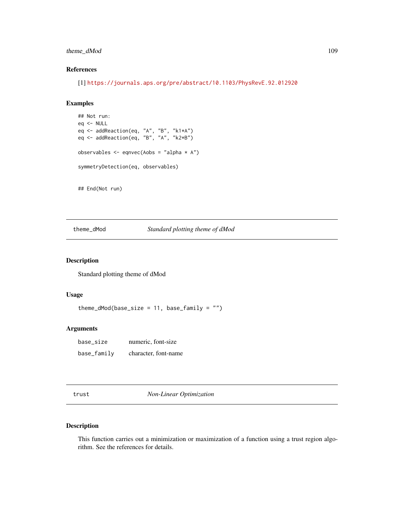# <span id="page-108-0"></span>theme\_dMod 109

# References

[1] <https://journals.aps.org/pre/abstract/10.1103/PhysRevE.92.012920>

#### Examples

```
## Not run:
eq <- NULL
eq <- addReaction(eq, "A", "B", "k1*A")
eq <- addReaction(eq, "B", "A", "k2*B")
observables <- eqnvec(Aobs = "alpha * A")
symmetryDetection(eq, observables)
```
## End(Not run)

theme\_dMod *Standard plotting theme of dMod*

# Description

Standard plotting theme of dMod

# Usage

theme\_dMod(base\_size =  $11$ , base\_family = "")

#### Arguments

| base_size   | numeric, font-size   |
|-------------|----------------------|
| base_family | character, font-name |

trust *Non-Linear Optimization*

# Description

This function carries out a minimization or maximization of a function using a trust region algorithm. See the references for details.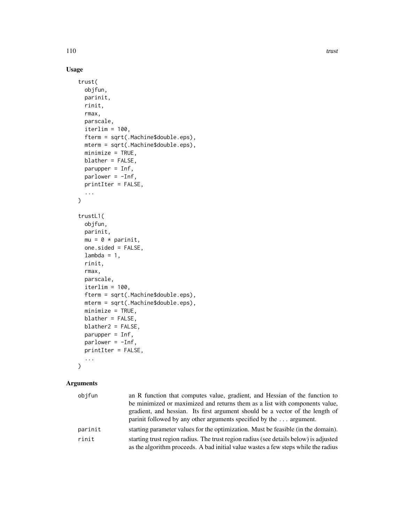# Usage

```
trust(
 objfun,
 parinit,
  rinit,
  rmax,
 parscale,
  iterlim = 100,fterm = sqrt(.Machine$double.eps),
 mterm = sqrt(.Machine$double.eps),
 minimize = TRUE,
 blather = FALSE,
 parupper = Inf,
 parlower = -Inf,printIter = FALSE,
  ...
\mathcal{L}trustL1(
 objfun,
 parinit,
 mu = 0 * parinit,
 one.sided = FALSE,
  lambda = 1,
  rinit,
  rmax,
 parscale,
  iterlim = 100,fterm = sqrt(.Machine$double.eps),
 mterm = sqrt(.Machine$double.eps),
 minimize = TRUE,
 blather = FALSE,
 blather2 = FALSE,
 parupper = Inf,
 parlower = -Inf,printIter = FALSE,
  ...
\mathcal{L}
```
# Arguments

| objfun  | an R function that computes value, gradient, and Hessian of the function to                                                                                                 |
|---------|-----------------------------------------------------------------------------------------------------------------------------------------------------------------------------|
|         | be minimized or maximized and returns them as a list with components value,                                                                                                 |
|         | gradient, and hessian. Its first argument should be a vector of the length of                                                                                               |
|         | parinit followed by any other arguments specified by the  argument.                                                                                                         |
| parinit | starting parameter values for the optimization. Must be feasible (in the domain).                                                                                           |
| rinit   | starting trust region radius. The trust region radius (see details below) is adjusted<br>as the algorithm proceeds. A bad initial value wastes a few steps while the radius |
|         |                                                                                                                                                                             |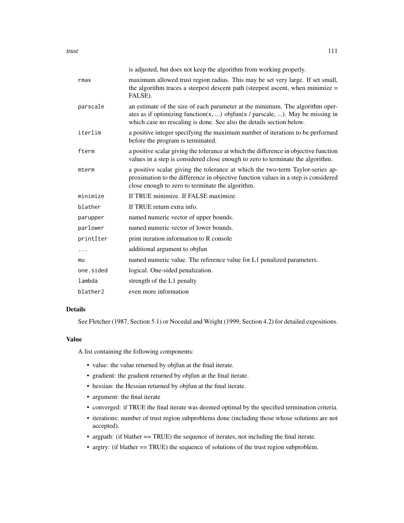|           | is adjusted, but does not keep the algorithm from working properly.                                                                                                                                                                    |
|-----------|----------------------------------------------------------------------------------------------------------------------------------------------------------------------------------------------------------------------------------------|
| rmax      | maximum allowed trust region radius. This may be set very large. If set small,<br>the algorithm traces a steepest descent path (steepest ascent, when minimize =<br>FALSE).                                                            |
| parscale  | an estimate of the size of each parameter at the minimum. The algorithm oper-<br>ates as if optimizing function(x, ) objfun(x / parscale, ). May be missing in<br>which case no rescaling is done. See also the details section below. |
| iterlim   | a positive integer specifying the maximum number of iterations to be performed<br>before the program is terminated.                                                                                                                    |
| fterm     | a positive scalar giving the tolerance at which the difference in objective function<br>values in a step is considered close enough to zero to terminate the algorithm.                                                                |
| mterm     | a positive scalar giving the tolerance at which the two-term Taylor-series ap-<br>proximation to the difference in objective function values in a step is considered<br>close enough to zero to terminate the algorithm.               |
| minimize  | If TRUE minimize. If FALSE maximize.                                                                                                                                                                                                   |
| blather   | If TRUE return extra info.                                                                                                                                                                                                             |
| parupper  | named numeric vector of upper bounds.                                                                                                                                                                                                  |
| parlower  | named numeric vector of lower bounds.                                                                                                                                                                                                  |
| printIter | print iteration information to R console                                                                                                                                                                                               |
|           | additional argument to objetun                                                                                                                                                                                                         |
| mu        | named numeric value. The reference value for L1 penalized parameters.                                                                                                                                                                  |
| one.sided | logical. One-sided penalization.                                                                                                                                                                                                       |
| lambda    | strength of the L1 penalty                                                                                                                                                                                                             |
| blather2  | even more information                                                                                                                                                                                                                  |

# Details

See Fletcher (1987, Section 5.1) or Nocedal and Wright (1999, Section 4.2) for detailed expositions.

# Value

A list containing the following components:

- value: the value returned by objfun at the final iterate.
- gradient: the gradient returned by objfun at the final iterate.
- hessian: the Hessian returned by objfun at the final iterate.
- argument: the final iterate
- converged: if TRUE the final iterate was deemed optimal by the specified termination criteria.
- iterations: number of trust region subproblems done (including those whose solutions are not accepted).
- argpath: (if blather == TRUE) the sequence of iterates, not including the final iterate.
- argtry: (if blather == TRUE) the sequence of solutions of the trust region subproblem.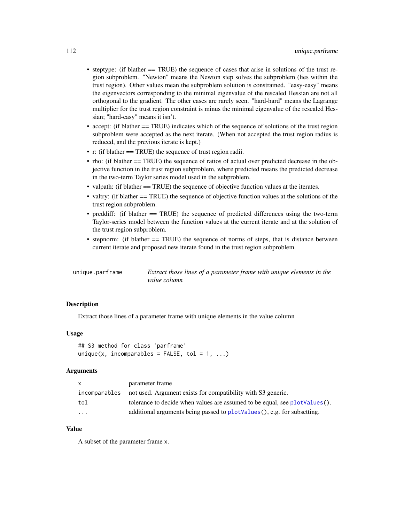- <span id="page-111-0"></span>• steptype: (if blather == TRUE) the sequence of cases that arise in solutions of the trust region subproblem. "Newton" means the Newton step solves the subproblem (lies within the trust region). Other values mean the subproblem solution is constrained. "easy-easy" means the eigenvectors corresponding to the minimal eigenvalue of the rescaled Hessian are not all orthogonal to the gradient. The other cases are rarely seen. "hard-hard" means the Lagrange multiplier for the trust region constraint is minus the minimal eigenvalue of the rescaled Hessian; "hard-easy" means it isn't.
- accept: (if blather == TRUE) indicates which of the sequence of solutions of the trust region subproblem were accepted as the next iterate. (When not accepted the trust region radius is reduced, and the previous iterate is kept.)
- r: (if blather == TRUE) the sequence of trust region radii.
- rho: (if blather == TRUE) the sequence of ratios of actual over predicted decrease in the objective function in the trust region subproblem, where predicted means the predicted decrease in the two-term Taylor series model used in the subproblem.
- valpath: (if blather == TRUE) the sequence of objective function values at the iterates.
- valtry: (if blather == TRUE) the sequence of objective function values at the solutions of the trust region subproblem.
- preddiff: (if blather == TRUE) the sequence of predicted differences using the two-term Taylor-series model between the function values at the current iterate and at the solution of the trust region subproblem.
- stepnorm: (if blather == TRUE) the sequence of norms of steps, that is distance between current iterate and proposed new iterate found in the trust region subproblem.

unique.parframe *Extract those lines of a parameter frame with unique elements in the value column*

# **Description**

Extract those lines of a parameter frame with unique elements in the value column

# Usage

```
## S3 method for class 'parframe'
unique(x, incomparables = FALSE, tol = 1, ...)
```
#### Arguments

| X                       | parameter frame                                                              |
|-------------------------|------------------------------------------------------------------------------|
| incomparables           | not used. Argument exists for compatibility with S3 generic.                 |
| tol                     | tolerance to decide when values are assumed to be equal, see plot Values (). |
| $\cdot$ $\cdot$ $\cdot$ | additional arguments being passed to plotValues(), e.g. for subsetting.      |

## Value

A subset of the parameter frame x.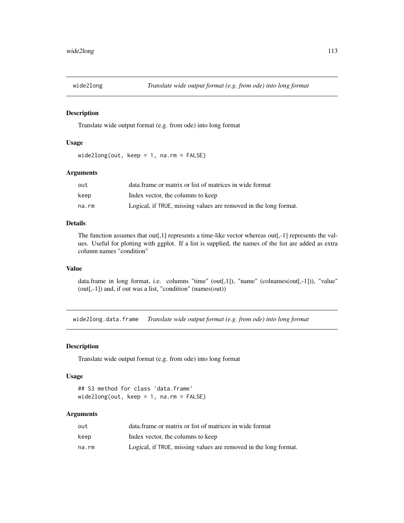<span id="page-112-0"></span>

Translate wide output format (e.g. from ode) into long format

#### Usage

wide2long(out, keep = 1, na.rm = FALSE)

#### Arguments

| out   | data. frame or matrix or list of matrices in wide format         |
|-------|------------------------------------------------------------------|
| keep  | Index vector, the columns to keep                                |
| na.rm | Logical, if TRUE, missing values are removed in the long format. |

#### Details

The function assumes that out[,1] represents a time-like vector whereas out[,-1] represents the values. Useful for plotting with ggplot. If a list is supplied, the names of the list are added as extra column names "condition"

# Value

data.frame in long format, i.e. columns "time" (out[,1]), "name" (colnames(out[,-1])), "value" (out[,-1]) and, if out was a list, "condition" (names(out))

wide2long.data.frame *Translate wide output format (e.g. from ode) into long format*

#### Description

Translate wide output format (e.g. from ode) into long format

#### Usage

```
## S3 method for class 'data.frame'
wide2long(out, keep = 1, na.rm = FALSE)
```
# Arguments

| out   | data. frame or matrix or list of matrices in wide format         |
|-------|------------------------------------------------------------------|
| keep  | Index vector, the columns to keep                                |
| na.rm | Logical, if TRUE, missing values are removed in the long format. |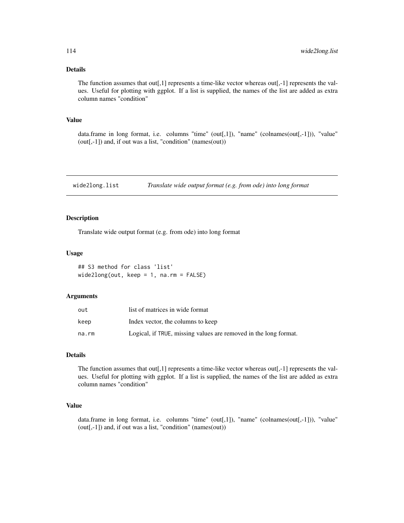# <span id="page-113-0"></span>Details

The function assumes that  $out[,1]$  represents a time-like vector whereas  $out[,-1]$  represents the values. Useful for plotting with ggplot. If a list is supplied, the names of the list are added as extra column names "condition"

#### Value

data.frame in long format, i.e. columns "time" (out[,1]), "name" (colnames(out[,-1])), "value" (out[,-1]) and, if out was a list, "condition" (names(out))

wide2long.list *Translate wide output format (e.g. from ode) into long format*

# Description

Translate wide output format (e.g. from ode) into long format

### Usage

```
## S3 method for class 'list'
wide2long(out, keep = 1, na.rm = FALSE)
```
#### Arguments

| out   | list of matrices in wide format                                  |
|-------|------------------------------------------------------------------|
| keep  | Index vector, the columns to keep                                |
| na.rm | Logical, if TRUE, missing values are removed in the long format. |

# Details

The function assumes that  $out[,1]$  represents a time-like vector whereas  $out[,-1]$  represents the values. Useful for plotting with ggplot. If a list is supplied, the names of the list are added as extra column names "condition"

# Value

data.frame in long format, i.e. columns "time" (out[,1]), "name" (colnames(out[,-1])), "value" (out[,-1]) and, if out was a list, "condition" (names(out))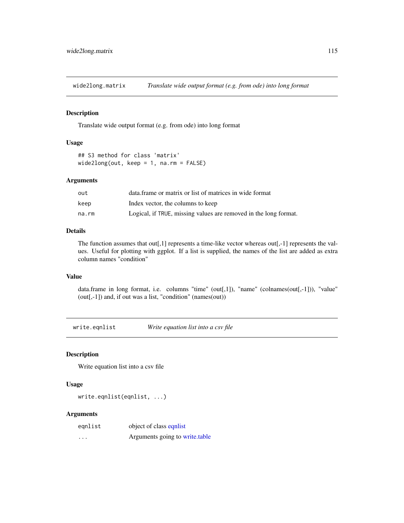<span id="page-114-0"></span>wide2long.matrix *Translate wide output format (e.g. from ode) into long format*

#### Description

Translate wide output format (e.g. from ode) into long format

#### Usage

```
## S3 method for class 'matrix'
wide2long(out, keep = 1, na.rm = FALSE)
```
#### Arguments

| out   | data. frame or matrix or list of matrices in wide format         |
|-------|------------------------------------------------------------------|
| keep  | Index vector, the columns to keep                                |
| na.rm | Logical, if TRUE, missing values are removed in the long format. |

# Details

The function assumes that out[,1] represents a time-like vector whereas out[,-1] represents the values. Useful for plotting with ggplot. If a list is supplied, the names of the list are added as extra column names "condition"

# Value

data.frame in long format, i.e. columns "time" (out[,1]), "name" (colnames(out[,-1])), "value" (out[,-1]) and, if out was a list, "condition" (names(out))

write.eqnlist *Write equation list into a csv file*

# Description

Write equation list into a csv file

#### Usage

```
write.eqnlist(eqnlist, ...)
```
# Arguments

| egnlist | object of class equilist       |
|---------|--------------------------------|
| $\cdot$ | Arguments going to write.table |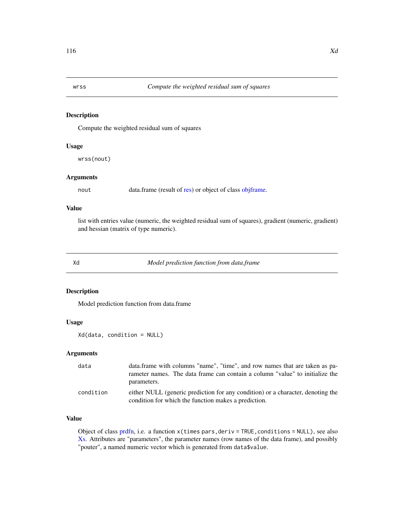<span id="page-115-0"></span>

Compute the weighted residual sum of squares

#### Usage

wrss(nout)

#### Arguments

nout data.frame (result of [res\)](#page-99-0) or object of class [objframe.](#page-58-0)

### Value

list with entries value (numeric, the weighted residual sum of squares), gradient (numeric, gradient) and hessian (matrix of type numeric).

Xd *Model prediction function from data.frame*

## Description

Model prediction function from data.frame

#### Usage

Xd(data, condition = NULL)

#### Arguments

| data      | data.frame with columns "name", "time", and row names that are taken as pa-                                                             |
|-----------|-----------------------------------------------------------------------------------------------------------------------------------------|
|           | rameter names. The data frame can contain a column "value" to initialize the                                                            |
|           | parameters.                                                                                                                             |
| condition | either NULL (generic prediction for any condition) or a character, denoting the<br>condition for which the function makes a prediction. |

# Value

Object of class [prdfn,](#page-86-1) i.e. a function x(times pars,deriv = TRUE,conditions = NULL), see also [Xs.](#page-117-0) Attributes are "parameters", the parameter names (row names of the data frame), and possibly "pouter", a named numeric vector which is generated from data\$value.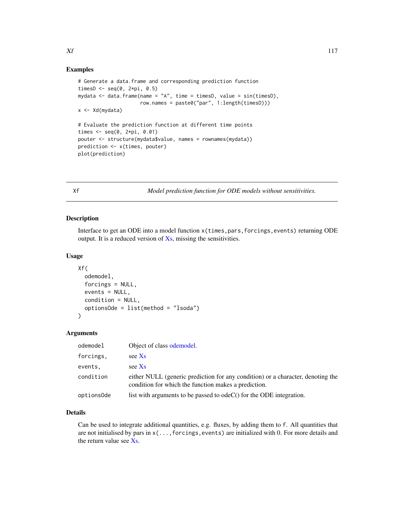#### <span id="page-116-0"></span>Examples

```
# Generate a data.frame and corresponding prediction function
timesD \leq seq(0, 2*pi, 0.5)
mydata \leq data.frame(name = "A", time = timesD, value = sin(timesD),
                     row.names = paste0("par", 1:length(timesD)))
x <- Xd(mydata)
# Evaluate the prediction function at different time points
times \leq seq(0, 2*pi, 0.01)
pouter <- structure(mydata$value, names = rownames(mydata))
prediction <- x(times, pouter)
plot(prediction)
```
Xf *Model prediction function for ODE models without sensitivities.*

# Description

Interface to get an ODE into a model function x(times,pars,forcings,events) returning ODE output. It is a reduced version of [Xs,](#page-117-0) missing the sensitivities.

#### Usage

```
Xf(
  odemodel,
  forcings = NULL,
  events = NULL,
  condition = NULL,
  optionsOde = list(method = "lsoda")
)
```
#### Arguments

| odemodel   | Object of class odemodel.                                                                                                               |
|------------|-----------------------------------------------------------------------------------------------------------------------------------------|
| forcings,  | see Xs                                                                                                                                  |
| events,    | see Xs                                                                                                                                  |
| condition  | either NULL (generic prediction for any condition) or a character, denoting the<br>condition for which the function makes a prediction. |
| options0de | list with arguments to be passed to odeC() for the ODE integration.                                                                     |

### Details

Can be used to integrate additional quantities, e.g. fluxes, by adding them to f. All quantities that are not initialised by pars in  $x(\ldots,$  forcings, events) are initialized with 0. For more details and the return value see [Xs.](#page-117-0)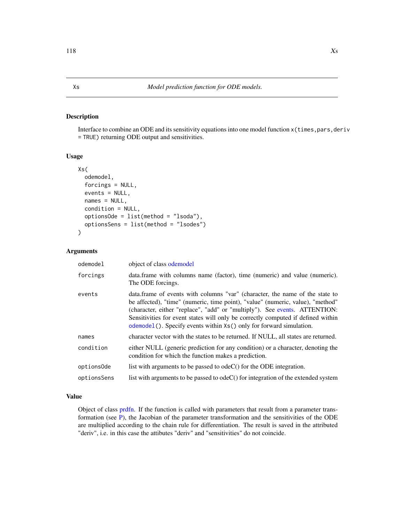<span id="page-117-1"></span><span id="page-117-0"></span>Interface to combine an ODE and its sensitivity equations into one model function x(times, pars, deriv = TRUE) returning ODE output and sensitivities.

# Usage

```
Xs(
  odemodel,
  forcings = NULL,
  events = NULL,names = NULL,
  condition = NULL,
  optionsOde = list(method = "lsoda"),
  optionsSens = list(method = "lsodes")
\mathcal{L}
```
# Arguments

| odemodel    | object of class odemodel                                                                                                                                                                                                                                                                                                                                                                                   |
|-------------|------------------------------------------------------------------------------------------------------------------------------------------------------------------------------------------------------------------------------------------------------------------------------------------------------------------------------------------------------------------------------------------------------------|
| forcings    | data.frame with columns name (factor), time (numeric) and value (numeric).<br>The ODE forcings.                                                                                                                                                                                                                                                                                                            |
| events      | data.frame of events with columns "var" (character, the name of the state to<br>be affected), "time" (numeric, time point), "value" (numeric, value), "method"<br>(character, either "replace", "add" or "multiply"). See events. ATTENTION:<br>Sensitivities for event states will only be correctly computed if defined within<br>odemodel (). Specify events within $Xs()$ only for forward simulation. |
| names       | character vector with the states to be returned. If NULL, all states are returned.                                                                                                                                                                                                                                                                                                                         |
| condition   | either NULL (generic prediction for any condition) or a character, denoting the<br>condition for which the function makes a prediction.                                                                                                                                                                                                                                                                    |
| options0de  | list with arguments to be passed to $odeC()$ for the ODE integration.                                                                                                                                                                                                                                                                                                                                      |
| optionsSens | list with arguments to be passed to $odeC()$ for integration of the extended system                                                                                                                                                                                                                                                                                                                        |

# Value

Object of class [prdfn.](#page-86-1) If the function is called with parameters that result from a parameter transformation (see [P\)](#page-63-0), the Jacobian of the parameter transformation and the sensitivities of the ODE are multiplied according to the chain rule for differentiation. The result is saved in the attributed "deriv", i.e. in this case the attibutes "deriv" and "sensitivities" do not coincide.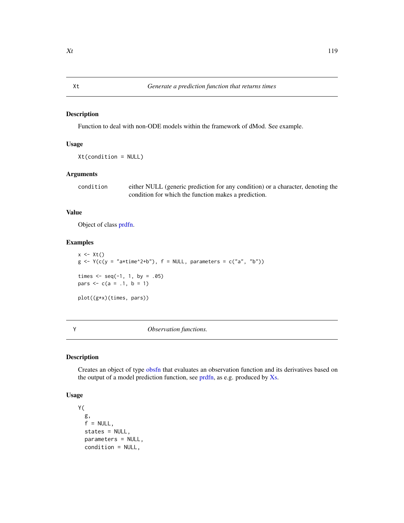<span id="page-118-0"></span>Function to deal with non-ODE models within the framework of dMod. See example.

# Usage

Xt(condition = NULL)

# Arguments

condition either NULL (generic prediction for any condition) or a character, denoting the condition for which the function makes a prediction.

# Value

Object of class [prdfn.](#page-86-1)

#### Examples

 $x \leftarrow \mathsf{xt}()$  $g \leftarrow Y(c(y = "a * time^2+b")$ ,  $f = NULL$ , parameters =  $c("a", "b")$ ) times  $\leq -$  seq(-1, 1, by = .05) pars  $\leq -c(a = .1, b = 1)$ plot((g\*x)(times, pars))

Y *Observation functions.*

#### Description

Creates an object of type [obsfn](#page-60-0) that evaluates an observation function and its derivatives based on the output of a model prediction function, see [prdfn,](#page-86-1) as e.g. produced by [Xs.](#page-117-0)

#### Usage

```
Y(
  g,
  f = NULL,
  states = NULL,
  parameters = NULL,
  condition = NULL,
```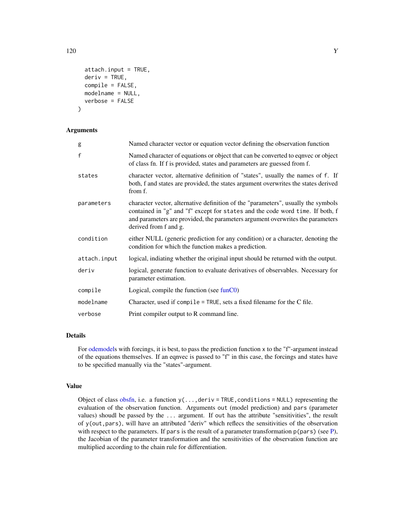```
attach.input = TRUE,deriv = TRUE,compile = FALSE,
 modelname = NULL,
  verbose = FALSE
)
```
# Arguments

| g            | Named character vector or equation vector defining the observation function                                                                                                                                                                                                   |  |
|--------------|-------------------------------------------------------------------------------------------------------------------------------------------------------------------------------------------------------------------------------------------------------------------------------|--|
| f            | Named character of equations or object that can be converted to eqnvec or object<br>of class fn. If f is provided, states and parameters are guessed from f.                                                                                                                  |  |
| states       | character vector, alternative definition of "states", usually the names of f. If<br>both, f and states are provided, the states argument overwrites the states derived<br>from f.                                                                                             |  |
| parameters   | character vector, alternative definition of the "parameters", usually the symbols<br>contained in "g" and "f" except for states and the code word time. If both, f<br>and parameters are provided, the parameters argument overwrites the parameters<br>derived from f and g. |  |
| condition    | either NULL (generic prediction for any condition) or a character, denoting the<br>condition for which the function makes a prediction.                                                                                                                                       |  |
| attach.input | logical, indiating whether the original input should be returned with the output.                                                                                                                                                                                             |  |
| deriv        | logical, generate function to evaluate derivatives of observables. Necessary for<br>parameter estimation.                                                                                                                                                                     |  |
| compile      | Logical, compile the function (see funC0)                                                                                                                                                                                                                                     |  |
| modelname    | Character, used if compile $=$ TRUE, sets a fixed filename for the C file.                                                                                                                                                                                                    |  |
| verbose      | Print compiler output to R command line.                                                                                                                                                                                                                                      |  |

# Details

For [odemodels](#page-61-0) with forcings, it is best, to pass the prediction function x to the "f"-argument instead of the equations themselves. If an eqnvec is passed to "f" in this case, the forcings and states have to be specified manually via the "states"-argument.

#### Value

Object of class [obsfn,](#page-60-0) i.e. a function  $y(\ldots,$  deriv = TRUE, conditions = NULL) representing the evaluation of the observation function. Arguments out (model prediction) and pars (parameter values) shoudl be passed by the ... argument. If out has the attribute "sensitivities", the result of y(out,pars), will have an attributed "deriv" which reflecs the sensitivities of the observation with respect to the parameters. If pars is the result of a parameter transformation  $p(\text{pars})$  (see [P\)](#page-63-0), the Jacobian of the parameter transformation and the sensitivities of the observation function are multiplied according to the chain rule for differentiation.

<span id="page-119-0"></span> $120 \t\t Y$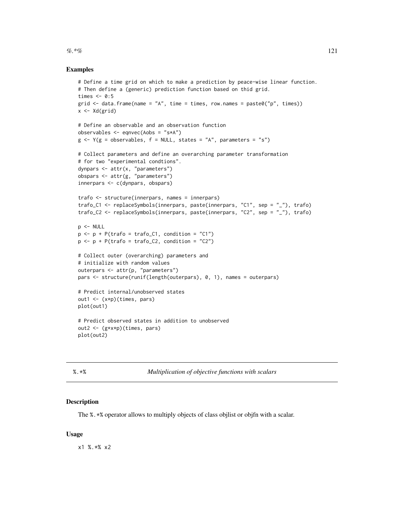#### <span id="page-120-0"></span> $\%.*\%$  121

#### Examples

```
# Define a time grid on which to make a prediction by peace-wise linear function.
# Then define a (generic) prediction function based on thid grid.
times <-0:5grid \le data.frame(name = "A", time = times, row.names = paste0("p", times))
x <- Xd(grid)
# Define an observable and an observation function
observables <- eqnvec(Aobs = "s*A")
g \leftarrow Y(g = \text{observals}, f = \text{NULL}, \text{states} = "A", \text{parameters} = "s")# Collect parameters and define an overarching parameter transformation
# for two "experimental condtions".
dynpars <- attr(x, "parameters")
obspars <- attr(g, "parameters")
innerpars <- c(dynpars, obspars)
trafo <- structure(innerpars, names = innerpars)
trafo_C1 <- replaceSymbols(innerpars, paste(innerpars, "C1", sep = "_"), trafo)
trafo_C2 <- replaceSymbols(innerpars, paste(innerpars, "C2", sep = "_"), trafo)
p \le - NULL
p \leftarrow p + P(\text{trafo} = \text{trafo\_C1}, \text{ condition} = "C1")p \leftarrow p + P(\text{traf } o = \text{traf } o_2), condition = "C2")
# Collect outer (overarching) parameters and
# initialize with random values
outerpars <- attr(p, "parameters")
pars <- structure(runif(length(outerpars), 0, 1), names = outerpars)
# Predict internal/unobserved states
out1 <- (x*p)(times, pars)
plot(out1)
# Predict observed states in addition to unobserved
out2 <- (g*x*p)(times, pars)
plot(out2)
```

%.\*% *Multiplication of objective functions with scalars*

#### Description

The %.\*% operator allows to multiply objects of class objlist or objfn with a scalar.

#### Usage

x1 %.\*% x2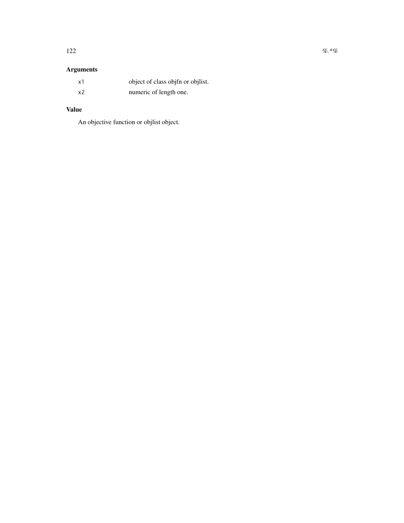# Arguments

| x1 | object of class objet or objlist. |
|----|-----------------------------------|
| x2 | numeric of length one.            |

# Value

An objective function or objlist object.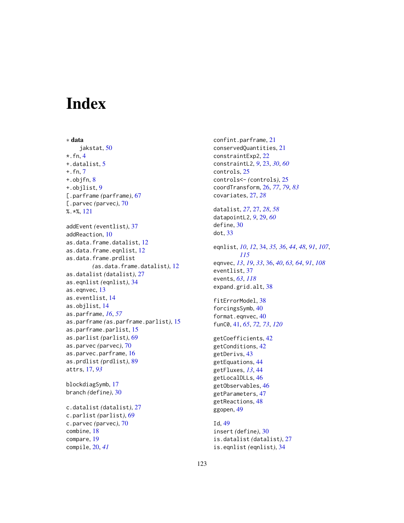# Index

compare, [19](#page-18-0) compile, [20,](#page-19-0) *[41](#page-40-1)*

∗ data jakstat, [50](#page-49-0)  $\star$ . fn, [4](#page-3-0) +.datalist, [5](#page-4-0) +.fn, [7](#page-6-0) +.objfn, [8](#page-7-0) +.objlist, [9](#page-8-0) [.parframe *(*parframe*)*, [67](#page-66-0) [.parvec *(*parvec*)*, [70](#page-69-0) %.\*%, [121](#page-120-0) addEvent *(*eventlist*)*, [37](#page-36-0) addReaction, [10](#page-9-0) as.data.frame.datalist, [12](#page-11-0) as.data.frame.eqnlist, [12](#page-11-0) as.data.frame.prdlist *(*as.data.frame.datalist*)*, [12](#page-11-0) as.datalist *(*datalist*)*, [27](#page-26-0) as.eqnlist *(*eqnlist*)*, [34](#page-33-1) as.eqnvec, [13](#page-12-0) as.eventlist, [14](#page-13-0) as.objlist, [14](#page-13-0) as.parframe, *[16](#page-15-0)*, *[57](#page-56-0)* as.parframe *(*as.parframe.parlist*)*, [15](#page-14-0) as.parframe.parlist, [15](#page-14-0) as.parlist *(*parlist*)*, [69](#page-68-0) as.parvec *(*parvec*)*, [70](#page-69-0) as.parvec.parframe, [16](#page-15-0) as.prdlist *(*prdlist*)*, [89](#page-88-0) attrs, [17,](#page-16-0) *[93](#page-92-0)* blockdiagSymb, [17](#page-16-0) branch *(*define*)*, [30](#page-29-0) c.datalist *(*datalist*)*, [27](#page-26-0) c.parlist *(*parlist*)*, [69](#page-68-0) c.parvec *(*parvec*)*, [70](#page-69-0) combine, [18](#page-17-0)

confint.parframe, [21](#page-20-0) conservedQuantities, [21](#page-20-0) constraintExp2, [22](#page-21-0) constraintL2, *[9](#page-8-0)*, [23,](#page-22-0) *[30](#page-29-0)*, *[60](#page-59-0)* controls, [25](#page-24-0) controls<- *(*controls*)*, [25](#page-24-0) coordTransform, [26,](#page-25-0) *[77](#page-76-0)*, *[79](#page-78-0)*, *[83](#page-82-0)* covariates, [27,](#page-26-0) *[28](#page-27-0)* datalist, *[27](#page-26-0)*, [27,](#page-26-0) *[28](#page-27-0)*, *[58](#page-57-0)* datapointL2, *[9](#page-8-0)*, [29,](#page-28-0) *[60](#page-59-0)* define, [30](#page-29-0) dot, [33](#page-32-0) eqnlist, *[10](#page-9-0)*, *[12](#page-11-0)*, [34,](#page-33-1) *[35,](#page-34-0) [36](#page-35-0)*, *[44](#page-43-0)*, *[48](#page-47-0)*, *[91](#page-90-0)*, *[107](#page-106-0)*, *[115](#page-114-0)* eqnvec, *[13](#page-12-0)*, *[19](#page-18-0)*, *[33](#page-32-0)*, [36,](#page-35-0) *[40](#page-39-0)*, *[63,](#page-62-0) [64](#page-63-1)*, *[91](#page-90-0)*, *[108](#page-107-0)* eventlist, [37](#page-36-0) events, *[63](#page-62-0)*, *[118](#page-117-1)* expand.grid.alt, [38](#page-37-0) fitErrorModel, [38](#page-37-0) forcingsSymb, [40](#page-39-0) format.eqnvec, [40](#page-39-0) funC0, [41,](#page-40-1) *[65](#page-64-0)*, *[72,](#page-71-0) [73](#page-72-0)*, *[120](#page-119-0)* getCoefficients, [42](#page-41-0) getConditions, [42](#page-41-0) getDerivs, [43](#page-42-0) getEquations, [44](#page-43-0) getFluxes, *[13](#page-12-0)*, [44](#page-43-0) getLocalDLLs, [46](#page-45-0) getObservables, [46](#page-45-0) getParameters, [47](#page-46-0) getReactions, [48](#page-47-0) ggopen, [49](#page-48-0) Id, [49](#page-48-0) insert *(*define*)*, [30](#page-29-0) is.datalist *(*datalist*)*, [27](#page-26-0) is.eqnlist *(*eqnlist*)*, [34](#page-33-1)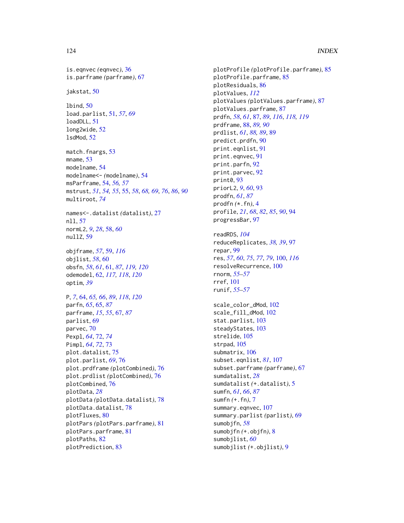### 124 INDEX

is.eqnvec *(*eqnvec*)*, [36](#page-35-0) is.parframe *(*parframe*)*, [67](#page-66-0) jakstat, [50](#page-49-0) lbind, [50](#page-49-0) load.parlist, [51,](#page-50-0) *[57](#page-56-0)*, *[69](#page-68-0)* loadDLL, [51](#page-50-0) long2wide, [52](#page-51-0) lsdMod, [52](#page-51-0) match.fnargs, [53](#page-52-0) mname, [53](#page-52-0) modelname, [54](#page-53-0) modelname<- *(*modelname*)*, [54](#page-53-0) msParframe, [54,](#page-53-0) *[56,](#page-55-0) [57](#page-56-0)* mstrust, *[51](#page-50-0)*, *[54,](#page-53-0) [55](#page-54-0)*, [55,](#page-54-0) *[58](#page-57-0)*, *[68,](#page-67-0) [69](#page-68-0)*, *[76](#page-75-0)*, *[86](#page-85-0)*, *[90](#page-89-0)* multiroot, *[74](#page-73-0)* names<-.datalist *(*datalist*)*, [27](#page-26-0) nll, [57](#page-56-0) normL2, *[9](#page-8-0)*, *[28](#page-27-0)*, [58,](#page-57-0) *[60](#page-59-0)* nullZ, [59](#page-58-1) objframe, *[57](#page-56-0)*, [59,](#page-58-1) *[116](#page-115-0)* objlist, *[58](#page-57-0)*, [60](#page-59-0) obsfn, *[58](#page-57-0)*, *[61](#page-60-1)*, [61,](#page-60-1) *[87](#page-86-2)*, *[119,](#page-118-0) [120](#page-119-0)* odemodel, [62,](#page-61-1) *[117,](#page-116-0) [118](#page-117-1)*, *[120](#page-119-0)* optim, *[39](#page-38-0)* P, *[7](#page-6-0)*, [64,](#page-63-1) *[65,](#page-64-0) [66](#page-65-0)*, *[89](#page-88-0)*, *[118](#page-117-1)*, *[120](#page-119-0)* parfn, *[65](#page-64-0)*, [65,](#page-64-0) *[87](#page-86-2)* parframe, *[15](#page-14-0)*, *[55](#page-54-0)*, [67,](#page-66-0) *[87](#page-86-2)* parlist, [69](#page-68-0) parvec, [70](#page-69-0) Pexpl, *[64](#page-63-1)*, [72,](#page-71-0) *[74](#page-73-0)* Pimpl, *[64](#page-63-1)*, *[72](#page-71-0)*, [73](#page-72-0) plot.datalist, [75](#page-74-0) plot.parlist, *[69](#page-68-0)*, [76](#page-75-0) plot.prdframe *(*plotCombined*)*, [76](#page-75-0) plot.prdlist *(*plotCombined*)*, [76](#page-75-0) plotCombined, [76](#page-75-0) plotData, *[28](#page-27-0)* plotData *(*plotData.datalist*)*, [78](#page-77-0) plotData.datalist, [78](#page-77-0) plotFluxes, [80](#page-79-0) plotPars *(*plotPars.parframe*)*, [81](#page-80-0) plotPars.parframe, [81](#page-80-0) plotPaths, [82](#page-81-0) plotPrediction, [83](#page-82-0)

plotProfile *(*plotProfile.parframe*)*, [85](#page-84-0) plotProfile.parframe, [85](#page-84-0) plotResiduals, [86](#page-85-0) plotValues, *[112](#page-111-0)* plotValues *(*plotValues.parframe*)*, [87](#page-86-2) plotValues.parframe, [87](#page-86-2) prdfn, *[58](#page-57-0)*, *[61](#page-60-1)*, [87,](#page-86-2) *[89](#page-88-0)*, *[116](#page-115-0)*, *[118,](#page-117-1) [119](#page-118-0)* prdframe, [88,](#page-87-0) *[89,](#page-88-0) [90](#page-89-0)* prdlist, *[61](#page-60-1)*, *[88,](#page-87-0) [89](#page-88-0)*, [89](#page-88-0) predict.prdfn, [90](#page-89-0) print.eqnlist, [91](#page-90-0) print.eqnvec, [91](#page-90-0) print.parfn, [92](#page-91-0) print.parvec, [92](#page-91-0) print0, [93](#page-92-0) priorL2, *[9](#page-8-0)*, *[60](#page-59-0)*, [93](#page-92-0) prodfn, *[61](#page-60-1)*, *[87](#page-86-2)* prodfn *(*\*.fn*)*, [4](#page-3-0) profile, *[21](#page-20-0)*, *[68](#page-67-0)*, *[82](#page-81-0)*, *[85](#page-84-0)*, *[90](#page-89-0)*, [94](#page-93-0) progressBar, [97](#page-96-0) readRDS, *[104](#page-103-0)* reduceReplicates, *[38,](#page-37-0) [39](#page-38-0)*, [97](#page-96-0) repar, [99](#page-98-0) res, *[57](#page-56-0)*, *[60](#page-59-0)*, *[75](#page-74-0)*, *[77](#page-76-0)*, *[79](#page-78-0)*, [100,](#page-99-1) *[116](#page-115-0)* resolveRecurrence, [100](#page-99-1) rnorm, *[55](#page-54-0)[–57](#page-56-0)* rref, [101](#page-100-0) runif, *[55](#page-54-0)[–57](#page-56-0)* scale\_color\_dMod, [102](#page-101-0) scale\_fill\_dMod, [102](#page-101-0) stat.parlist, [103](#page-102-0) steadyStates, [103](#page-102-0) strelide, [105](#page-104-0) strpad, [105](#page-104-0) submatrix, [106](#page-105-0) subset.eqnlist, *[81](#page-80-0)*, [107](#page-106-0) subset.parframe *(*parframe*)*, [67](#page-66-0) sumdatalist, *[28](#page-27-0)* sumdatalist *(*+.datalist*)*, [5](#page-4-0) sumfn, *[61](#page-60-1)*, *[66](#page-65-0)*, *[87](#page-86-2)* sumfn *(*+.fn*)*, [7](#page-6-0) summary.eqnvec, [107](#page-106-0) summary.parlist *(*parlist*)*, [69](#page-68-0) sumobjfn, *[58](#page-57-0)* sumobjfn *(*+.objfn*)*, [8](#page-7-0) sumobjlist, *[60](#page-59-0)* sumobjlist *(*+.objlist*)*, [9](#page-8-0)